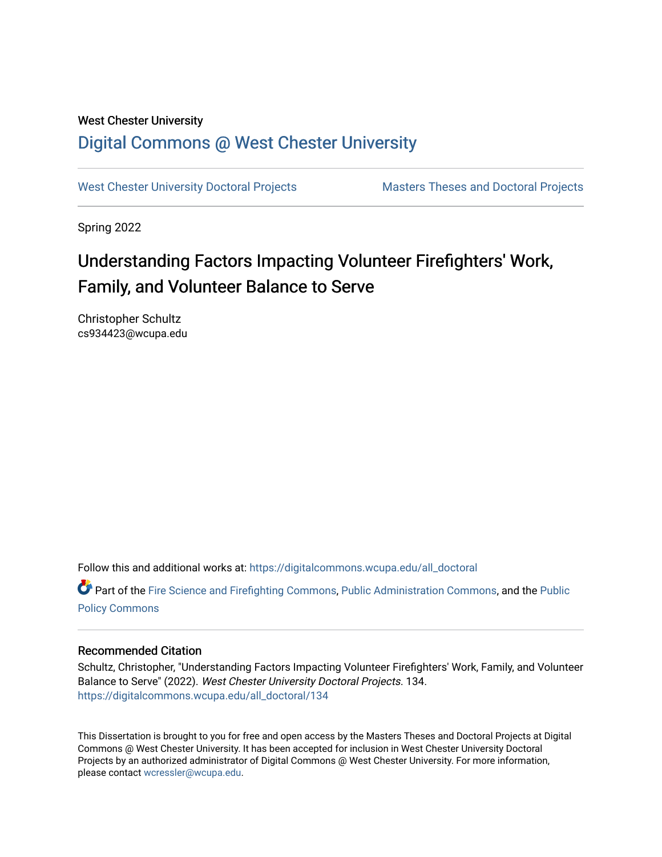# West Chester University [Digital Commons @ West Chester University](https://digitalcommons.wcupa.edu/)

[West Chester University Doctoral Projects](https://digitalcommons.wcupa.edu/all_doctoral) Masters Theses and Doctoral Projects

Spring 2022

# Understanding Factors Impacting Volunteer Firefighters' Work, Family, and Volunteer Balance to Serve

Christopher Schultz cs934423@wcupa.edu

Follow this and additional works at: [https://digitalcommons.wcupa.edu/all\\_doctoral](https://digitalcommons.wcupa.edu/all_doctoral?utm_source=digitalcommons.wcupa.edu%2Fall_doctoral%2F134&utm_medium=PDF&utm_campaign=PDFCoverPages) 

Part of the [Fire Science and Firefighting Commons](http://network.bepress.com/hgg/discipline/1411?utm_source=digitalcommons.wcupa.edu%2Fall_doctoral%2F134&utm_medium=PDF&utm_campaign=PDFCoverPages), [Public Administration Commons,](http://network.bepress.com/hgg/discipline/398?utm_source=digitalcommons.wcupa.edu%2Fall_doctoral%2F134&utm_medium=PDF&utm_campaign=PDFCoverPages) and the [Public](http://network.bepress.com/hgg/discipline/400?utm_source=digitalcommons.wcupa.edu%2Fall_doctoral%2F134&utm_medium=PDF&utm_campaign=PDFCoverPages) [Policy Commons](http://network.bepress.com/hgg/discipline/400?utm_source=digitalcommons.wcupa.edu%2Fall_doctoral%2F134&utm_medium=PDF&utm_campaign=PDFCoverPages)

# Recommended Citation

Schultz, Christopher, "Understanding Factors Impacting Volunteer Firefighters' Work, Family, and Volunteer Balance to Serve" (2022). West Chester University Doctoral Projects. 134. [https://digitalcommons.wcupa.edu/all\\_doctoral/134](https://digitalcommons.wcupa.edu/all_doctoral/134?utm_source=digitalcommons.wcupa.edu%2Fall_doctoral%2F134&utm_medium=PDF&utm_campaign=PDFCoverPages) 

This Dissertation is brought to you for free and open access by the Masters Theses and Doctoral Projects at Digital Commons @ West Chester University. It has been accepted for inclusion in West Chester University Doctoral Projects by an authorized administrator of Digital Commons @ West Chester University. For more information, please contact [wcressler@wcupa.edu](mailto:wcressler@wcupa.edu).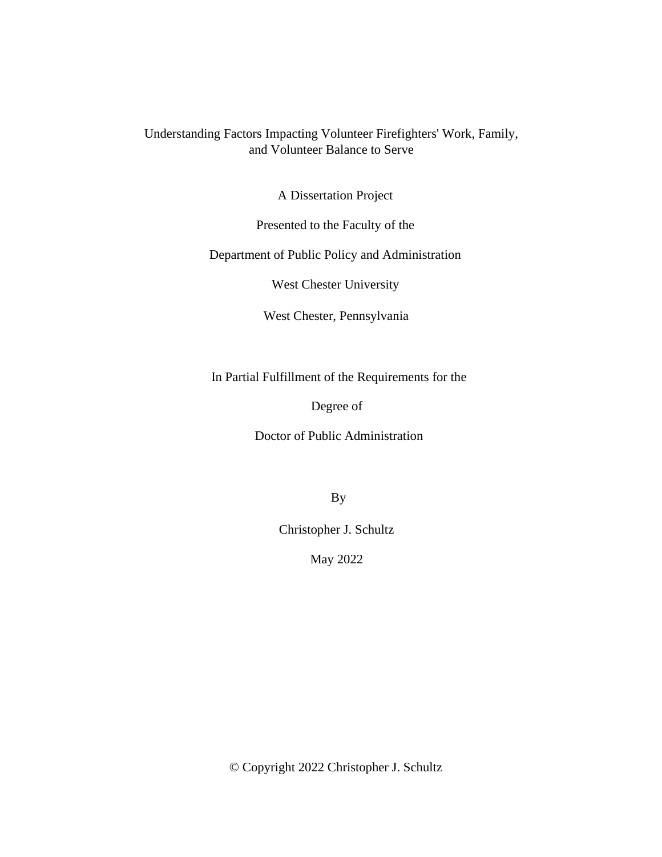# Understanding Factors Impacting Volunteer Firefighters' Work, Family, and Volunteer Balance to Serve

A Dissertation Project

Presented to the Faculty of the

Department of Public Policy and Administration

West Chester University

West Chester, Pennsylvania

In Partial Fulfillment of the Requirements for the

Degree of

Doctor of Public Administration

By

Christopher J. Schultz

May 2022

© Copyright 2022 Christopher J. Schultz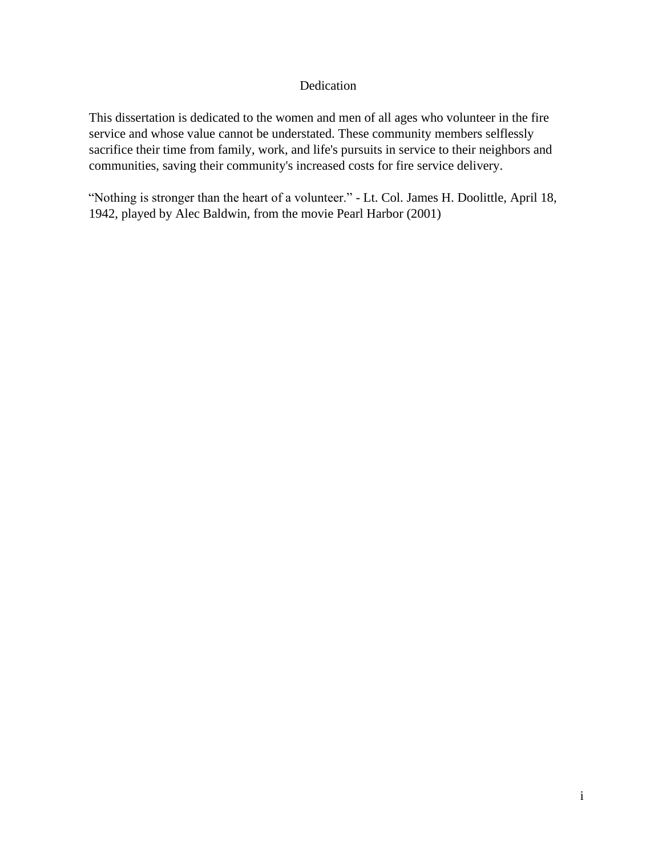# Dedication

This dissertation is dedicated to the women and men of all ages who volunteer in the fire service and whose value cannot be understated. These community members selflessly sacrifice their time from family, work, and life's pursuits in service to their neighbors and communities, saving their community's increased costs for fire service delivery.

"Nothing is stronger than the heart of a volunteer." - Lt. Col. James H. Doolittle, April 18, 1942, played by Alec Baldwin, from the movie Pearl Harbor (2001)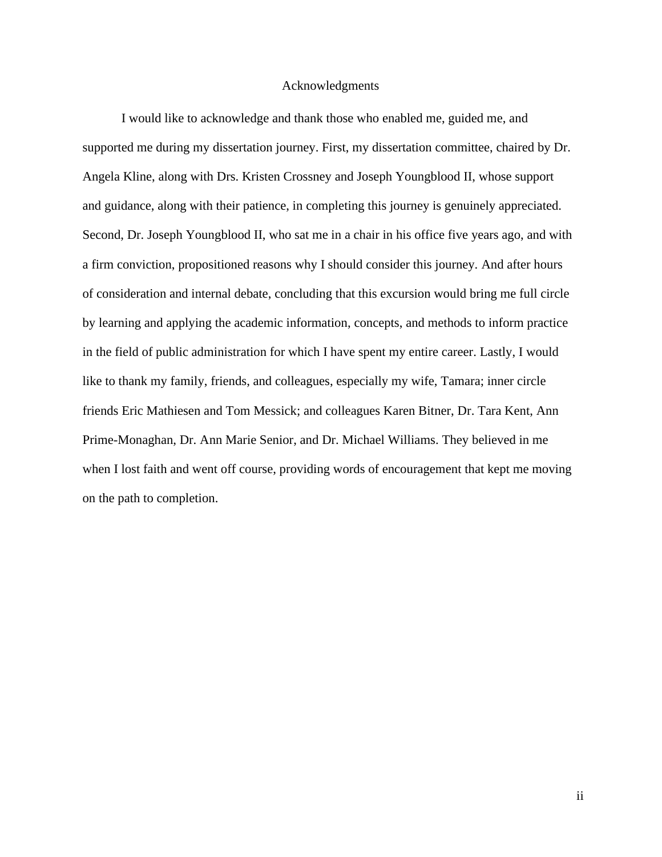#### Acknowledgments

I would like to acknowledge and thank those who enabled me, guided me, and supported me during my dissertation journey. First, my dissertation committee, chaired by Dr. Angela Kline, along with Drs. Kristen Crossney and Joseph Youngblood II, whose support and guidance, along with their patience, in completing this journey is genuinely appreciated. Second, Dr. Joseph Youngblood II, who sat me in a chair in his office five years ago, and with a firm conviction, propositioned reasons why I should consider this journey. And after hours of consideration and internal debate, concluding that this excursion would bring me full circle by learning and applying the academic information, concepts, and methods to inform practice in the field of public administration for which I have spent my entire career. Lastly, I would like to thank my family, friends, and colleagues, especially my wife, Tamara; inner circle friends Eric Mathiesen and Tom Messick; and colleagues Karen Bitner, Dr. Tara Kent, Ann Prime-Monaghan, Dr. Ann Marie Senior, and Dr. Michael Williams. They believed in me when I lost faith and went off course, providing words of encouragement that kept me moving on the path to completion.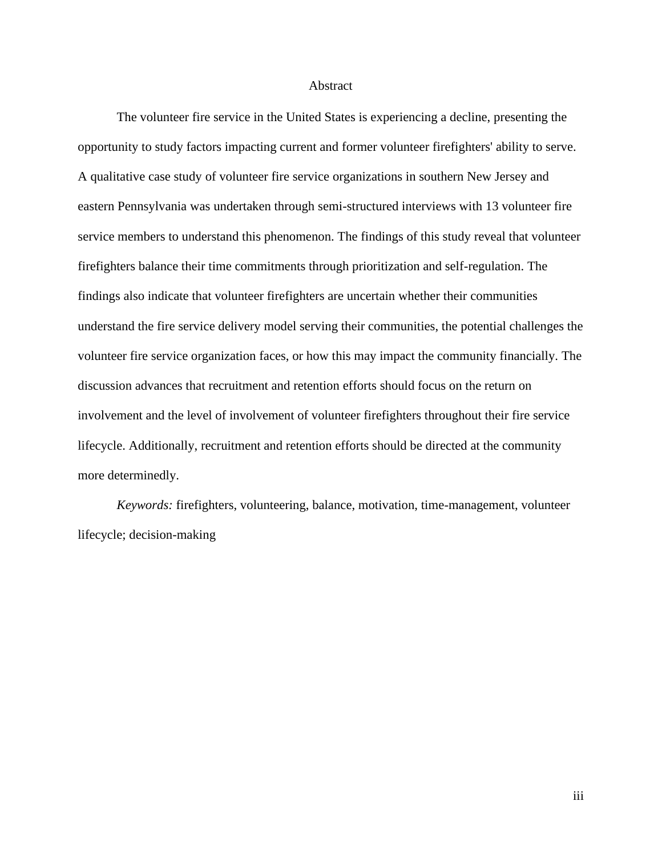#### Abstract

The volunteer fire service in the United States is experiencing a decline, presenting the opportunity to study factors impacting current and former volunteer firefighters' ability to serve. A qualitative case study of volunteer fire service organizations in southern New Jersey and eastern Pennsylvania was undertaken through semi-structured interviews with 13 volunteer fire service members to understand this phenomenon. The findings of this study reveal that volunteer firefighters balance their time commitments through prioritization and self-regulation. The findings also indicate that volunteer firefighters are uncertain whether their communities understand the fire service delivery model serving their communities, the potential challenges the volunteer fire service organization faces, or how this may impact the community financially. The discussion advances that recruitment and retention efforts should focus on the return on involvement and the level of involvement of volunteer firefighters throughout their fire service lifecycle. Additionally, recruitment and retention efforts should be directed at the community more determinedly.

*Keywords:* firefighters, volunteering, balance, motivation, time-management, volunteer lifecycle; decision-making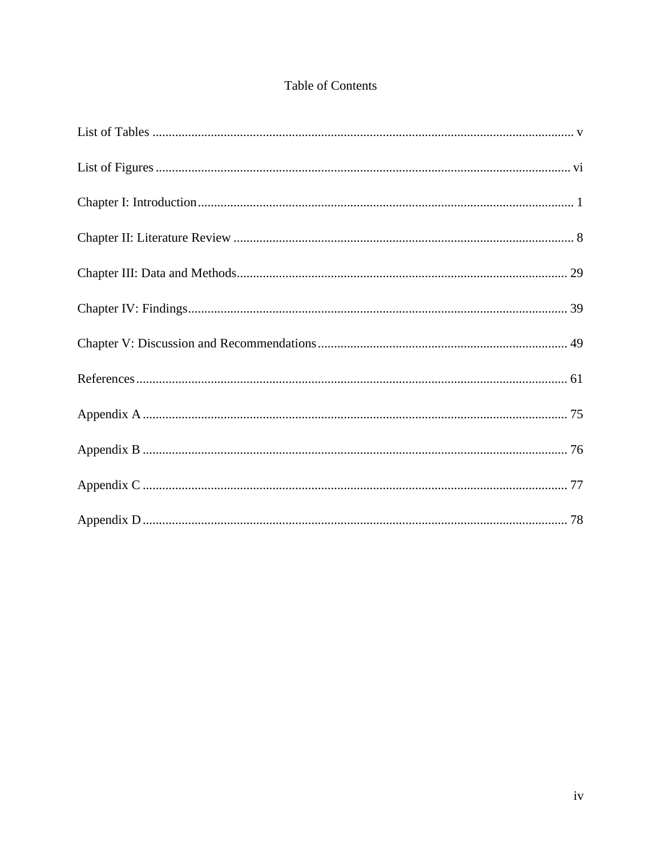# Table of Contents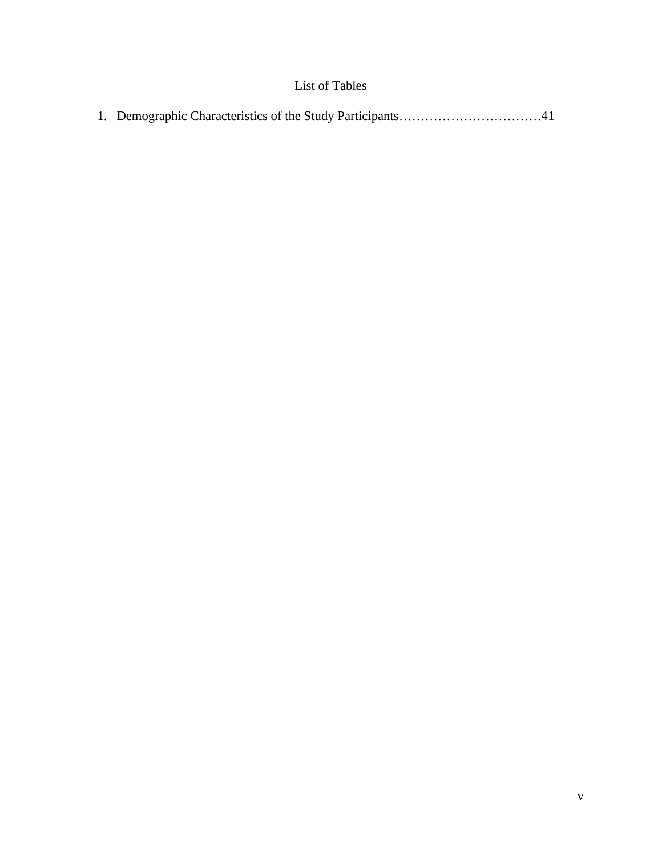# List of Tables

<span id="page-6-0"></span>

|--|--|--|--|--|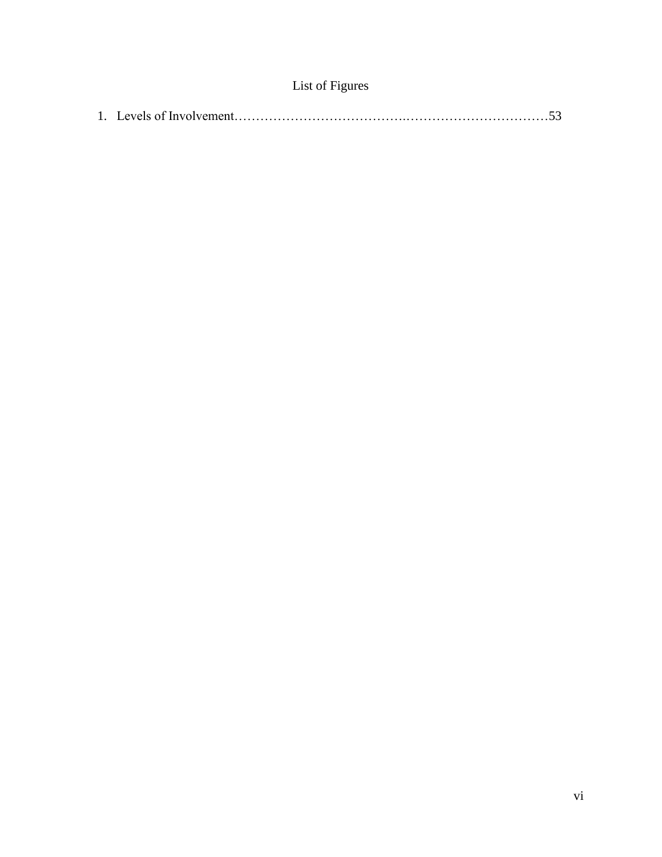| List of Figures |  |  |  |  |
|-----------------|--|--|--|--|
|-----------------|--|--|--|--|

<span id="page-7-0"></span>

|--|--|--|--|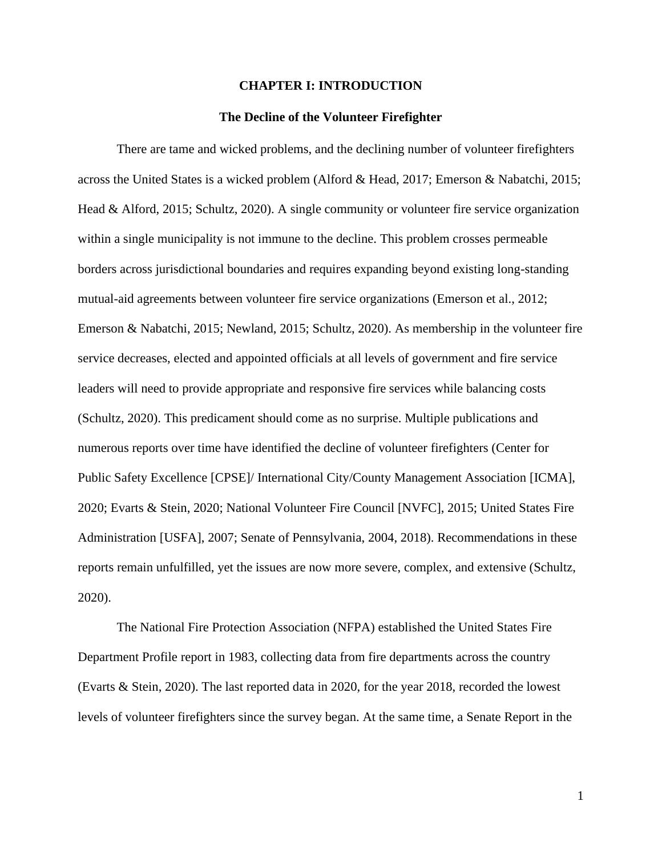## **CHAPTER I: INTRODUCTION**

#### **The Decline of the Volunteer Firefighter**

<span id="page-8-0"></span>There are tame and wicked problems, and the declining number of volunteer firefighters across the United States is a wicked problem (Alford & Head, 2017; Emerson & Nabatchi, 2015; Head & Alford, 2015; Schultz, 2020). A single community or volunteer fire service organization within a single municipality is not immune to the decline. This problem crosses permeable borders across jurisdictional boundaries and requires expanding beyond existing long-standing mutual-aid agreements between volunteer fire service organizations (Emerson et al., 2012; Emerson & Nabatchi, 2015; Newland, 2015; Schultz, 2020). As membership in the volunteer fire service decreases, elected and appointed officials at all levels of government and fire service leaders will need to provide appropriate and responsive fire services while balancing costs (Schultz, 2020). This predicament should come as no surprise. Multiple publications and numerous reports over time have identified the decline of volunteer firefighters (Center for Public Safety Excellence [CPSE]/ International City/County Management Association [ICMA], 2020; Evarts & Stein, 2020; National Volunteer Fire Council [NVFC], 2015; United States Fire Administration [USFA], 2007; Senate of Pennsylvania, 2004, 2018). Recommendations in these reports remain unfulfilled, yet the issues are now more severe, complex, and extensive (Schultz, 2020).

The National Fire Protection Association (NFPA) established the United States Fire Department Profile report in 1983, collecting data from fire departments across the country (Evarts & Stein, 2020). The last reported data in 2020, for the year 2018, recorded the lowest levels of volunteer firefighters since the survey began. At the same time, a Senate Report in the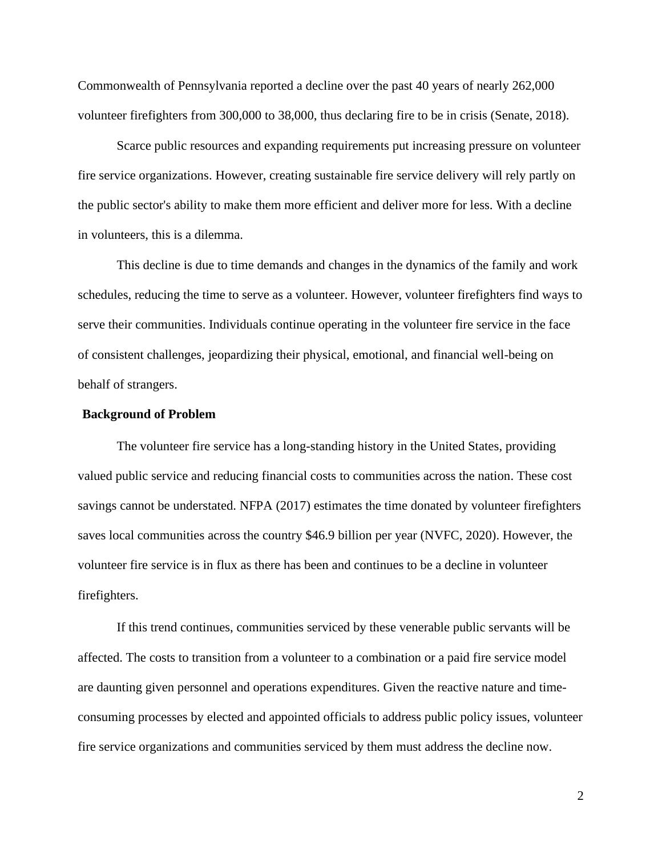Commonwealth of Pennsylvania reported a decline over the past 40 years of nearly 262,000 volunteer firefighters from 300,000 to 38,000, thus declaring fire to be in crisis (Senate, 2018).

Scarce public resources and expanding requirements put increasing pressure on volunteer fire service organizations. However, creating sustainable fire service delivery will rely partly on the public sector's ability to make them more efficient and deliver more for less. With a decline in volunteers, this is a dilemma.

This decline is due to time demands and changes in the dynamics of the family and work schedules, reducing the time to serve as a volunteer. However, volunteer firefighters find ways to serve their communities. Individuals continue operating in the volunteer fire service in the face of consistent challenges, jeopardizing their physical, emotional, and financial well-being on behalf of strangers.

# **Background of Problem**

The volunteer fire service has a long-standing history in the United States, providing valued public service and reducing financial costs to communities across the nation. These cost savings cannot be understated. NFPA (2017) estimates the time donated by volunteer firefighters saves local communities across the country \$46.9 billion per year (NVFC, 2020). However, the volunteer fire service is in flux as there has been and continues to be a decline in volunteer firefighters.

If this trend continues, communities serviced by these venerable public servants will be affected. The costs to transition from a volunteer to a combination or a paid fire service model are daunting given personnel and operations expenditures. Given the reactive nature and timeconsuming processes by elected and appointed officials to address public policy issues, volunteer fire service organizations and communities serviced by them must address the decline now.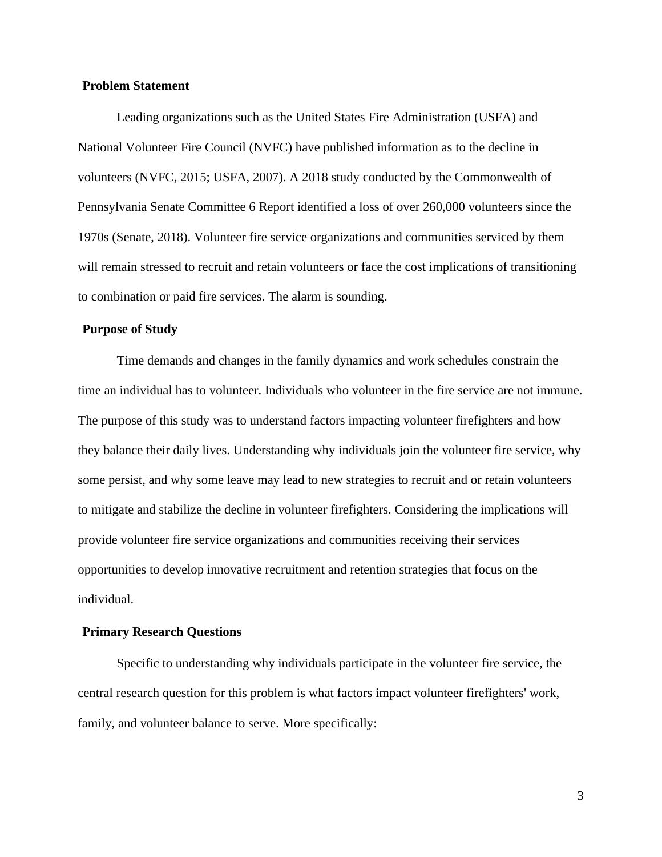# **Problem Statement**

Leading organizations such as the United States Fire Administration (USFA) and National Volunteer Fire Council (NVFC) have published information as to the decline in volunteers (NVFC, 2015; USFA, 2007). A 2018 study conducted by the Commonwealth of Pennsylvania Senate Committee 6 Report identified a loss of over 260,000 volunteers since the 1970s (Senate, 2018). Volunteer fire service organizations and communities serviced by them will remain stressed to recruit and retain volunteers or face the cost implications of transitioning to combination or paid fire services. The alarm is sounding.

## **Purpose of Study**

Time demands and changes in the family dynamics and work schedules constrain the time an individual has to volunteer. Individuals who volunteer in the fire service are not immune. The purpose of this study was to understand factors impacting volunteer firefighters and how they balance their daily lives. Understanding why individuals join the volunteer fire service, why some persist, and why some leave may lead to new strategies to recruit and or retain volunteers to mitigate and stabilize the decline in volunteer firefighters. Considering the implications will provide volunteer fire service organizations and communities receiving their services opportunities to develop innovative recruitment and retention strategies that focus on the individual.

# **Primary Research Questions**

Specific to understanding why individuals participate in the volunteer fire service, the central research question for this problem is what factors impact volunteer firefighters' work, family, and volunteer balance to serve. More specifically: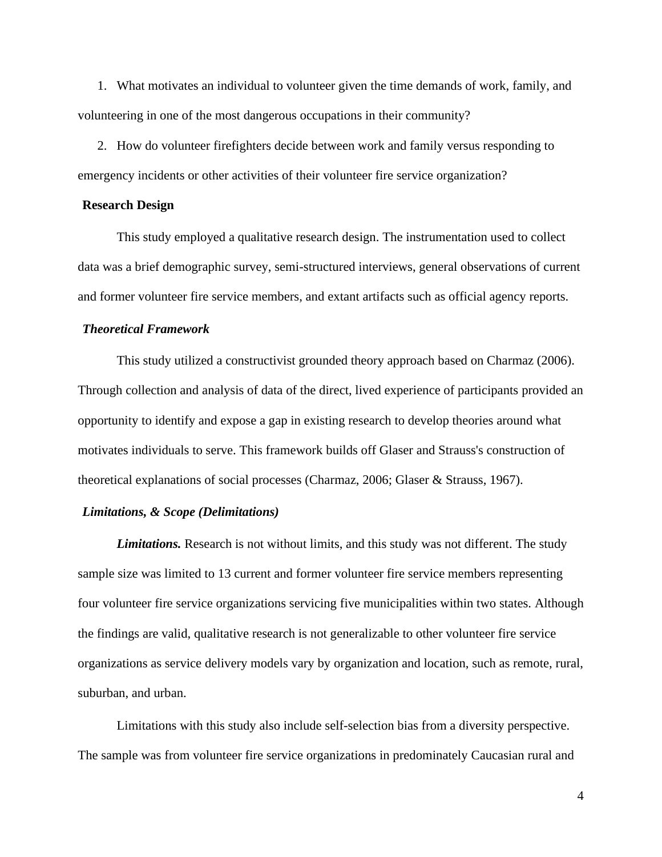1. What motivates an individual to volunteer given the time demands of work, family, and volunteering in one of the most dangerous occupations in their community?

2. How do volunteer firefighters decide between work and family versus responding to emergency incidents or other activities of their volunteer fire service organization?

#### **Research Design**

This study employed a qualitative research design. The instrumentation used to collect data was a brief demographic survey, semi-structured interviews, general observations of current and former volunteer fire service members, and extant artifacts such as official agency reports.

# *Theoretical Framework*

This study utilized a constructivist grounded theory approach based on Charmaz (2006). Through collection and analysis of data of the direct, lived experience of participants provided an opportunity to identify and expose a gap in existing research to develop theories around what motivates individuals to serve. This framework builds off Glaser and Strauss's construction of theoretical explanations of social processes (Charmaz, 2006; Glaser & Strauss, 1967).

# *Limitations, & Scope (Delimitations)*

*Limitations.* Research is not without limits, and this study was not different. The study sample size was limited to 13 current and former volunteer fire service members representing four volunteer fire service organizations servicing five municipalities within two states. Although the findings are valid, qualitative research is not generalizable to other volunteer fire service organizations as service delivery models vary by organization and location, such as remote, rural, suburban, and urban.

Limitations with this study also include self-selection bias from a diversity perspective. The sample was from volunteer fire service organizations in predominately Caucasian rural and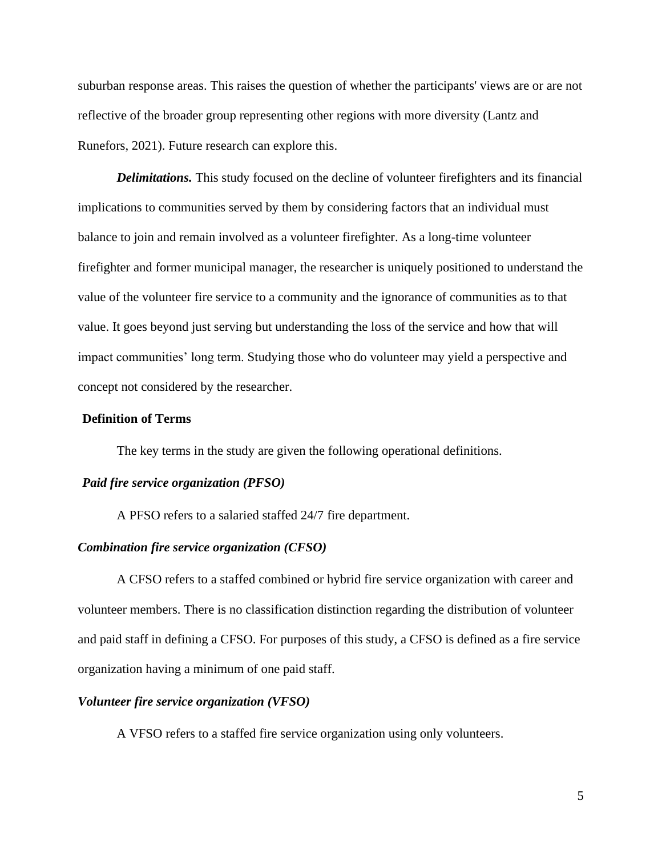suburban response areas. This raises the question of whether the participants' views are or are not reflective of the broader group representing other regions with more diversity (Lantz and Runefors, 2021). Future research can explore this.

*Delimitations.* This study focused on the decline of volunteer firefighters and its financial implications to communities served by them by considering factors that an individual must balance to join and remain involved as a volunteer firefighter. As a long-time volunteer firefighter and former municipal manager, the researcher is uniquely positioned to understand the value of the volunteer fire service to a community and the ignorance of communities as to that value. It goes beyond just serving but understanding the loss of the service and how that will impact communities' long term. Studying those who do volunteer may yield a perspective and concept not considered by the researcher.

# **Definition of Terms**

The key terms in the study are given the following operational definitions.

#### *Paid fire service organization (PFSO)*

A PFSO refers to a salaried staffed 24/7 fire department.

# *Combination fire service organization (CFSO)*

A CFSO refers to a staffed combined or hybrid fire service organization with career and volunteer members. There is no classification distinction regarding the distribution of volunteer and paid staff in defining a CFSO. For purposes of this study, a CFSO is defined as a fire service organization having a minimum of one paid staff.

# *Volunteer fire service organization (VFSO)*

A VFSO refers to a staffed fire service organization using only volunteers.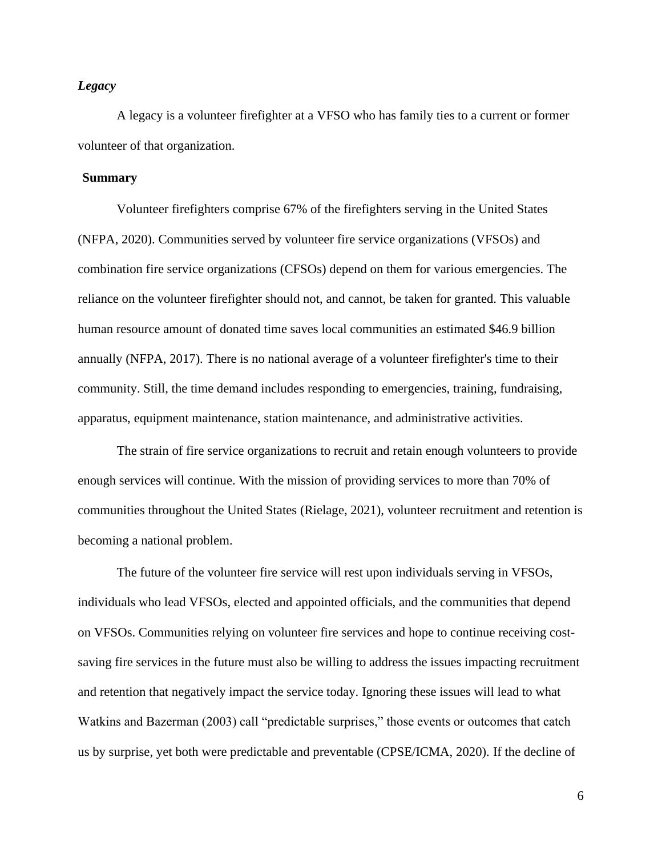# *Legacy*

A legacy is a volunteer firefighter at a VFSO who has family ties to a current or former volunteer of that organization.

# **Summary**

Volunteer firefighters comprise 67% of the firefighters serving in the United States (NFPA, 2020). Communities served by volunteer fire service organizations (VFSOs) and combination fire service organizations (CFSOs) depend on them for various emergencies. The reliance on the volunteer firefighter should not, and cannot, be taken for granted. This valuable human resource amount of donated time saves local communities an estimated \$46.9 billion annually (NFPA, 2017). There is no national average of a volunteer firefighter's time to their community. Still, the time demand includes responding to emergencies, training, fundraising, apparatus, equipment maintenance, station maintenance, and administrative activities.

The strain of fire service organizations to recruit and retain enough volunteers to provide enough services will continue. With the mission of providing services to more than 70% of communities throughout the United States (Rielage, 2021), volunteer recruitment and retention is becoming a national problem.

The future of the volunteer fire service will rest upon individuals serving in VFSOs, individuals who lead VFSOs, elected and appointed officials, and the communities that depend on VFSOs. Communities relying on volunteer fire services and hope to continue receiving costsaving fire services in the future must also be willing to address the issues impacting recruitment and retention that negatively impact the service today. Ignoring these issues will lead to what Watkins and Bazerman (2003) call "predictable surprises," those events or outcomes that catch us by surprise, yet both were predictable and preventable (CPSE/ICMA, 2020). If the decline of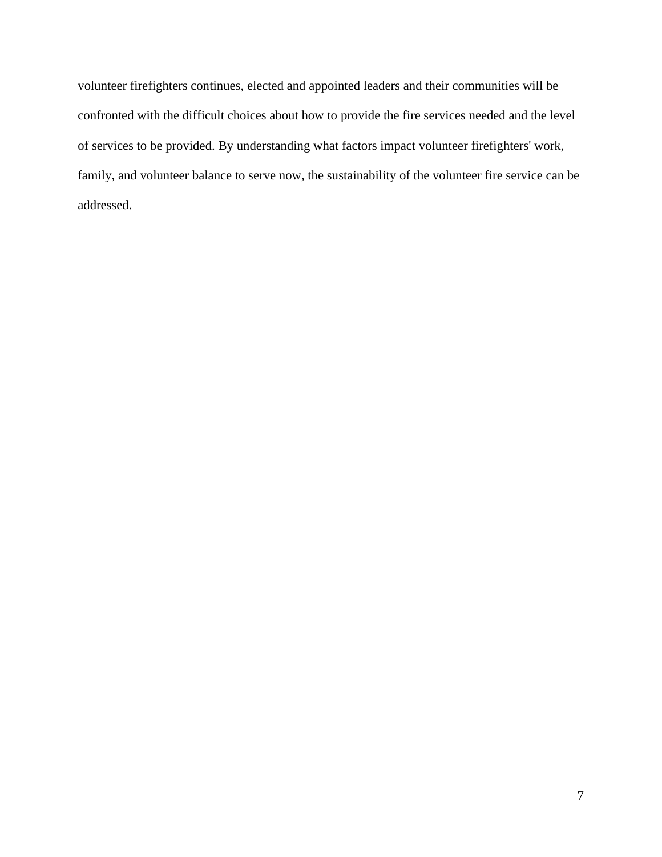volunteer firefighters continues, elected and appointed leaders and their communities will be confronted with the difficult choices about how to provide the fire services needed and the level of services to be provided. By understanding what factors impact volunteer firefighters' work, family, and volunteer balance to serve now, the sustainability of the volunteer fire service can be addressed.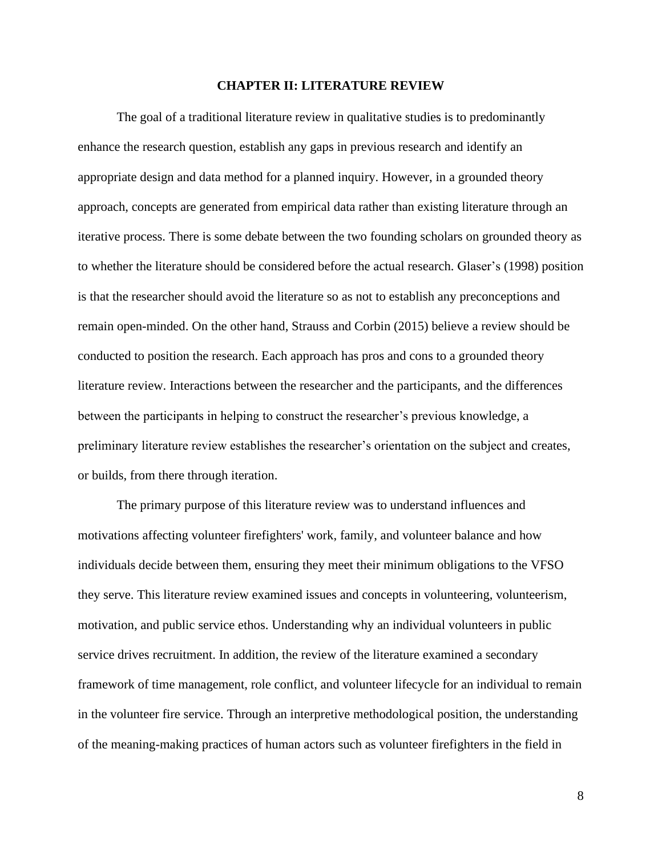## **CHAPTER II: LITERATURE REVIEW**

<span id="page-15-0"></span>The goal of a traditional literature review in qualitative studies is to predominantly enhance the research question, establish any gaps in previous research and identify an appropriate design and data method for a planned inquiry. However, in a grounded theory approach, concepts are generated from empirical data rather than existing literature through an iterative process. There is some debate between the two founding scholars on grounded theory as to whether the literature should be considered before the actual research. Glaser's (1998) position is that the researcher should avoid the literature so as not to establish any preconceptions and remain open-minded. On the other hand, Strauss and Corbin (2015) believe a review should be conducted to position the research. Each approach has pros and cons to a grounded theory literature review. Interactions between the researcher and the participants, and the differences between the participants in helping to construct the researcher's previous knowledge, a preliminary literature review establishes the researcher's orientation on the subject and creates, or builds, from there through iteration.

The primary purpose of this literature review was to understand influences and motivations affecting volunteer firefighters' work, family, and volunteer balance and how individuals decide between them, ensuring they meet their minimum obligations to the VFSO they serve. This literature review examined issues and concepts in volunteering, volunteerism, motivation, and public service ethos. Understanding why an individual volunteers in public service drives recruitment. In addition, the review of the literature examined a secondary framework of time management, role conflict, and volunteer lifecycle for an individual to remain in the volunteer fire service. Through an interpretive methodological position, the understanding of the meaning-making practices of human actors such as volunteer firefighters in the field in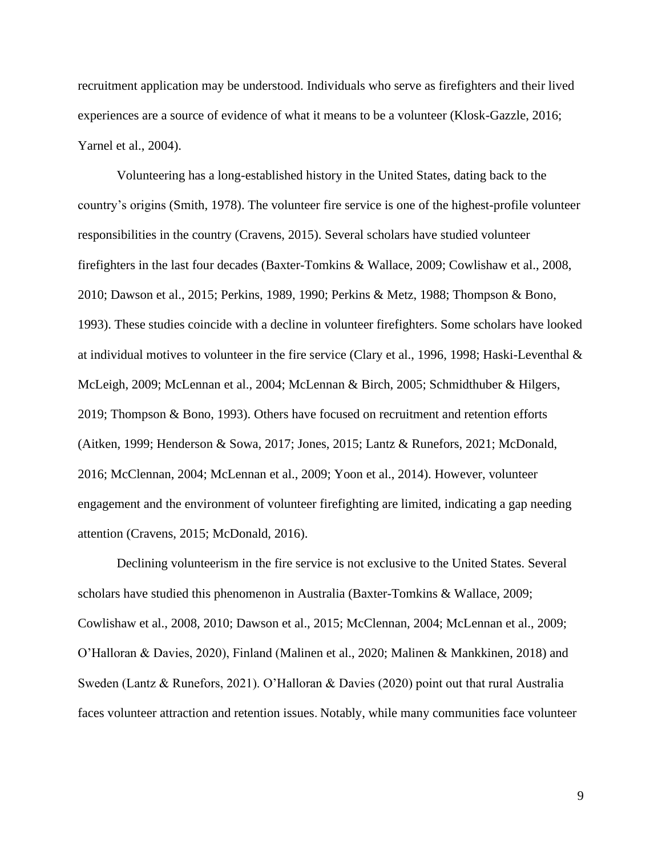recruitment application may be understood. Individuals who serve as firefighters and their lived experiences are a source of evidence of what it means to be a volunteer (Klosk-Gazzle, 2016; Yarnel et al., 2004).

Volunteering has a long-established history in the United States, dating back to the country's origins (Smith, 1978). The volunteer fire service is one of the highest-profile volunteer responsibilities in the country (Cravens, 2015). Several scholars have studied volunteer firefighters in the last four decades (Baxter-Tomkins & Wallace, 2009; Cowlishaw et al., 2008, 2010; Dawson et al., 2015; Perkins, 1989, 1990; Perkins & Metz, 1988; Thompson & Bono, 1993). These studies coincide with a decline in volunteer firefighters. Some scholars have looked at individual motives to volunteer in the fire service (Clary et al., 1996, 1998; Haski-Leventhal & McLeigh, 2009; McLennan et al., 2004; McLennan & Birch, 2005; Schmidthuber & Hilgers, 2019; Thompson & Bono, 1993). Others have focused on recruitment and retention efforts (Aitken, 1999; Henderson & Sowa, 2017; Jones, 2015; Lantz & Runefors, 2021; McDonald, 2016; McClennan, 2004; McLennan et al., 2009; Yoon et al., 2014). However, volunteer engagement and the environment of volunteer firefighting are limited, indicating a gap needing attention (Cravens, 2015; McDonald, 2016).

Declining volunteerism in the fire service is not exclusive to the United States. Several scholars have studied this phenomenon in Australia (Baxter-Tomkins & Wallace, 2009; Cowlishaw et al., 2008, 2010; Dawson et al., 2015; McClennan, 2004; McLennan et al., 2009; O'Halloran & Davies, 2020), Finland (Malinen et al., 2020; Malinen & Mankkinen, 2018) and Sweden (Lantz & Runefors, 2021). O'Halloran & Davies (2020) point out that rural Australia faces volunteer attraction and retention issues. Notably, while many communities face volunteer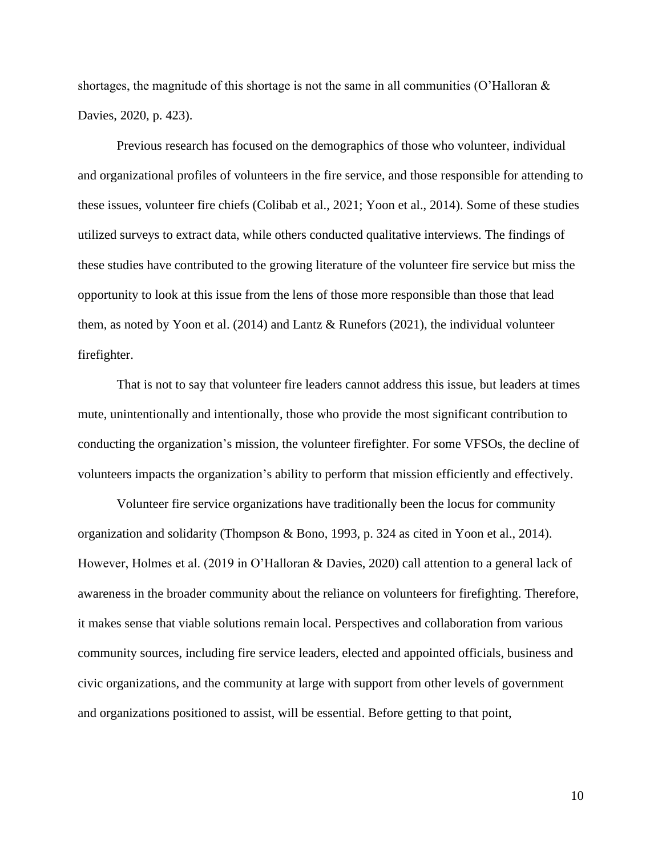shortages, the magnitude of this shortage is not the same in all communities (O'Halloran  $\&$ Davies, 2020, p. 423).

Previous research has focused on the demographics of those who volunteer, individual and organizational profiles of volunteers in the fire service, and those responsible for attending to these issues, volunteer fire chiefs (Colibab et al., 2021; Yoon et al., 2014). Some of these studies utilized surveys to extract data, while others conducted qualitative interviews. The findings of these studies have contributed to the growing literature of the volunteer fire service but miss the opportunity to look at this issue from the lens of those more responsible than those that lead them, as noted by Yoon et al. (2014) and Lantz & Runefors (2021), the individual volunteer firefighter.

That is not to say that volunteer fire leaders cannot address this issue, but leaders at times mute, unintentionally and intentionally, those who provide the most significant contribution to conducting the organization's mission, the volunteer firefighter. For some VFSOs, the decline of volunteers impacts the organization's ability to perform that mission efficiently and effectively.

Volunteer fire service organizations have traditionally been the locus for community organization and solidarity (Thompson & Bono, 1993, p. 324 as cited in Yoon et al., 2014). However, Holmes et al. (2019 in O'Halloran & Davies, 2020) call attention to a general lack of awareness in the broader community about the reliance on volunteers for firefighting. Therefore, it makes sense that viable solutions remain local. Perspectives and collaboration from various community sources, including fire service leaders, elected and appointed officials, business and civic organizations, and the community at large with support from other levels of government and organizations positioned to assist, will be essential. Before getting to that point,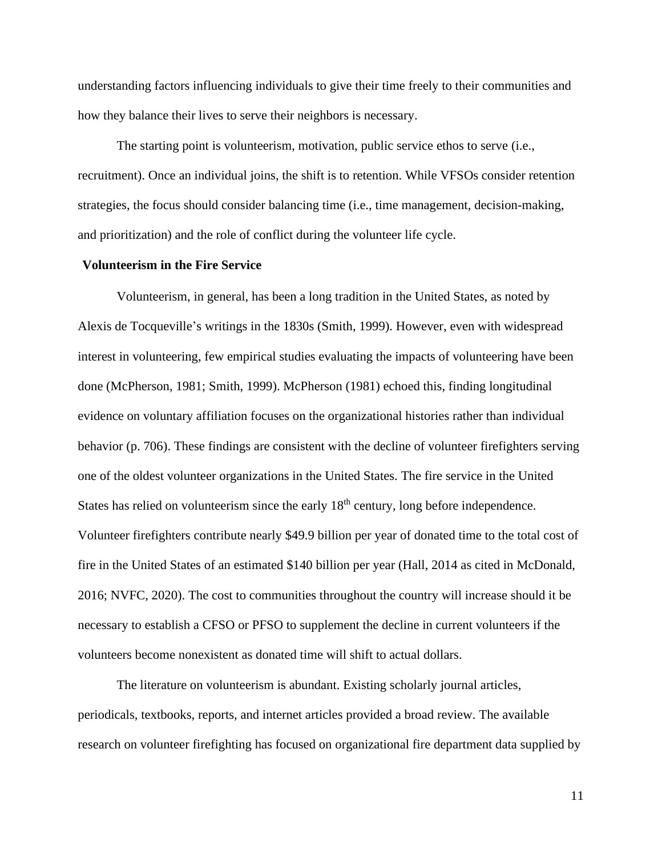understanding factors influencing individuals to give their time freely to their communities and how they balance their lives to serve their neighbors is necessary.

The starting point is volunteerism, motivation, public service ethos to serve (i.e., recruitment). Once an individual joins, the shift is to retention. While VFSOs consider retention strategies, the focus should consider balancing time (i.e., time management, decision-making, and prioritization) and the role of conflict during the volunteer life cycle.

# **Volunteerism in the Fire Service**

Volunteerism, in general, has been a long tradition in the United States, as noted by Alexis de Tocqueville's writings in the 1830s (Smith, 1999). However, even with widespread interest in volunteering, few empirical studies evaluating the impacts of volunteering have been done (McPherson, 1981; Smith, 1999). McPherson (1981) echoed this, finding longitudinal evidence on voluntary affiliation focuses on the organizational histories rather than individual behavior (p. 706). These findings are consistent with the decline of volunteer firefighters serving one of the oldest volunteer organizations in the United States. The fire service in the United States has relied on volunteerism since the early  $18<sup>th</sup>$  century, long before independence. Volunteer firefighters contribute nearly \$49.9 billion per year of donated time to the total cost of fire in the United States of an estimated \$140 billion per year (Hall, 2014 as cited in McDonald, 2016; NVFC, 2020). The cost to communities throughout the country will increase should it be necessary to establish a CFSO or PFSO to supplement the decline in current volunteers if the volunteers become nonexistent as donated time will shift to actual dollars.

The literature on volunteerism is abundant. Existing scholarly journal articles, periodicals, textbooks, reports, and internet articles provided a broad review. The available research on volunteer firefighting has focused on organizational fire department data supplied by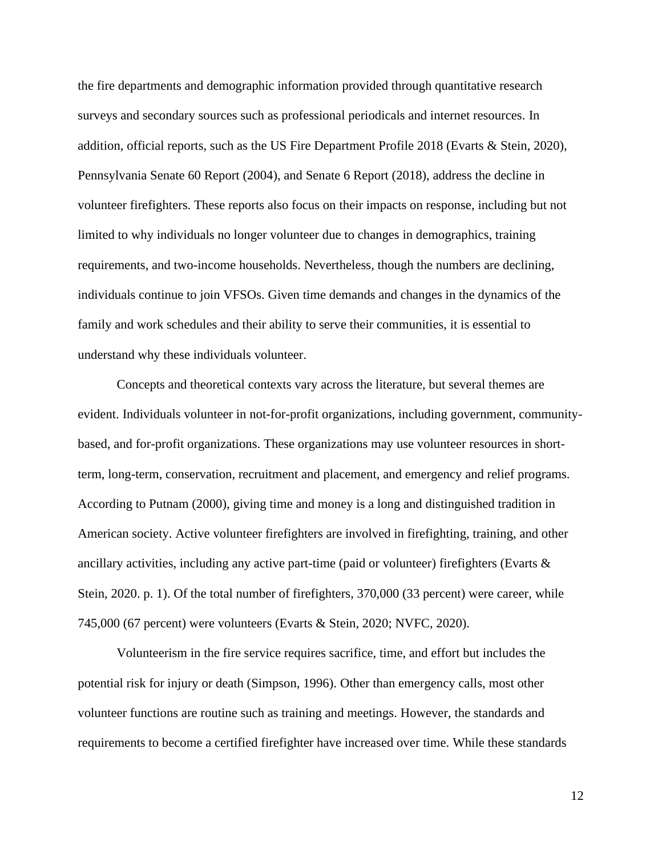the fire departments and demographic information provided through quantitative research surveys and secondary sources such as professional periodicals and internet resources. In addition, official reports, such as the US Fire Department Profile 2018 (Evarts & Stein, 2020), Pennsylvania Senate 60 Report (2004), and Senate 6 Report (2018), address the decline in volunteer firefighters. These reports also focus on their impacts on response, including but not limited to why individuals no longer volunteer due to changes in demographics, training requirements, and two-income households. Nevertheless, though the numbers are declining, individuals continue to join VFSOs. Given time demands and changes in the dynamics of the family and work schedules and their ability to serve their communities, it is essential to understand why these individuals volunteer.

Concepts and theoretical contexts vary across the literature, but several themes are evident. Individuals volunteer in not-for-profit organizations, including government, communitybased, and for-profit organizations. These organizations may use volunteer resources in shortterm, long-term, conservation, recruitment and placement, and emergency and relief programs. According to Putnam (2000), giving time and money is a long and distinguished tradition in American society. Active volunteer firefighters are involved in firefighting, training, and other ancillary activities, including any active part-time (paid or volunteer) firefighters (Evarts & Stein, 2020. p. 1). Of the total number of firefighters, 370,000 (33 percent) were career, while 745,000 (67 percent) were volunteers (Evarts & Stein, 2020; NVFC, 2020).

Volunteerism in the fire service requires sacrifice, time, and effort but includes the potential risk for injury or death (Simpson, 1996). Other than emergency calls, most other volunteer functions are routine such as training and meetings. However, the standards and requirements to become a certified firefighter have increased over time. While these standards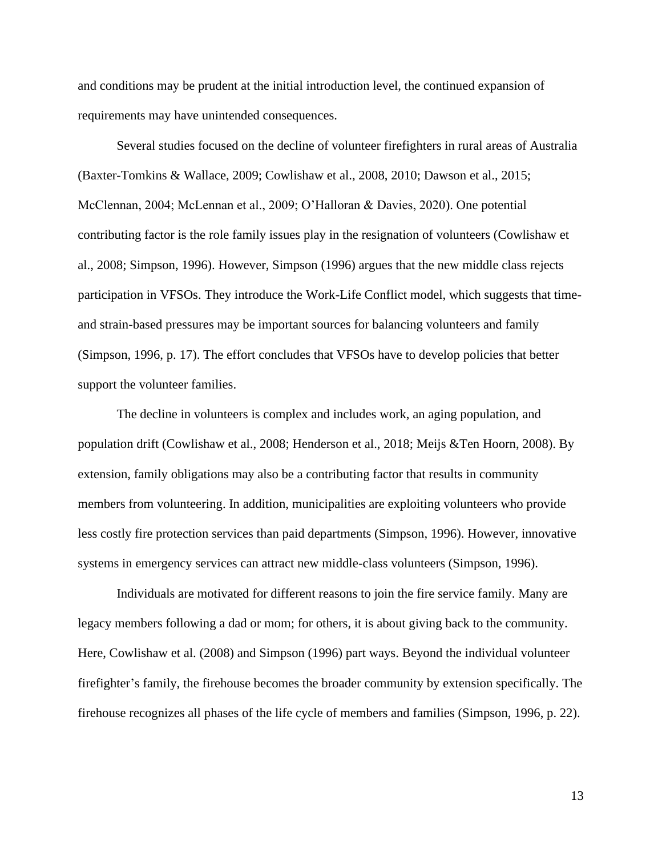and conditions may be prudent at the initial introduction level, the continued expansion of requirements may have unintended consequences.

Several studies focused on the decline of volunteer firefighters in rural areas of Australia (Baxter-Tomkins & Wallace, 2009; Cowlishaw et al., 2008, 2010; Dawson et al., 2015; McClennan, 2004; McLennan et al., 2009; O'Halloran & Davies, 2020). One potential contributing factor is the role family issues play in the resignation of volunteers (Cowlishaw et al., 2008; Simpson, 1996). However, Simpson (1996) argues that the new middle class rejects participation in VFSOs. They introduce the Work-Life Conflict model, which suggests that timeand strain-based pressures may be important sources for balancing volunteers and family (Simpson, 1996, p. 17). The effort concludes that VFSOs have to develop policies that better support the volunteer families.

The decline in volunteers is complex and includes work, an aging population, and population drift (Cowlishaw et al., 2008; Henderson et al., 2018; Meijs &Ten Hoorn, 2008). By extension, family obligations may also be a contributing factor that results in community members from volunteering. In addition, municipalities are exploiting volunteers who provide less costly fire protection services than paid departments (Simpson, 1996). However, innovative systems in emergency services can attract new middle-class volunteers (Simpson, 1996).

Individuals are motivated for different reasons to join the fire service family. Many are legacy members following a dad or mom; for others, it is about giving back to the community. Here, Cowlishaw et al. (2008) and Simpson (1996) part ways. Beyond the individual volunteer firefighter's family, the firehouse becomes the broader community by extension specifically. The firehouse recognizes all phases of the life cycle of members and families (Simpson, 1996, p. 22).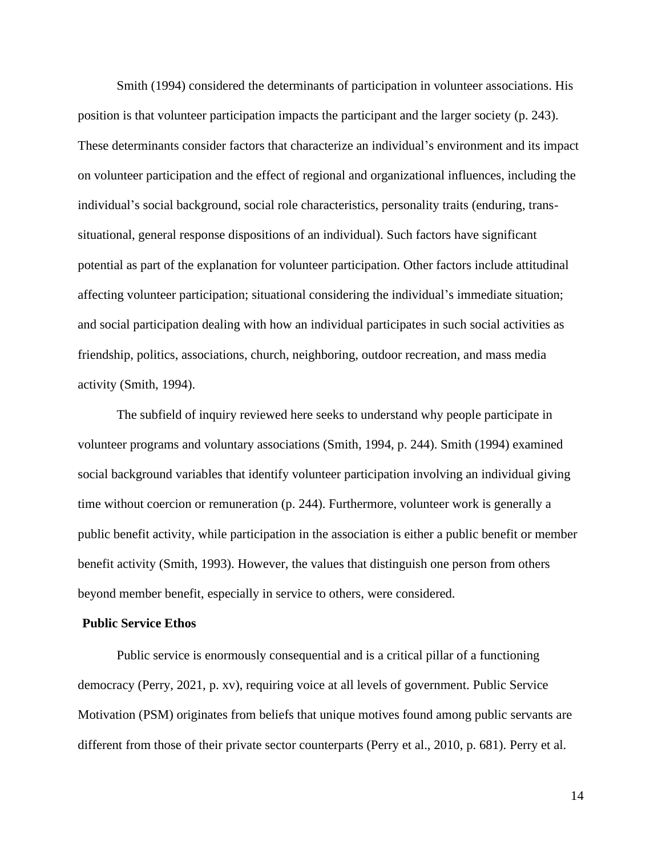Smith (1994) considered the determinants of participation in volunteer associations. His position is that volunteer participation impacts the participant and the larger society (p. 243). These determinants consider factors that characterize an individual's environment and its impact on volunteer participation and the effect of regional and organizational influences, including the individual's social background, social role characteristics, personality traits (enduring, transsituational, general response dispositions of an individual). Such factors have significant potential as part of the explanation for volunteer participation. Other factors include attitudinal affecting volunteer participation; situational considering the individual's immediate situation; and social participation dealing with how an individual participates in such social activities as friendship, politics, associations, church, neighboring, outdoor recreation, and mass media activity (Smith, 1994).

The subfield of inquiry reviewed here seeks to understand why people participate in volunteer programs and voluntary associations (Smith, 1994, p. 244). Smith (1994) examined social background variables that identify volunteer participation involving an individual giving time without coercion or remuneration (p. 244). Furthermore, volunteer work is generally a public benefit activity, while participation in the association is either a public benefit or member benefit activity (Smith, 1993). However, the values that distinguish one person from others beyond member benefit, especially in service to others, were considered.

# **Public Service Ethos**

Public service is enormously consequential and is a critical pillar of a functioning democracy (Perry, 2021, p. xv), requiring voice at all levels of government. Public Service Motivation (PSM) originates from beliefs that unique motives found among public servants are different from those of their private sector counterparts (Perry et al., 2010, p. 681). Perry et al.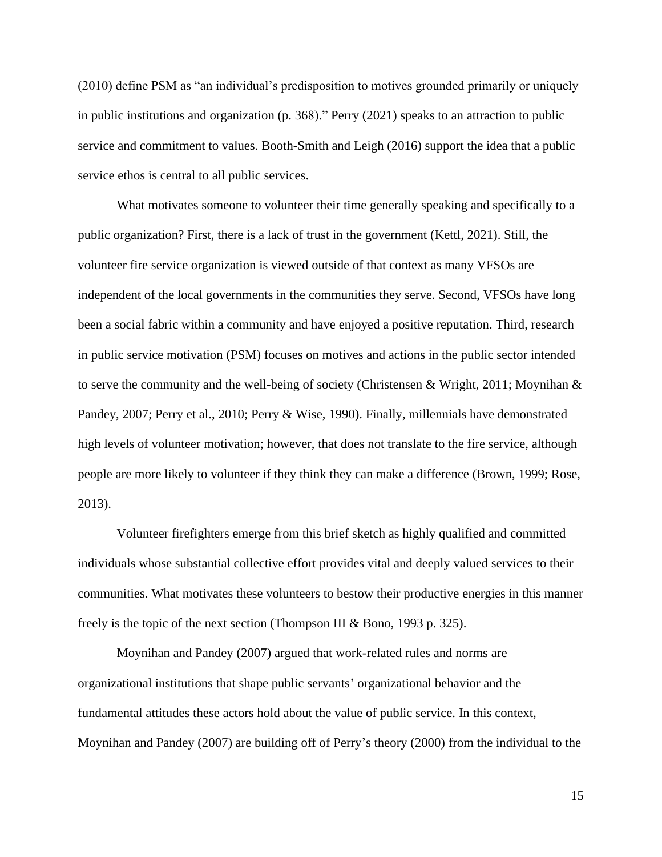(2010) define PSM as "an individual's predisposition to motives grounded primarily or uniquely in public institutions and organization (p. 368)." Perry (2021) speaks to an attraction to public service and commitment to values. Booth-Smith and Leigh (2016) support the idea that a public service ethos is central to all public services.

What motivates someone to volunteer their time generally speaking and specifically to a public organization? First, there is a lack of trust in the government (Kettl, 2021). Still, the volunteer fire service organization is viewed outside of that context as many VFSOs are independent of the local governments in the communities they serve. Second, VFSOs have long been a social fabric within a community and have enjoyed a positive reputation. Third, research in public service motivation (PSM) focuses on motives and actions in the public sector intended to serve the community and the well-being of society (Christensen & Wright, 2011; Moynihan & Pandey, 2007; Perry et al., 2010; Perry & Wise, 1990). Finally, millennials have demonstrated high levels of volunteer motivation; however, that does not translate to the fire service, although people are more likely to volunteer if they think they can make a difference (Brown, 1999; Rose, 2013).

Volunteer firefighters emerge from this brief sketch as highly qualified and committed individuals whose substantial collective effort provides vital and deeply valued services to their communities. What motivates these volunteers to bestow their productive energies in this manner freely is the topic of the next section (Thompson III & Bono, 1993 p. 325).

Moynihan and Pandey (2007) argued that work-related rules and norms are organizational institutions that shape public servants' organizational behavior and the fundamental attitudes these actors hold about the value of public service. In this context, Moynihan and Pandey (2007) are building off of Perry's theory (2000) from the individual to the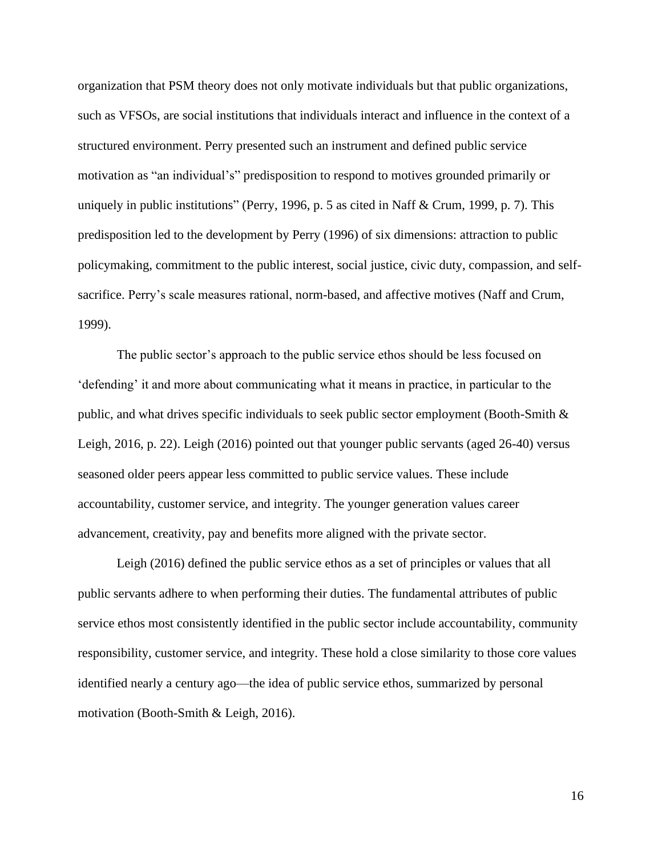organization that PSM theory does not only motivate individuals but that public organizations, such as VFSOs, are social institutions that individuals interact and influence in the context of a structured environment. Perry presented such an instrument and defined public service motivation as "an individual's" predisposition to respond to motives grounded primarily or uniquely in public institutions" (Perry, 1996, p. 5 as cited in Naff & Crum, 1999, p. 7). This predisposition led to the development by Perry (1996) of six dimensions: attraction to public policymaking, commitment to the public interest, social justice, civic duty, compassion, and selfsacrifice. Perry's scale measures rational, norm-based, and affective motives (Naff and Crum, 1999).

The public sector's approach to the public service ethos should be less focused on 'defending' it and more about communicating what it means in practice, in particular to the public, and what drives specific individuals to seek public sector employment (Booth-Smith & Leigh, 2016, p. 22). Leigh (2016) pointed out that younger public servants (aged 26-40) versus seasoned older peers appear less committed to public service values. These include accountability, customer service, and integrity. The younger generation values career advancement, creativity, pay and benefits more aligned with the private sector.

Leigh (2016) defined the public service ethos as a set of principles or values that all public servants adhere to when performing their duties. The fundamental attributes of public service ethos most consistently identified in the public sector include accountability, community responsibility, customer service, and integrity. These hold a close similarity to those core values identified nearly a century ago—the idea of public service ethos, summarized by personal motivation (Booth-Smith & Leigh, 2016).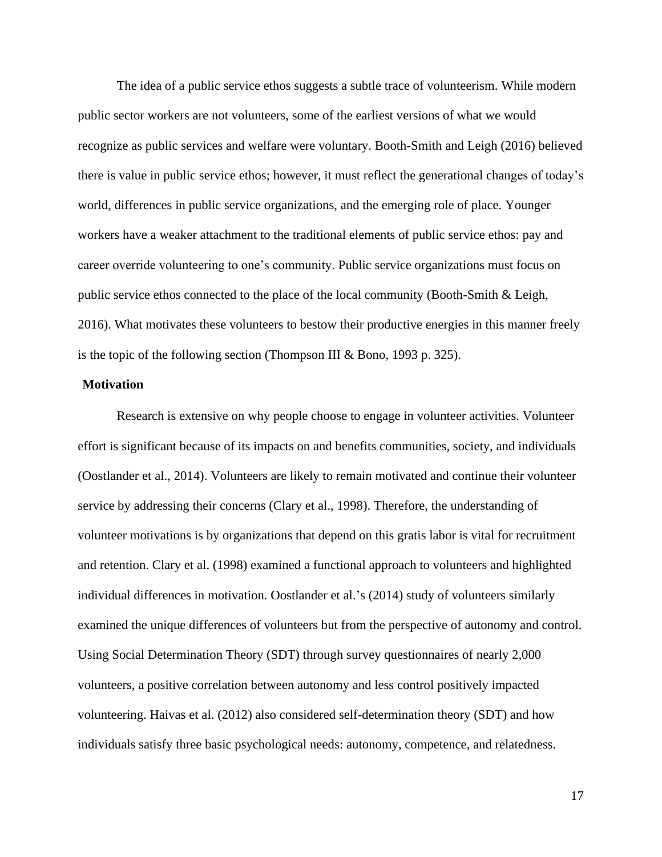The idea of a public service ethos suggests a subtle trace of volunteerism. While modern public sector workers are not volunteers, some of the earliest versions of what we would recognize as public services and welfare were voluntary. Booth-Smith and Leigh (2016) believed there is value in public service ethos; however, it must reflect the generational changes of today's world, differences in public service organizations, and the emerging role of place. Younger workers have a weaker attachment to the traditional elements of public service ethos: pay and career override volunteering to one's community. Public service organizations must focus on public service ethos connected to the place of the local community (Booth-Smith & Leigh, 2016). What motivates these volunteers to bestow their productive energies in this manner freely is the topic of the following section (Thompson III & Bono, 1993 p. 325).

# **Motivation**

Research is extensive on why people choose to engage in volunteer activities. Volunteer effort is significant because of its impacts on and benefits communities, society, and individuals (Oostlander et al., 2014). Volunteers are likely to remain motivated and continue their volunteer service by addressing their concerns (Clary et al., 1998). Therefore, the understanding of volunteer motivations is by organizations that depend on this gratis labor is vital for recruitment and retention. Clary et al. (1998) examined a functional approach to volunteers and highlighted individual differences in motivation. Oostlander et al.'s (2014) study of volunteers similarly examined the unique differences of volunteers but from the perspective of autonomy and control. Using Social Determination Theory (SDT) through survey questionnaires of nearly 2,000 volunteers, a positive correlation between autonomy and less control positively impacted volunteering. Haivas et al. (2012) also considered self-determination theory (SDT) and how individuals satisfy three basic psychological needs: autonomy, competence, and relatedness.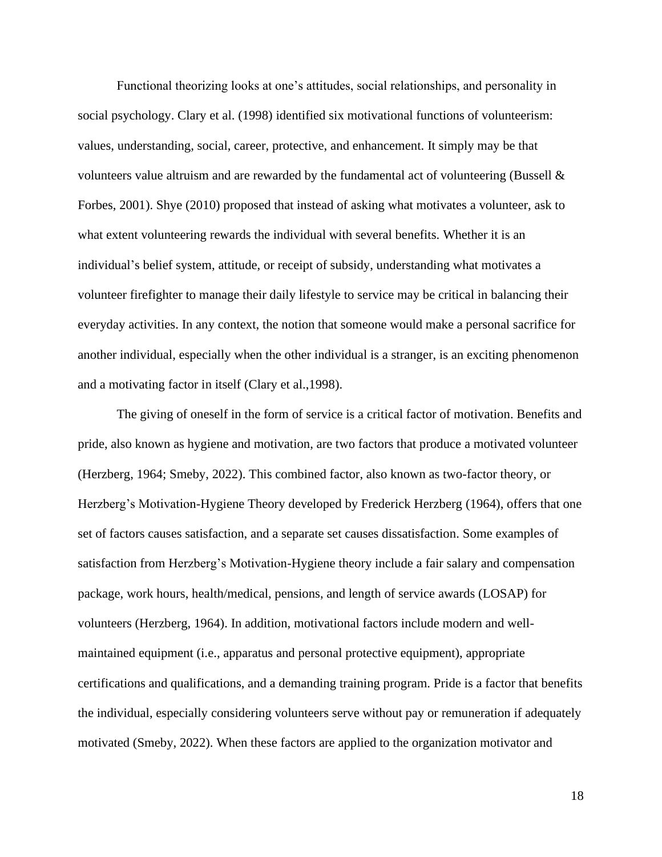Functional theorizing looks at one's attitudes, social relationships, and personality in social psychology. Clary et al. (1998) identified six motivational functions of volunteerism: values, understanding, social, career, protective, and enhancement. It simply may be that volunteers value altruism and are rewarded by the fundamental act of volunteering (Bussell  $\&$ Forbes, 2001). Shye (2010) proposed that instead of asking what motivates a volunteer, ask to what extent volunteering rewards the individual with several benefits. Whether it is an individual's belief system, attitude, or receipt of subsidy, understanding what motivates a volunteer firefighter to manage their daily lifestyle to service may be critical in balancing their everyday activities. In any context, the notion that someone would make a personal sacrifice for another individual, especially when the other individual is a stranger, is an exciting phenomenon and a motivating factor in itself (Clary et al.,1998).

The giving of oneself in the form of service is a critical factor of motivation. Benefits and pride, also known as hygiene and motivation, are two factors that produce a motivated volunteer (Herzberg, 1964; Smeby, 2022). This combined factor, also known as two-factor theory, or Herzberg's Motivation-Hygiene Theory developed by Frederick Herzberg (1964), offers that one set of factors causes satisfaction, and a separate set causes dissatisfaction. Some examples of satisfaction from Herzberg's Motivation-Hygiene theory include a fair salary and compensation package, work hours, health/medical, pensions, and length of service awards (LOSAP) for volunteers (Herzberg, 1964). In addition, motivational factors include modern and wellmaintained equipment (i.e., apparatus and personal protective equipment), appropriate certifications and qualifications, and a demanding training program. Pride is a factor that benefits the individual, especially considering volunteers serve without pay or remuneration if adequately motivated (Smeby, 2022). When these factors are applied to the organization motivator and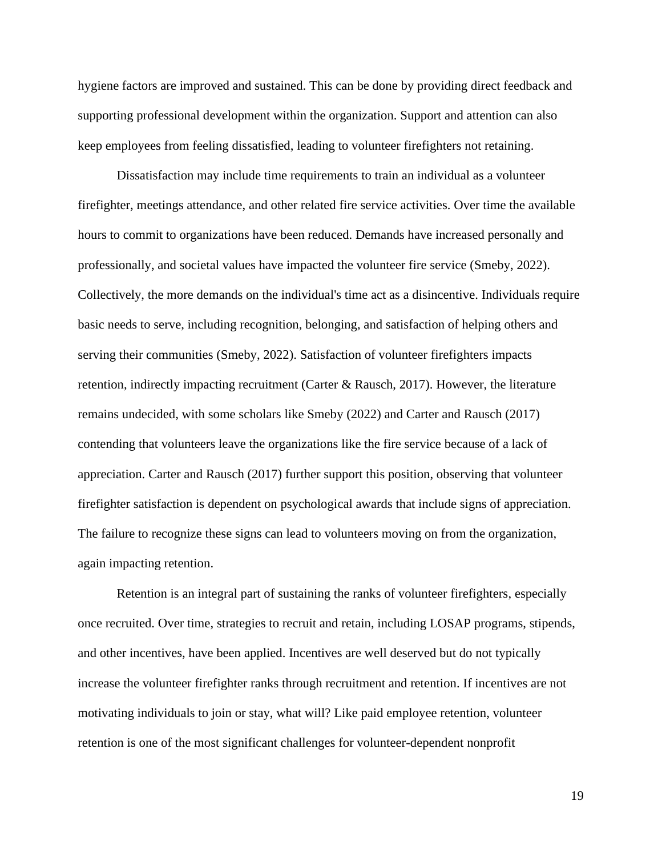hygiene factors are improved and sustained. This can be done by providing direct feedback and supporting professional development within the organization. Support and attention can also keep employees from feeling dissatisfied, leading to volunteer firefighters not retaining.

Dissatisfaction may include time requirements to train an individual as a volunteer firefighter, meetings attendance, and other related fire service activities. Over time the available hours to commit to organizations have been reduced. Demands have increased personally and professionally, and societal values have impacted the volunteer fire service (Smeby, 2022). Collectively, the more demands on the individual's time act as a disincentive. Individuals require basic needs to serve, including recognition, belonging, and satisfaction of helping others and serving their communities (Smeby, 2022). Satisfaction of volunteer firefighters impacts retention, indirectly impacting recruitment (Carter & Rausch, 2017). However, the literature remains undecided, with some scholars like Smeby (2022) and Carter and Rausch (2017) contending that volunteers leave the organizations like the fire service because of a lack of appreciation. Carter and Rausch (2017) further support this position, observing that volunteer firefighter satisfaction is dependent on psychological awards that include signs of appreciation. The failure to recognize these signs can lead to volunteers moving on from the organization, again impacting retention.

Retention is an integral part of sustaining the ranks of volunteer firefighters, especially once recruited. Over time, strategies to recruit and retain, including LOSAP programs, stipends, and other incentives, have been applied. Incentives are well deserved but do not typically increase the volunteer firefighter ranks through recruitment and retention. If incentives are not motivating individuals to join or stay, what will? Like paid employee retention, volunteer retention is one of the most significant challenges for volunteer-dependent nonprofit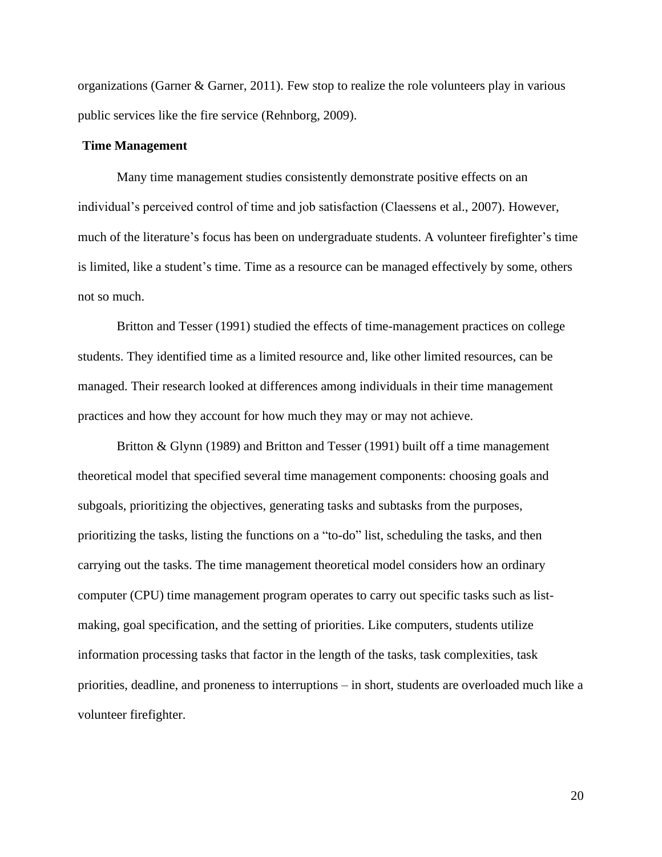organizations (Garner & Garner, 2011). Few stop to realize the role volunteers play in various public services like the fire service (Rehnborg, 2009).

#### **Time Management**

Many time management studies consistently demonstrate positive effects on an individual's perceived control of time and job satisfaction (Claessens et al., 2007). However, much of the literature's focus has been on undergraduate students. A volunteer firefighter's time is limited, like a student's time. Time as a resource can be managed effectively by some, others not so much.

Britton and Tesser (1991) studied the effects of time-management practices on college students. They identified time as a limited resource and, like other limited resources, can be managed. Their research looked at differences among individuals in their time management practices and how they account for how much they may or may not achieve.

Britton & Glynn (1989) and Britton and Tesser (1991) built off a time management theoretical model that specified several time management components: choosing goals and subgoals, prioritizing the objectives, generating tasks and subtasks from the purposes, prioritizing the tasks, listing the functions on a "to-do" list, scheduling the tasks, and then carrying out the tasks. The time management theoretical model considers how an ordinary computer (CPU) time management program operates to carry out specific tasks such as listmaking, goal specification, and the setting of priorities. Like computers, students utilize information processing tasks that factor in the length of the tasks, task complexities, task priorities, deadline, and proneness to interruptions – in short, students are overloaded much like a volunteer firefighter.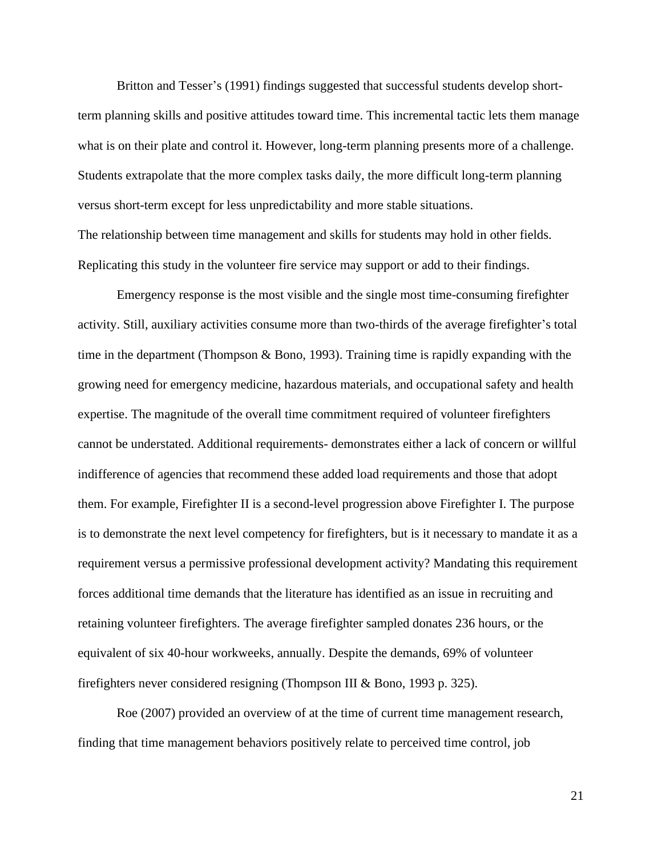Britton and Tesser's (1991) findings suggested that successful students develop shortterm planning skills and positive attitudes toward time. This incremental tactic lets them manage what is on their plate and control it. However, long-term planning presents more of a challenge. Students extrapolate that the more complex tasks daily, the more difficult long-term planning versus short-term except for less unpredictability and more stable situations. The relationship between time management and skills for students may hold in other fields. Replicating this study in the volunteer fire service may support or add to their findings.

Emergency response is the most visible and the single most time-consuming firefighter activity. Still, auxiliary activities consume more than two-thirds of the average firefighter's total time in the department (Thompson  $\&$  Bono, 1993). Training time is rapidly expanding with the growing need for emergency medicine, hazardous materials, and occupational safety and health expertise. The magnitude of the overall time commitment required of volunteer firefighters cannot be understated. Additional requirements- demonstrates either a lack of concern or willful indifference of agencies that recommend these added load requirements and those that adopt them. For example, Firefighter II is a second-level progression above Firefighter I. The purpose is to demonstrate the next level competency for firefighters, but is it necessary to mandate it as a requirement versus a permissive professional development activity? Mandating this requirement forces additional time demands that the literature has identified as an issue in recruiting and retaining volunteer firefighters. The average firefighter sampled donates 236 hours, or the equivalent of six 40-hour workweeks, annually. Despite the demands, 69% of volunteer firefighters never considered resigning (Thompson III & Bono, 1993 p. 325).

Roe (2007) provided an overview of at the time of current time management research, finding that time management behaviors positively relate to perceived time control, job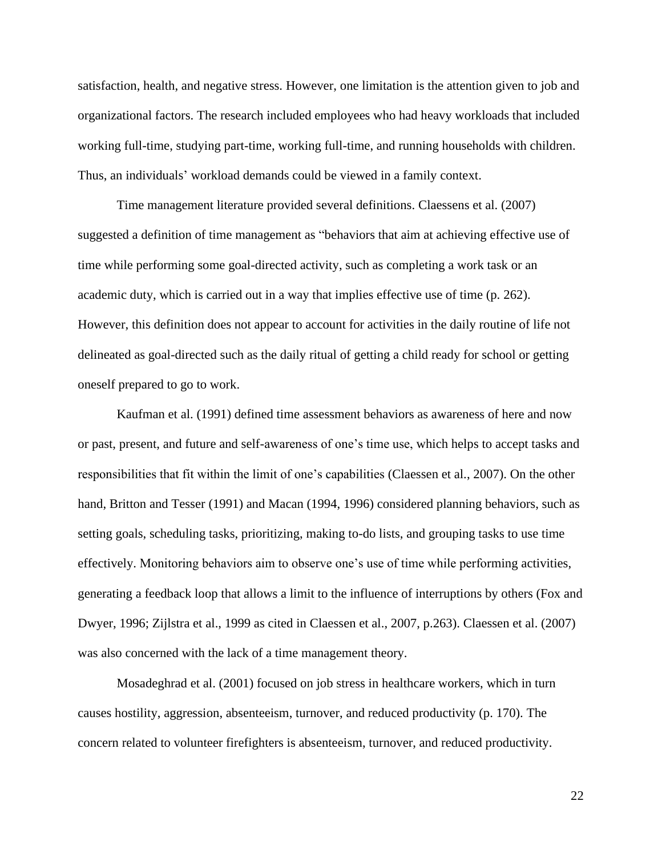satisfaction, health, and negative stress. However, one limitation is the attention given to job and organizational factors. The research included employees who had heavy workloads that included working full-time, studying part-time, working full-time, and running households with children. Thus, an individuals' workload demands could be viewed in a family context.

Time management literature provided several definitions. Claessens et al. (2007) suggested a definition of time management as "behaviors that aim at achieving effective use of time while performing some goal-directed activity, such as completing a work task or an academic duty, which is carried out in a way that implies effective use of time (p. 262). However, this definition does not appear to account for activities in the daily routine of life not delineated as goal-directed such as the daily ritual of getting a child ready for school or getting oneself prepared to go to work.

Kaufman et al. (1991) defined time assessment behaviors as awareness of here and now or past, present, and future and self-awareness of one's time use, which helps to accept tasks and responsibilities that fit within the limit of one's capabilities (Claessen et al., 2007). On the other hand, Britton and Tesser (1991) and Macan (1994, 1996) considered planning behaviors, such as setting goals, scheduling tasks, prioritizing, making to-do lists, and grouping tasks to use time effectively. Monitoring behaviors aim to observe one's use of time while performing activities, generating a feedback loop that allows a limit to the influence of interruptions by others (Fox and Dwyer, 1996; Zijlstra et al., 1999 as cited in Claessen et al., 2007, p.263). Claessen et al. (2007) was also concerned with the lack of a time management theory.

Mosadeghrad et al. (2001) focused on job stress in healthcare workers, which in turn causes hostility, aggression, absenteeism, turnover, and reduced productivity (p. 170). The concern related to volunteer firefighters is absenteeism, turnover, and reduced productivity.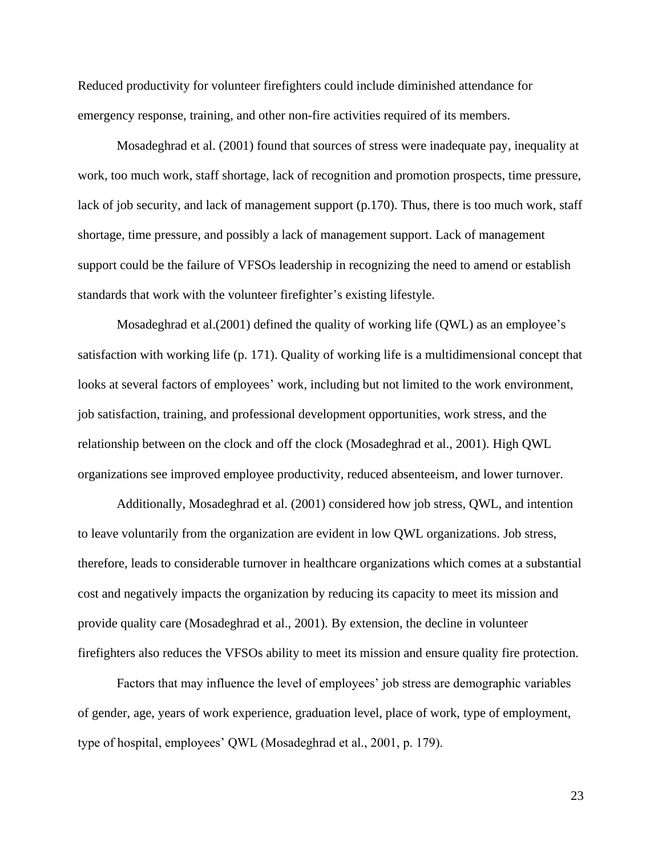Reduced productivity for volunteer firefighters could include diminished attendance for emergency response, training, and other non-fire activities required of its members.

Mosadeghrad et al. (2001) found that sources of stress were inadequate pay, inequality at work, too much work, staff shortage, lack of recognition and promotion prospects, time pressure, lack of job security, and lack of management support (p.170). Thus, there is too much work, staff shortage, time pressure, and possibly a lack of management support. Lack of management support could be the failure of VFSOs leadership in recognizing the need to amend or establish standards that work with the volunteer firefighter's existing lifestyle.

Mosadeghrad et al.(2001) defined the quality of working life (QWL) as an employee's satisfaction with working life (p. 171). Quality of working life is a multidimensional concept that looks at several factors of employees' work, including but not limited to the work environment, job satisfaction, training, and professional development opportunities, work stress, and the relationship between on the clock and off the clock (Mosadeghrad et al., 2001). High QWL organizations see improved employee productivity, reduced absenteeism, and lower turnover.

Additionally, Mosadeghrad et al. (2001) considered how job stress, QWL, and intention to leave voluntarily from the organization are evident in low QWL organizations. Job stress, therefore, leads to considerable turnover in healthcare organizations which comes at a substantial cost and negatively impacts the organization by reducing its capacity to meet its mission and provide quality care (Mosadeghrad et al., 2001). By extension, the decline in volunteer firefighters also reduces the VFSOs ability to meet its mission and ensure quality fire protection.

Factors that may influence the level of employees' job stress are demographic variables of gender, age, years of work experience, graduation level, place of work, type of employment, type of hospital, employees' QWL (Mosadeghrad et al., 2001, p. 179).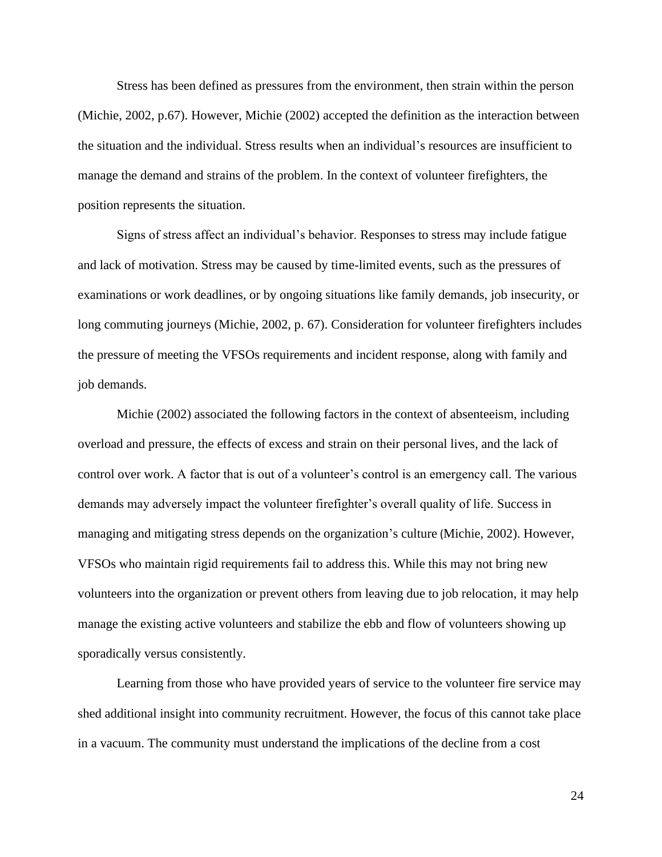Stress has been defined as pressures from the environment, then strain within the person (Michie, 2002, p.67). However, Michie (2002) accepted the definition as the interaction between the situation and the individual. Stress results when an individual's resources are insufficient to manage the demand and strains of the problem. In the context of volunteer firefighters, the position represents the situation.

Signs of stress affect an individual's behavior. Responses to stress may include fatigue and lack of motivation. Stress may be caused by time-limited events, such as the pressures of examinations or work deadlines, or by ongoing situations like family demands, job insecurity, or long commuting journeys (Michie, 2002, p. 67). Consideration for volunteer firefighters includes the pressure of meeting the VFSOs requirements and incident response, along with family and job demands.

Michie (2002) associated the following factors in the context of absenteeism, including overload and pressure, the effects of excess and strain on their personal lives, and the lack of control over work. A factor that is out of a volunteer's control is an emergency call. The various demands may adversely impact the volunteer firefighter's overall quality of life. Success in managing and mitigating stress depends on the organization's culture (Michie, 2002). However, VFSOs who maintain rigid requirements fail to address this. While this may not bring new volunteers into the organization or prevent others from leaving due to job relocation, it may help manage the existing active volunteers and stabilize the ebb and flow of volunteers showing up sporadically versus consistently.

Learning from those who have provided years of service to the volunteer fire service may shed additional insight into community recruitment. However, the focus of this cannot take place in a vacuum. The community must understand the implications of the decline from a cost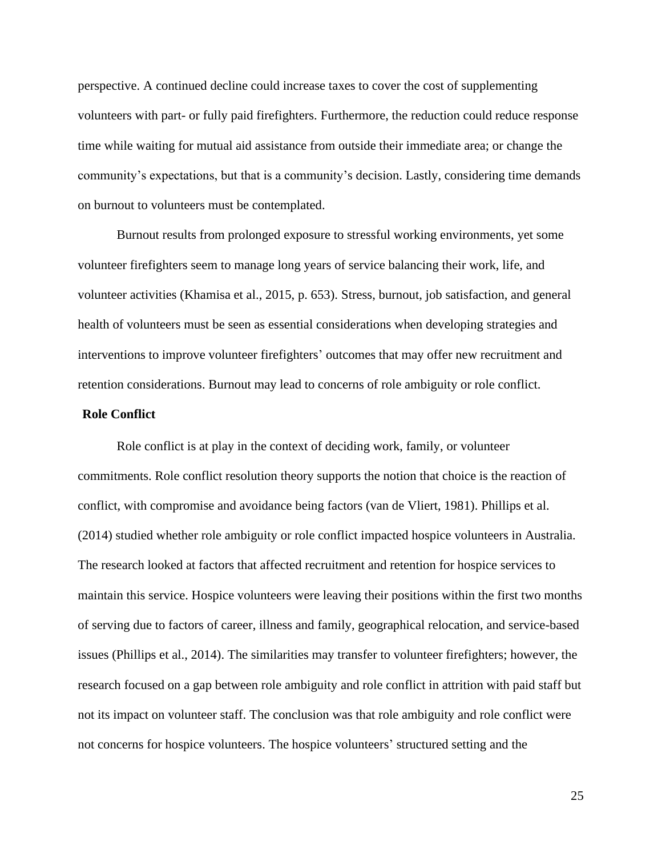perspective. A continued decline could increase taxes to cover the cost of supplementing volunteers with part- or fully paid firefighters. Furthermore, the reduction could reduce response time while waiting for mutual aid assistance from outside their immediate area; or change the community's expectations, but that is a community's decision. Lastly, considering time demands on burnout to volunteers must be contemplated.

Burnout results from prolonged exposure to stressful working environments, yet some volunteer firefighters seem to manage long years of service balancing their work, life, and volunteer activities (Khamisa et al., 2015, p. 653). Stress, burnout, job satisfaction, and general health of volunteers must be seen as essential considerations when developing strategies and interventions to improve volunteer firefighters' outcomes that may offer new recruitment and retention considerations. Burnout may lead to concerns of role ambiguity or role conflict.

## **Role Conflict**

Role conflict is at play in the context of deciding work, family, or volunteer commitments. Role conflict resolution theory supports the notion that choice is the reaction of conflict, with compromise and avoidance being factors (van de Vliert, 1981). Phillips et al. (2014) studied whether role ambiguity or role conflict impacted hospice volunteers in Australia. The research looked at factors that affected recruitment and retention for hospice services to maintain this service. Hospice volunteers were leaving their positions within the first two months of serving due to factors of career, illness and family, geographical relocation, and service-based issues (Phillips et al., 2014). The similarities may transfer to volunteer firefighters; however, the research focused on a gap between role ambiguity and role conflict in attrition with paid staff but not its impact on volunteer staff. The conclusion was that role ambiguity and role conflict were not concerns for hospice volunteers. The hospice volunteers' structured setting and the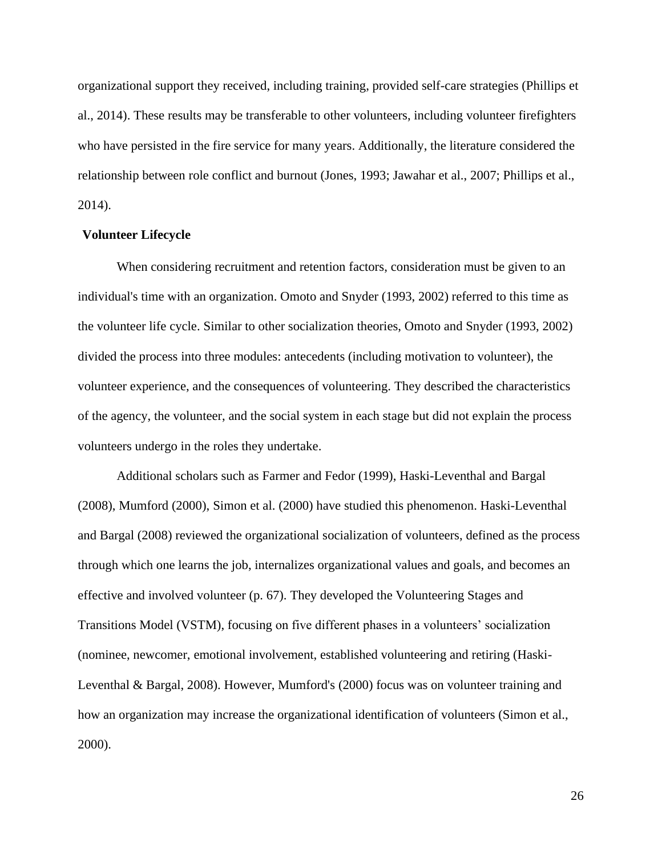organizational support they received, including training, provided self-care strategies (Phillips et al., 2014). These results may be transferable to other volunteers, including volunteer firefighters who have persisted in the fire service for many years. Additionally, the literature considered the relationship between role conflict and burnout (Jones, 1993; Jawahar et al., 2007; Phillips et al., 2014).

## **Volunteer Lifecycle**

When considering recruitment and retention factors, consideration must be given to an individual's time with an organization. Omoto and Snyder (1993, 2002) referred to this time as the volunteer life cycle. Similar to other socialization theories, Omoto and Snyder (1993, 2002) divided the process into three modules: antecedents (including motivation to volunteer), the volunteer experience, and the consequences of volunteering. They described the characteristics of the agency, the volunteer, and the social system in each stage but did not explain the process volunteers undergo in the roles they undertake.

Additional scholars such as Farmer and Fedor (1999), Haski-Leventhal and Bargal (2008), Mumford (2000), Simon et al. (2000) have studied this phenomenon. Haski-Leventhal and Bargal (2008) reviewed the organizational socialization of volunteers, defined as the process through which one learns the job, internalizes organizational values and goals, and becomes an effective and involved volunteer (p. 67). They developed the Volunteering Stages and Transitions Model (VSTM), focusing on five different phases in a volunteers' socialization (nominee, newcomer, emotional involvement, established volunteering and retiring (Haski-Leventhal & Bargal, 2008). However, Mumford's (2000) focus was on volunteer training and how an organization may increase the organizational identification of volunteers (Simon et al., 2000).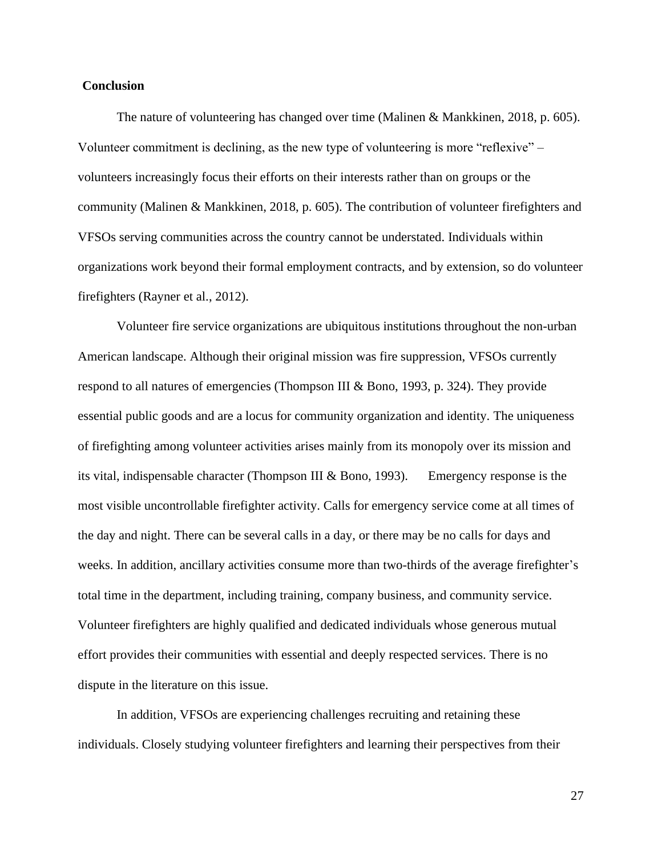# **Conclusion**

The nature of volunteering has changed over time (Malinen & Mankkinen, 2018, p. 605). Volunteer commitment is declining, as the new type of volunteering is more "reflexive" – volunteers increasingly focus their efforts on their interests rather than on groups or the community (Malinen & Mankkinen, 2018, p. 605). The contribution of volunteer firefighters and VFSOs serving communities across the country cannot be understated. Individuals within organizations work beyond their formal employment contracts, and by extension, so do volunteer firefighters (Rayner et al., 2012).

Volunteer fire service organizations are ubiquitous institutions throughout the non-urban American landscape. Although their original mission was fire suppression, VFSOs currently respond to all natures of emergencies (Thompson III & Bono, 1993, p. 324). They provide essential public goods and are a locus for community organization and identity. The uniqueness of firefighting among volunteer activities arises mainly from its monopoly over its mission and its vital, indispensable character (Thompson III & Bono, 1993). Emergency response is the most visible uncontrollable firefighter activity. Calls for emergency service come at all times of the day and night. There can be several calls in a day, or there may be no calls for days and weeks. In addition, ancillary activities consume more than two-thirds of the average firefighter's total time in the department, including training, company business, and community service. Volunteer firefighters are highly qualified and dedicated individuals whose generous mutual effort provides their communities with essential and deeply respected services. There is no dispute in the literature on this issue.

In addition, VFSOs are experiencing challenges recruiting and retaining these individuals. Closely studying volunteer firefighters and learning their perspectives from their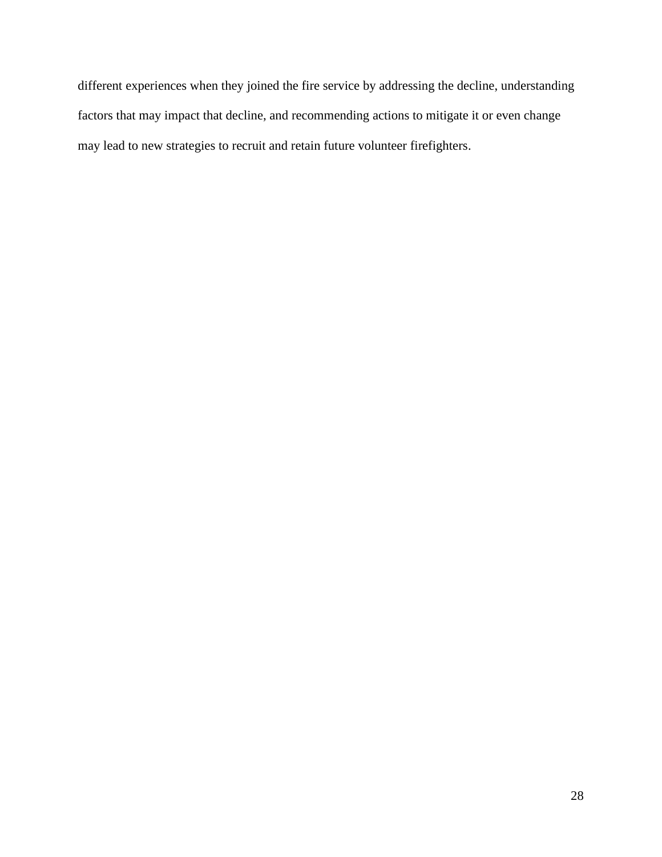different experiences when they joined the fire service by addressing the decline, understanding factors that may impact that decline, and recommending actions to mitigate it or even change may lead to new strategies to recruit and retain future volunteer firefighters.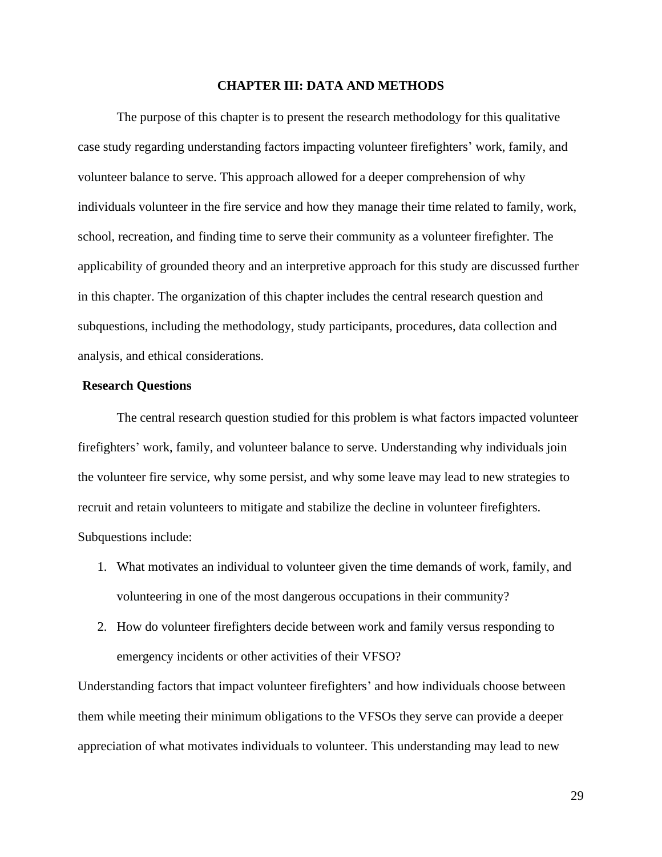#### **CHAPTER III: DATA AND METHODS**

The purpose of this chapter is to present the research methodology for this qualitative case study regarding understanding factors impacting volunteer firefighters' work, family, and volunteer balance to serve. This approach allowed for a deeper comprehension of why individuals volunteer in the fire service and how they manage their time related to family, work, school, recreation, and finding time to serve their community as a volunteer firefighter. The applicability of grounded theory and an interpretive approach for this study are discussed further in this chapter. The organization of this chapter includes the central research question and subquestions, including the methodology, study participants, procedures, data collection and analysis, and ethical considerations.

## **Research Questions**

The central research question studied for this problem is what factors impacted volunteer firefighters' work, family, and volunteer balance to serve. Understanding why individuals join the volunteer fire service, why some persist, and why some leave may lead to new strategies to recruit and retain volunteers to mitigate and stabilize the decline in volunteer firefighters. Subquestions include:

- 1. What motivates an individual to volunteer given the time demands of work, family, and volunteering in one of the most dangerous occupations in their community?
- 2. How do volunteer firefighters decide between work and family versus responding to emergency incidents or other activities of their VFSO?

Understanding factors that impact volunteer firefighters' and how individuals choose between them while meeting their minimum obligations to the VFSOs they serve can provide a deeper appreciation of what motivates individuals to volunteer. This understanding may lead to new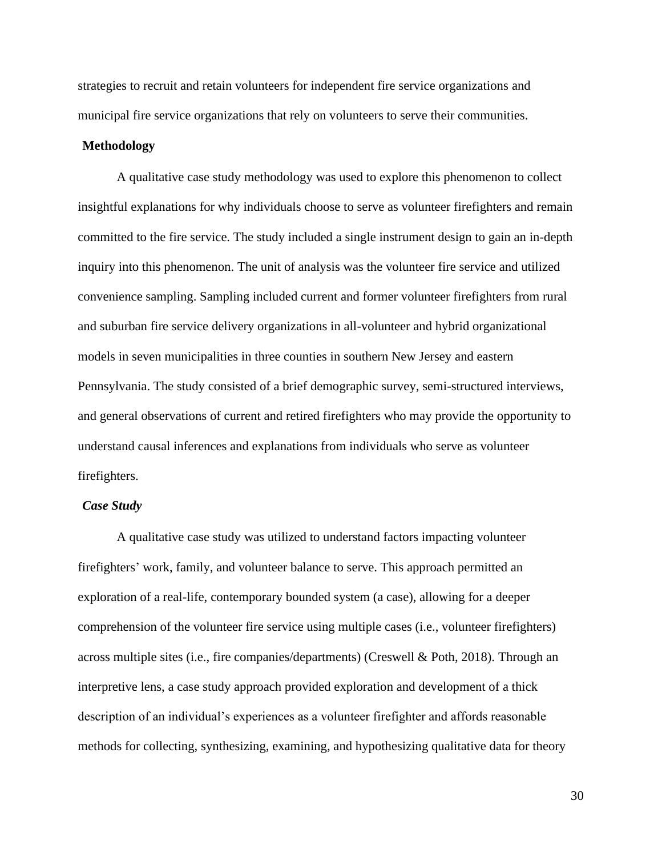strategies to recruit and retain volunteers for independent fire service organizations and municipal fire service organizations that rely on volunteers to serve their communities.

## **Methodology**

A qualitative case study methodology was used to explore this phenomenon to collect insightful explanations for why individuals choose to serve as volunteer firefighters and remain committed to the fire service. The study included a single instrument design to gain an in-depth inquiry into this phenomenon. The unit of analysis was the volunteer fire service and utilized convenience sampling. Sampling included current and former volunteer firefighters from rural and suburban fire service delivery organizations in all-volunteer and hybrid organizational models in seven municipalities in three counties in southern New Jersey and eastern Pennsylvania. The study consisted of a brief demographic survey, semi-structured interviews, and general observations of current and retired firefighters who may provide the opportunity to understand causal inferences and explanations from individuals who serve as volunteer firefighters.

## *Case Study*

A qualitative case study was utilized to understand factors impacting volunteer firefighters' work, family, and volunteer balance to serve. This approach permitted an exploration of a real-life, contemporary bounded system (a case), allowing for a deeper comprehension of the volunteer fire service using multiple cases (i.e., volunteer firefighters) across multiple sites (i.e., fire companies/departments) (Creswell & Poth, 2018). Through an interpretive lens, a case study approach provided exploration and development of a thick description of an individual's experiences as a volunteer firefighter and affords reasonable methods for collecting, synthesizing, examining, and hypothesizing qualitative data for theory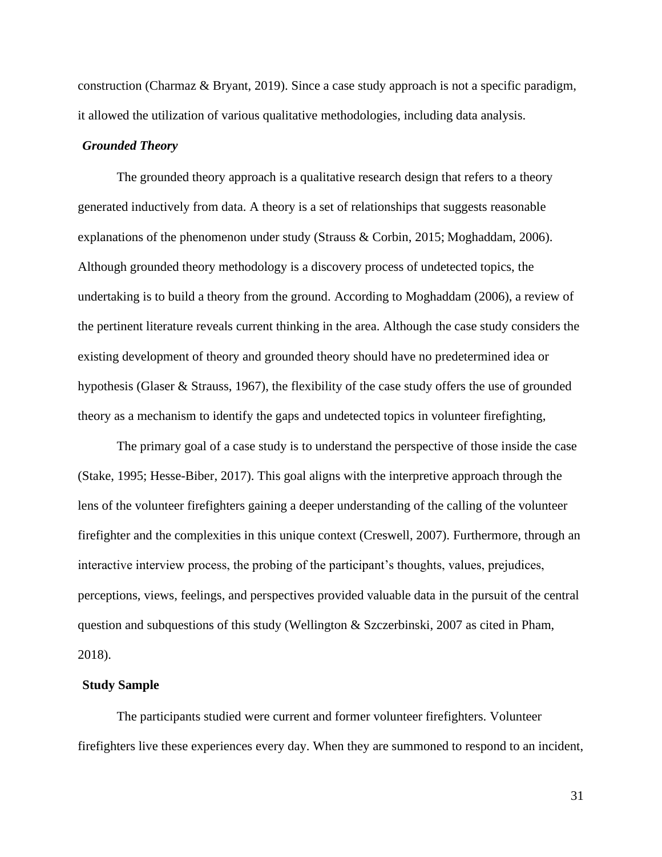construction (Charmaz & Bryant, 2019). Since a case study approach is not a specific paradigm, it allowed the utilization of various qualitative methodologies, including data analysis.

## *Grounded Theory*

The grounded theory approach is a qualitative research design that refers to a theory generated inductively from data. A theory is a set of relationships that suggests reasonable explanations of the phenomenon under study (Strauss & Corbin, 2015; Moghaddam, 2006). Although grounded theory methodology is a discovery process of undetected topics, the undertaking is to build a theory from the ground. According to Moghaddam (2006), a review of the pertinent literature reveals current thinking in the area. Although the case study considers the existing development of theory and grounded theory should have no predetermined idea or hypothesis (Glaser & Strauss, 1967), the flexibility of the case study offers the use of grounded theory as a mechanism to identify the gaps and undetected topics in volunteer firefighting,

The primary goal of a case study is to understand the perspective of those inside the case (Stake, 1995; Hesse-Biber, 2017). This goal aligns with the interpretive approach through the lens of the volunteer firefighters gaining a deeper understanding of the calling of the volunteer firefighter and the complexities in this unique context (Creswell, 2007). Furthermore, through an interactive interview process, the probing of the participant's thoughts, values, prejudices, perceptions, views, feelings, and perspectives provided valuable data in the pursuit of the central question and subquestions of this study (Wellington & Szczerbinski, 2007 as cited in Pham, 2018).

## **Study Sample**

The participants studied were current and former volunteer firefighters. Volunteer firefighters live these experiences every day. When they are summoned to respond to an incident,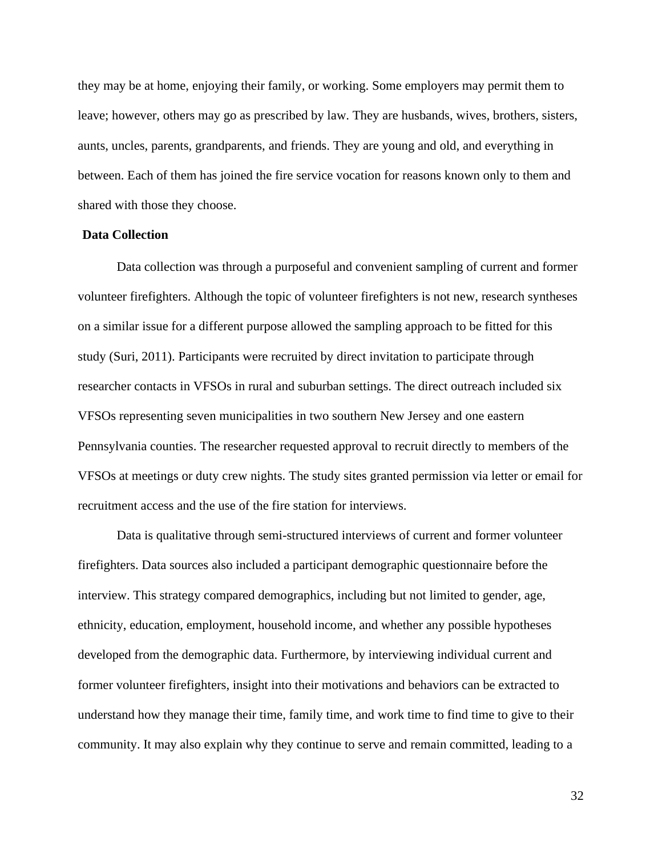they may be at home, enjoying their family, or working. Some employers may permit them to leave; however, others may go as prescribed by law. They are husbands, wives, brothers, sisters, aunts, uncles, parents, grandparents, and friends. They are young and old, and everything in between. Each of them has joined the fire service vocation for reasons known only to them and shared with those they choose.

#### **Data Collection**

Data collection was through a purposeful and convenient sampling of current and former volunteer firefighters. Although the topic of volunteer firefighters is not new, research syntheses on a similar issue for a different purpose allowed the sampling approach to be fitted for this study (Suri, 2011). Participants were recruited by direct invitation to participate through researcher contacts in VFSOs in rural and suburban settings. The direct outreach included six VFSOs representing seven municipalities in two southern New Jersey and one eastern Pennsylvania counties. The researcher requested approval to recruit directly to members of the VFSOs at meetings or duty crew nights. The study sites granted permission via letter or email for recruitment access and the use of the fire station for interviews.

Data is qualitative through semi-structured interviews of current and former volunteer firefighters. Data sources also included a participant demographic questionnaire before the interview. This strategy compared demographics, including but not limited to gender, age, ethnicity, education, employment, household income, and whether any possible hypotheses developed from the demographic data. Furthermore, by interviewing individual current and former volunteer firefighters, insight into their motivations and behaviors can be extracted to understand how they manage their time, family time, and work time to find time to give to their community. It may also explain why they continue to serve and remain committed, leading to a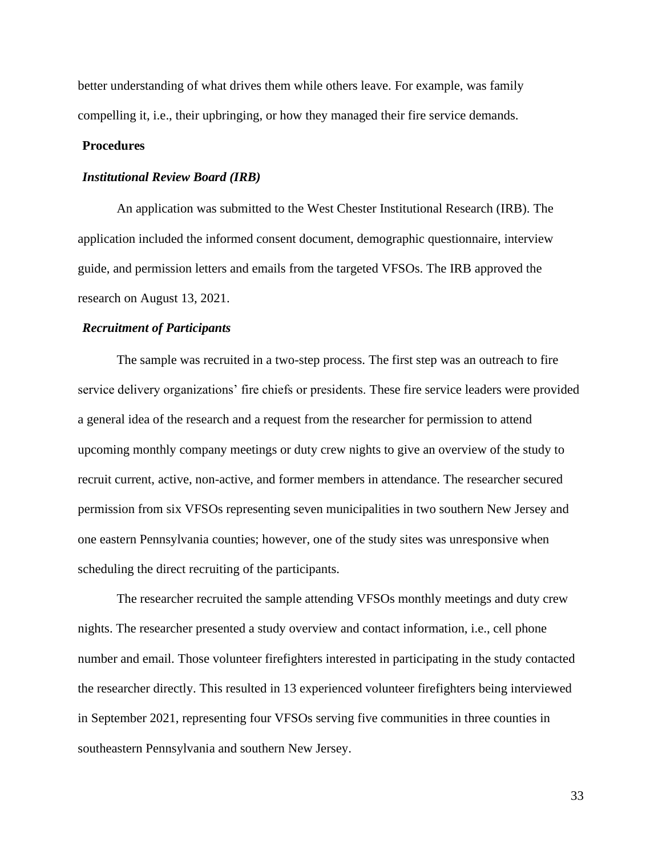better understanding of what drives them while others leave. For example, was family compelling it, i.e., their upbringing, or how they managed their fire service demands.

## **Procedures**

#### *Institutional Review Board (IRB)*

An application was submitted to the West Chester Institutional Research (IRB). The application included the informed consent document, demographic questionnaire, interview guide, and permission letters and emails from the targeted VFSOs. The IRB approved the research on August 13, 2021.

## *Recruitment of Participants*

The sample was recruited in a two-step process. The first step was an outreach to fire service delivery organizations' fire chiefs or presidents. These fire service leaders were provided a general idea of the research and a request from the researcher for permission to attend upcoming monthly company meetings or duty crew nights to give an overview of the study to recruit current, active, non-active, and former members in attendance. The researcher secured permission from six VFSOs representing seven municipalities in two southern New Jersey and one eastern Pennsylvania counties; however, one of the study sites was unresponsive when scheduling the direct recruiting of the participants.

The researcher recruited the sample attending VFSOs monthly meetings and duty crew nights. The researcher presented a study overview and contact information, i.e., cell phone number and email. Those volunteer firefighters interested in participating in the study contacted the researcher directly. This resulted in 13 experienced volunteer firefighters being interviewed in September 2021, representing four VFSOs serving five communities in three counties in southeastern Pennsylvania and southern New Jersey.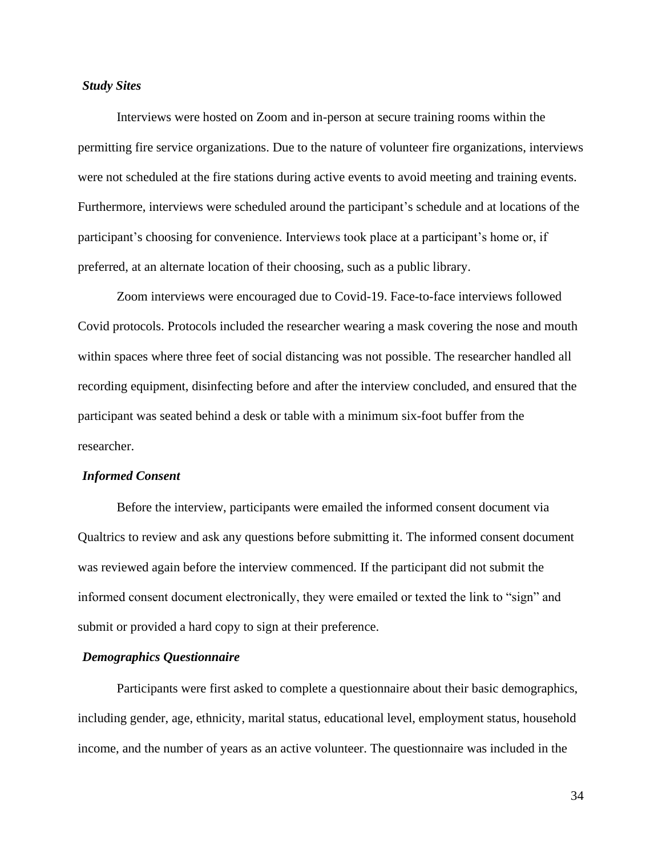#### *Study Sites*

Interviews were hosted on Zoom and in-person at secure training rooms within the permitting fire service organizations. Due to the nature of volunteer fire organizations, interviews were not scheduled at the fire stations during active events to avoid meeting and training events. Furthermore, interviews were scheduled around the participant's schedule and at locations of the participant's choosing for convenience. Interviews took place at a participant's home or, if preferred, at an alternate location of their choosing, such as a public library.

Zoom interviews were encouraged due to Covid-19. Face-to-face interviews followed Covid protocols. Protocols included the researcher wearing a mask covering the nose and mouth within spaces where three feet of social distancing was not possible. The researcher handled all recording equipment, disinfecting before and after the interview concluded, and ensured that the participant was seated behind a desk or table with a minimum six-foot buffer from the researcher.

## *Informed Consent*

Before the interview, participants were emailed the informed consent document via Qualtrics to review and ask any questions before submitting it. The informed consent document was reviewed again before the interview commenced. If the participant did not submit the informed consent document electronically, they were emailed or texted the link to "sign" and submit or provided a hard copy to sign at their preference.

## *Demographics Questionnaire*

Participants were first asked to complete a questionnaire about their basic demographics, including gender, age, ethnicity, marital status, educational level, employment status, household income, and the number of years as an active volunteer. The questionnaire was included in the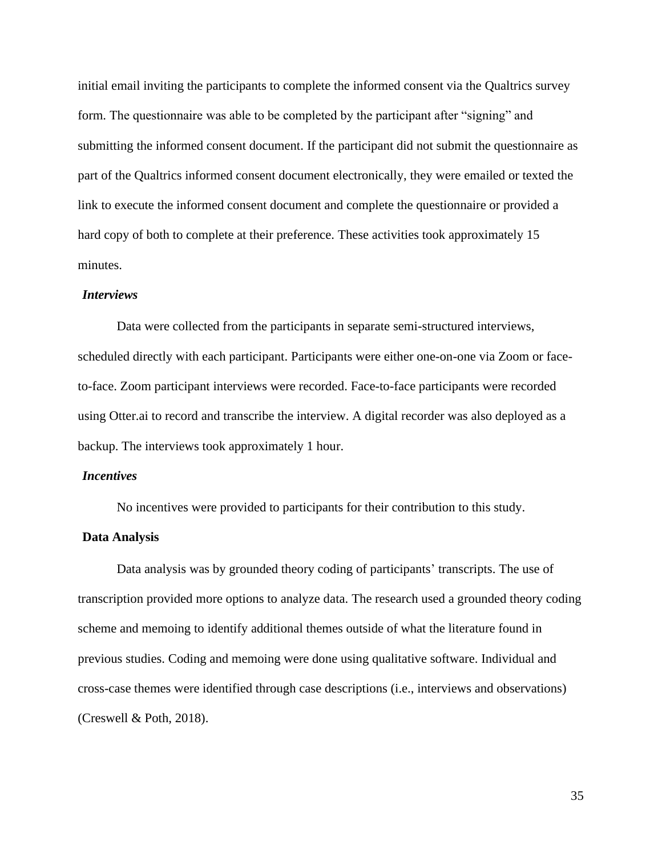initial email inviting the participants to complete the informed consent via the Qualtrics survey form. The questionnaire was able to be completed by the participant after "signing" and submitting the informed consent document. If the participant did not submit the questionnaire as part of the Qualtrics informed consent document electronically, they were emailed or texted the link to execute the informed consent document and complete the questionnaire or provided a hard copy of both to complete at their preference. These activities took approximately 15 minutes.

## *Interviews*

Data were collected from the participants in separate semi-structured interviews, scheduled directly with each participant. Participants were either one-on-one via Zoom or faceto-face. Zoom participant interviews were recorded. Face-to-face participants were recorded using Otter.ai to record and transcribe the interview. A digital recorder was also deployed as a backup. The interviews took approximately 1 hour.

## *Incentives*

No incentives were provided to participants for their contribution to this study.

## **Data Analysis**

Data analysis was by grounded theory coding of participants' transcripts. The use of transcription provided more options to analyze data. The research used a grounded theory coding scheme and memoing to identify additional themes outside of what the literature found in previous studies. Coding and memoing were done using qualitative software. Individual and cross-case themes were identified through case descriptions (i.e., interviews and observations) (Creswell & Poth, 2018).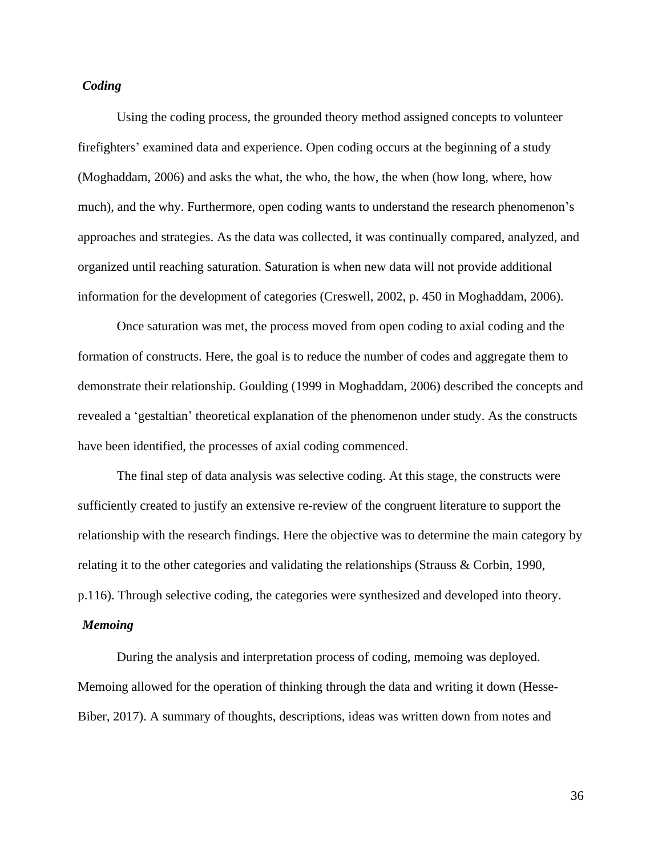## *Coding*

Using the coding process, the grounded theory method assigned concepts to volunteer firefighters' examined data and experience. Open coding occurs at the beginning of a study (Moghaddam, 2006) and asks the what, the who, the how, the when (how long, where, how much), and the why. Furthermore, open coding wants to understand the research phenomenon's approaches and strategies. As the data was collected, it was continually compared, analyzed, and organized until reaching saturation. Saturation is when new data will not provide additional information for the development of categories (Creswell, 2002, p. 450 in Moghaddam, 2006).

Once saturation was met, the process moved from open coding to axial coding and the formation of constructs. Here, the goal is to reduce the number of codes and aggregate them to demonstrate their relationship. Goulding (1999 in Moghaddam, 2006) described the concepts and revealed a 'gestaltian' theoretical explanation of the phenomenon under study. As the constructs have been identified, the processes of axial coding commenced.

The final step of data analysis was selective coding. At this stage, the constructs were sufficiently created to justify an extensive re-review of the congruent literature to support the relationship with the research findings. Here the objective was to determine the main category by relating it to the other categories and validating the relationships (Strauss & Corbin, 1990, p.116). Through selective coding, the categories were synthesized and developed into theory.

# *Memoing*

During the analysis and interpretation process of coding, memoing was deployed. Memoing allowed for the operation of thinking through the data and writing it down (Hesse-Biber, 2017). A summary of thoughts, descriptions, ideas was written down from notes and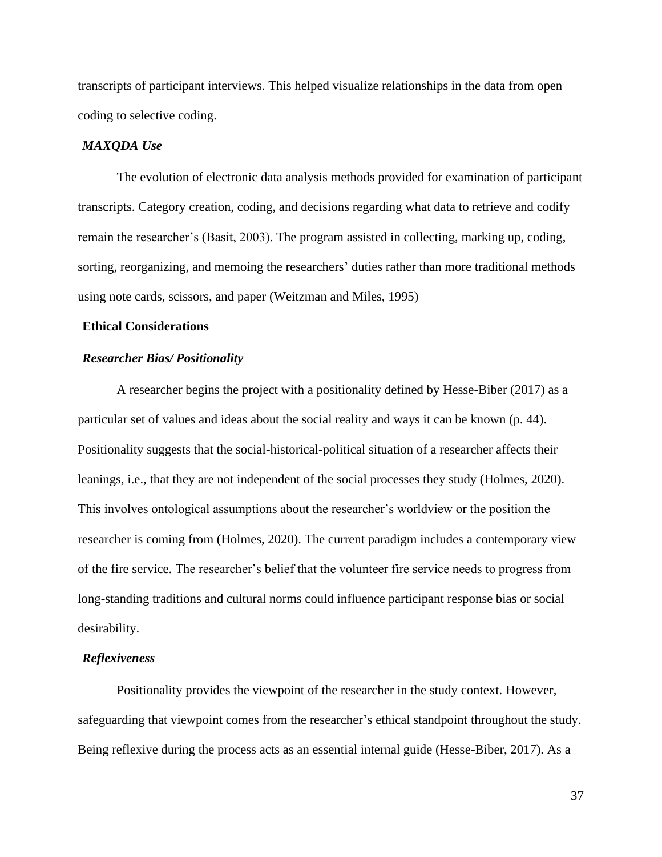transcripts of participant interviews. This helped visualize relationships in the data from open coding to selective coding.

#### *MAXQDA Use*

The evolution of electronic data analysis methods provided for examination of participant transcripts. Category creation, coding, and decisions regarding what data to retrieve and codify remain the researcher's (Basit, 2003). The program assisted in collecting, marking up, coding, sorting, reorganizing, and memoing the researchers' duties rather than more traditional methods using note cards, scissors, and paper (Weitzman and Miles, 1995)

## **Ethical Considerations**

## *Researcher Bias/ Positionality*

A researcher begins the project with a positionality defined by Hesse-Biber (2017) as a particular set of values and ideas about the social reality and ways it can be known (p. 44). Positionality suggests that the social-historical-political situation of a researcher affects their leanings, i.e., that they are not independent of the social processes they study (Holmes, 2020). This involves ontological assumptions about the researcher's worldview or the position the researcher is coming from (Holmes, 2020). The current paradigm includes a contemporary view of the fire service. The researcher's belief that the volunteer fire service needs to progress from long-standing traditions and cultural norms could influence participant response bias or social desirability.

#### *Reflexiveness*

Positionality provides the viewpoint of the researcher in the study context. However, safeguarding that viewpoint comes from the researcher's ethical standpoint throughout the study. Being reflexive during the process acts as an essential internal guide (Hesse-Biber, 2017). As a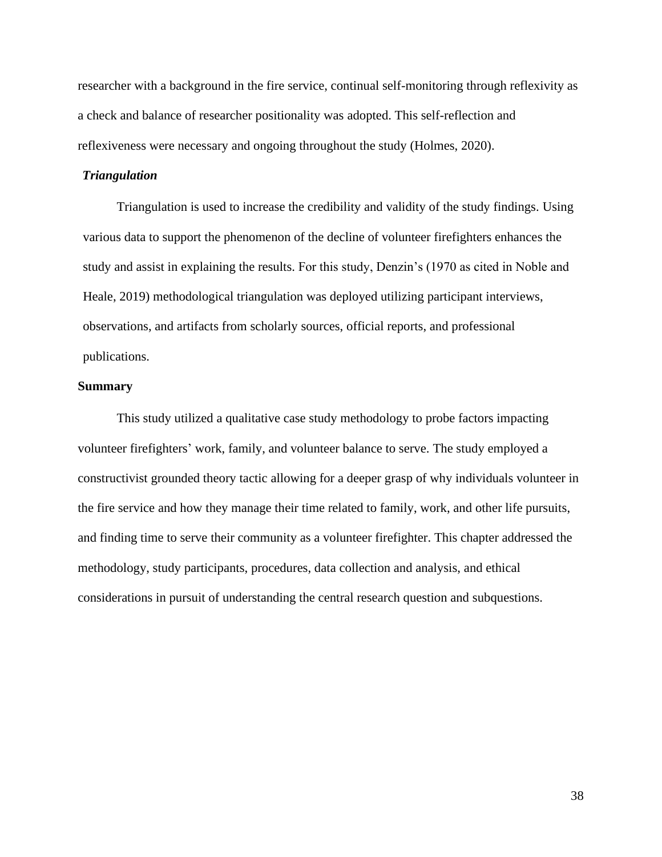researcher with a background in the fire service, continual self-monitoring through reflexivity as a check and balance of researcher positionality was adopted. This self-reflection and reflexiveness were necessary and ongoing throughout the study (Holmes, 2020).

## *Triangulation*

Triangulation is used to increase the credibility and validity of the study findings. Using various data to support the phenomenon of the decline of volunteer firefighters enhances the study and assist in explaining the results. For this study, Denzin's (1970 as cited in Noble and Heale, 2019) methodological triangulation was deployed utilizing participant interviews, observations, and artifacts from scholarly sources, official reports, and professional publications.

## **Summary**

This study utilized a qualitative case study methodology to probe factors impacting volunteer firefighters' work, family, and volunteer balance to serve. The study employed a constructivist grounded theory tactic allowing for a deeper grasp of why individuals volunteer in the fire service and how they manage their time related to family, work, and other life pursuits, and finding time to serve their community as a volunteer firefighter. This chapter addressed the methodology, study participants, procedures, data collection and analysis, and ethical considerations in pursuit of understanding the central research question and subquestions.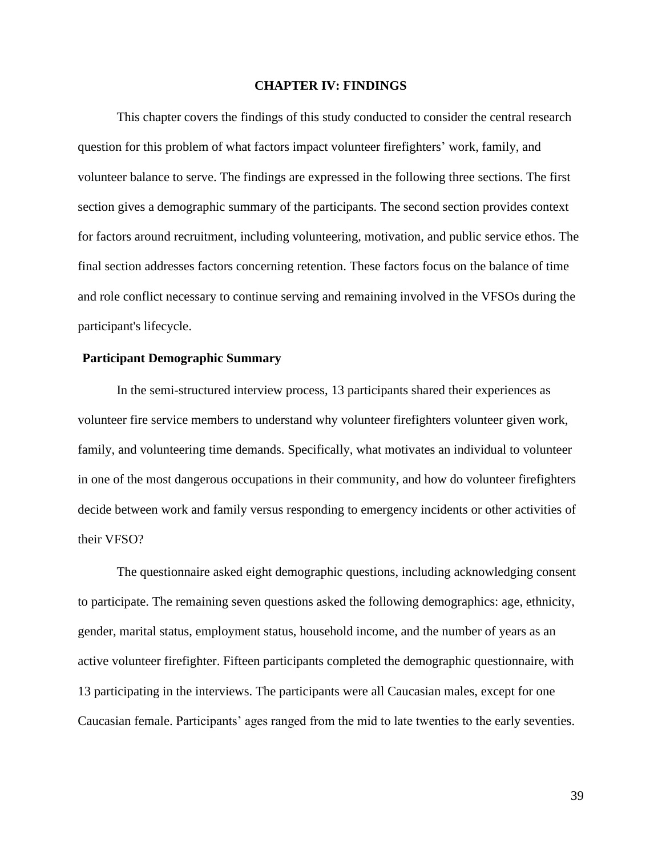#### **CHAPTER IV: FINDINGS**

This chapter covers the findings of this study conducted to consider the central research question for this problem of what factors impact volunteer firefighters' work, family, and volunteer balance to serve. The findings are expressed in the following three sections. The first section gives a demographic summary of the participants. The second section provides context for factors around recruitment, including volunteering, motivation, and public service ethos. The final section addresses factors concerning retention. These factors focus on the balance of time and role conflict necessary to continue serving and remaining involved in the VFSOs during the participant's lifecycle.

## **Participant Demographic Summary**

In the semi-structured interview process, 13 participants shared their experiences as volunteer fire service members to understand why volunteer firefighters volunteer given work, family, and volunteering time demands. Specifically, what motivates an individual to volunteer in one of the most dangerous occupations in their community, and how do volunteer firefighters decide between work and family versus responding to emergency incidents or other activities of their VFSO?

The questionnaire asked eight demographic questions, including acknowledging consent to participate. The remaining seven questions asked the following demographics: age, ethnicity, gender, marital status, employment status, household income, and the number of years as an active volunteer firefighter. Fifteen participants completed the demographic questionnaire, with 13 participating in the interviews. The participants were all Caucasian males, except for one Caucasian female. Participants' ages ranged from the mid to late twenties to the early seventies.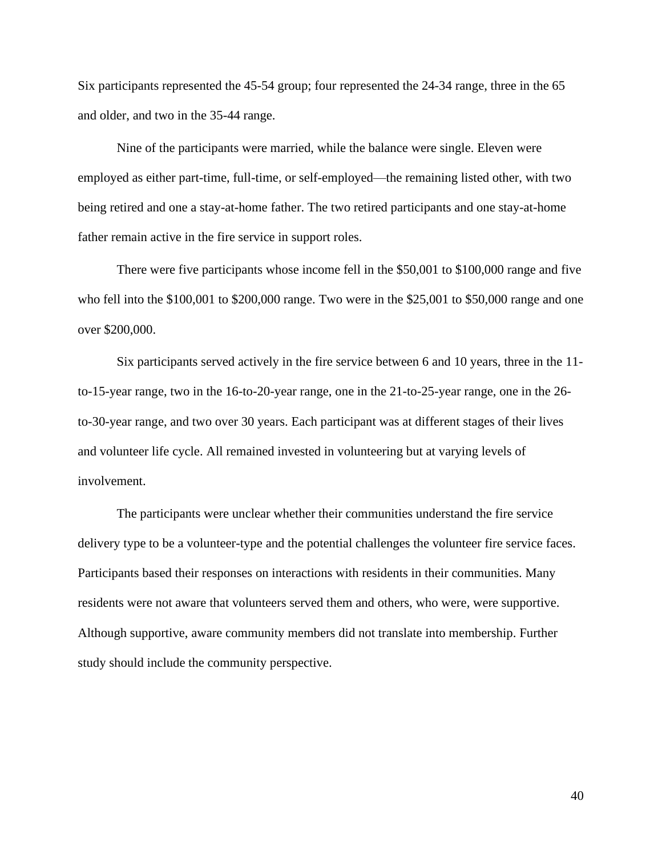Six participants represented the 45-54 group; four represented the 24-34 range, three in the 65 and older, and two in the 35-44 range.

Nine of the participants were married, while the balance were single. Eleven were employed as either part-time, full-time, or self-employed—the remaining listed other, with two being retired and one a stay-at-home father. The two retired participants and one stay-at-home father remain active in the fire service in support roles.

There were five participants whose income fell in the \$50,001 to \$100,000 range and five who fell into the \$100,001 to \$200,000 range. Two were in the \$25,001 to \$50,000 range and one over \$200,000.

Six participants served actively in the fire service between 6 and 10 years, three in the 11 to-15-year range, two in the 16-to-20-year range, one in the 21-to-25-year range, one in the 26 to-30-year range, and two over 30 years. Each participant was at different stages of their lives and volunteer life cycle. All remained invested in volunteering but at varying levels of involvement.

The participants were unclear whether their communities understand the fire service delivery type to be a volunteer-type and the potential challenges the volunteer fire service faces. Participants based their responses on interactions with residents in their communities. Many residents were not aware that volunteers served them and others, who were, were supportive. Although supportive, aware community members did not translate into membership. Further study should include the community perspective.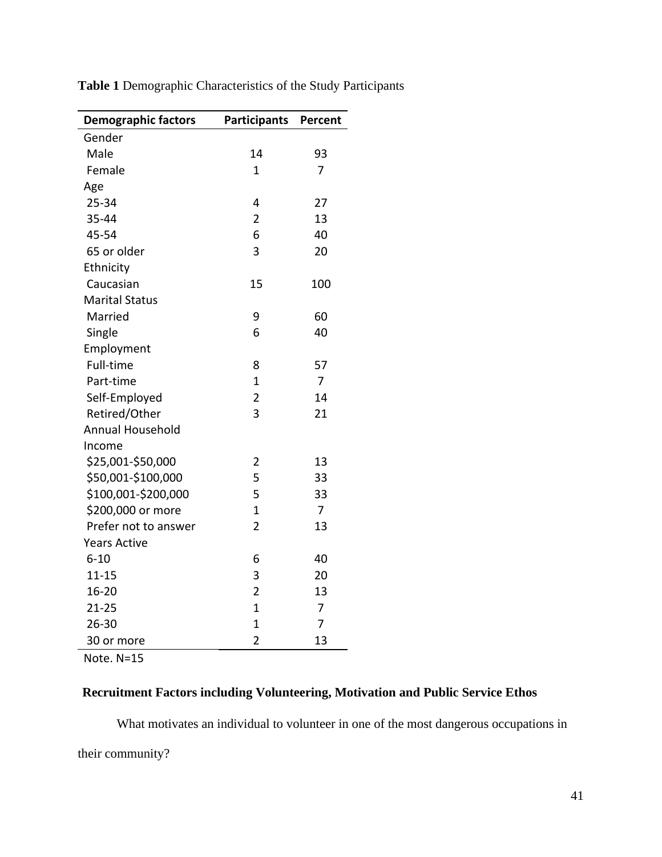| <b>Demographic factors</b> | <b>Participants</b> | Percent        |
|----------------------------|---------------------|----------------|
| Gender                     |                     |                |
| Male                       | 14                  | 93             |
| Female                     | 1                   | 7              |
| Age                        |                     |                |
| 25-34                      | 4                   | 27             |
| 35-44                      | $\overline{2}$      | 13             |
| 45-54                      | 6                   | 40             |
| 65 or older                | 3                   | 20             |
| Ethnicity                  |                     |                |
| Caucasian                  | 15                  | 100            |
| <b>Marital Status</b>      |                     |                |
| Married                    | 9                   | 60             |
| Single                     | 6                   | 40             |
| Employment                 |                     |                |
| Full-time                  | 8                   | 57             |
| Part-time                  | $\overline{1}$      | $\overline{7}$ |
| Self-Employed              | $\overline{2}$      | 14             |
| Retired/Other              | 3                   | 21             |
| Annual Household           |                     |                |
| Income                     |                     |                |
| \$25,001-\$50,000          | 2                   | 13             |
| \$50,001-\$100,000         | 5                   | 33             |
| \$100,001-\$200,000        | 5                   | 33             |
| \$200,000 or more          | $\overline{1}$      | $\overline{7}$ |
| Prefer not to answer       | $\overline{2}$      | 13             |
| <b>Years Active</b>        |                     |                |
| $6 - 10$                   | 6                   | 40             |
| $11 - 15$                  | 3                   | 20             |
| $16 - 20$                  | $\overline{2}$      | 13             |
| $21 - 25$                  | $\overline{1}$      | 7              |
| 26-30                      | $\overline{1}$      | 7              |
| 30 or more                 | $\overline{2}$      | 13             |

**Table 1** Demographic Characteristics of the Study Participants

Note. N=15

# **Recruitment Factors including Volunteering, Motivation and Public Service Ethos**

What motivates an individual to volunteer in one of the most dangerous occupations in

their community?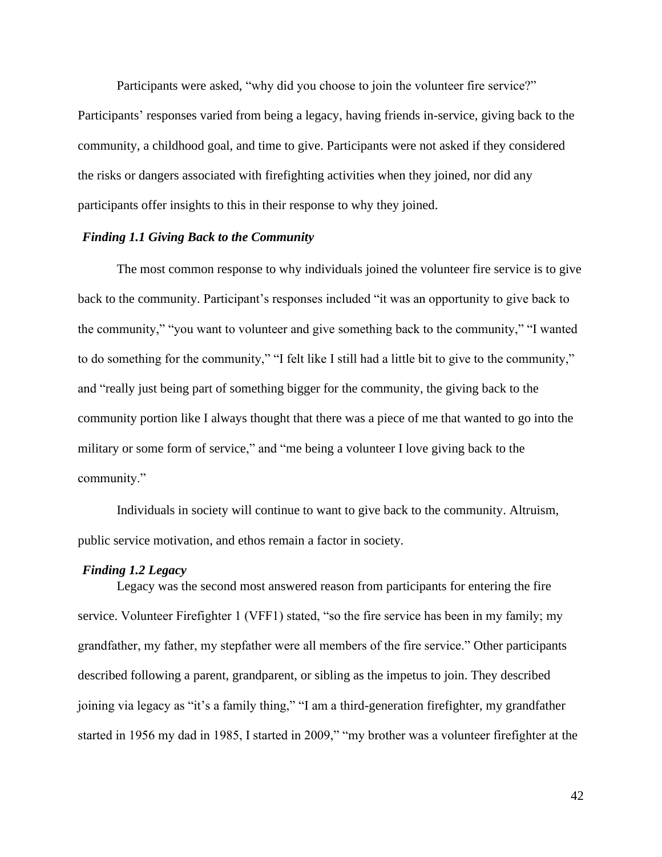Participants were asked, "why did you choose to join the volunteer fire service?" Participants' responses varied from being a legacy, having friends in-service, giving back to the community, a childhood goal, and time to give. Participants were not asked if they considered the risks or dangers associated with firefighting activities when they joined, nor did any participants offer insights to this in their response to why they joined.

## *Finding 1.1 Giving Back to the Community*

The most common response to why individuals joined the volunteer fire service is to give back to the community. Participant's responses included "it was an opportunity to give back to the community," "you want to volunteer and give something back to the community," "I wanted to do something for the community," "I felt like I still had a little bit to give to the community," and "really just being part of something bigger for the community, the giving back to the community portion like I always thought that there was a piece of me that wanted to go into the military or some form of service," and "me being a volunteer I love giving back to the community."

Individuals in society will continue to want to give back to the community. Altruism, public service motivation, and ethos remain a factor in society.

#### *Finding 1.2 Legacy*

Legacy was the second most answered reason from participants for entering the fire service. Volunteer Firefighter 1 (VFF1) stated, "so the fire service has been in my family; my grandfather, my father, my stepfather were all members of the fire service." Other participants described following a parent, grandparent, or sibling as the impetus to join. They described joining via legacy as "it's a family thing," "I am a third-generation firefighter, my grandfather started in 1956 my dad in 1985, I started in 2009," "my brother was a volunteer firefighter at the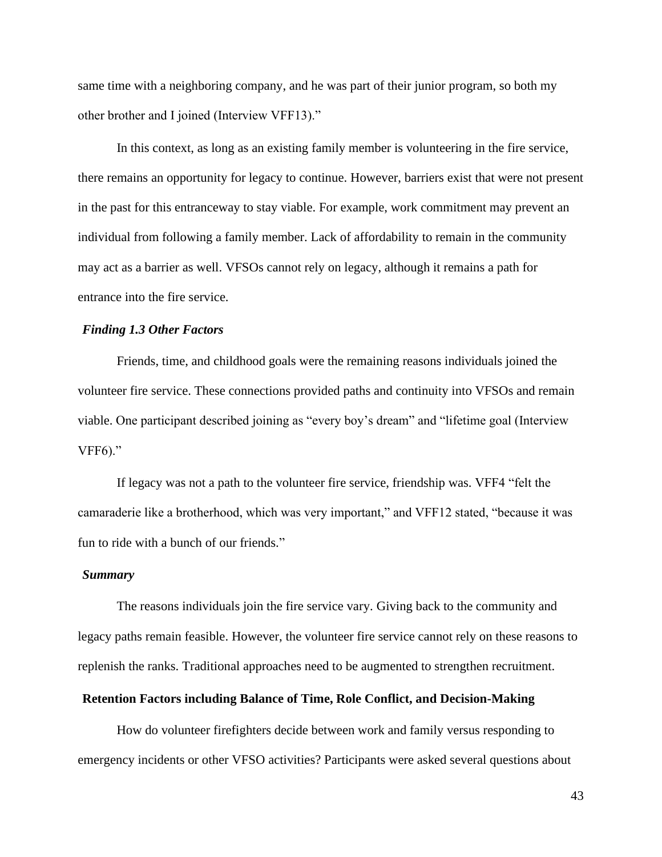same time with a neighboring company, and he was part of their junior program, so both my other brother and I joined (Interview VFF13)."

In this context, as long as an existing family member is volunteering in the fire service, there remains an opportunity for legacy to continue. However, barriers exist that were not present in the past for this entranceway to stay viable. For example, work commitment may prevent an individual from following a family member. Lack of affordability to remain in the community may act as a barrier as well. VFSOs cannot rely on legacy, although it remains a path for entrance into the fire service.

## *Finding 1.3 Other Factors*

Friends, time, and childhood goals were the remaining reasons individuals joined the volunteer fire service. These connections provided paths and continuity into VFSOs and remain viable. One participant described joining as "every boy's dream" and "lifetime goal (Interview VFF6)."

If legacy was not a path to the volunteer fire service, friendship was. VFF4 "felt the camaraderie like a brotherhood, which was very important," and VFF12 stated, "because it was fun to ride with a bunch of our friends."

#### *Summary*

The reasons individuals join the fire service vary. Giving back to the community and legacy paths remain feasible. However, the volunteer fire service cannot rely on these reasons to replenish the ranks. Traditional approaches need to be augmented to strengthen recruitment.

## **Retention Factors including Balance of Time, Role Conflict, and Decision-Making**

How do volunteer firefighters decide between work and family versus responding to emergency incidents or other VFSO activities? Participants were asked several questions about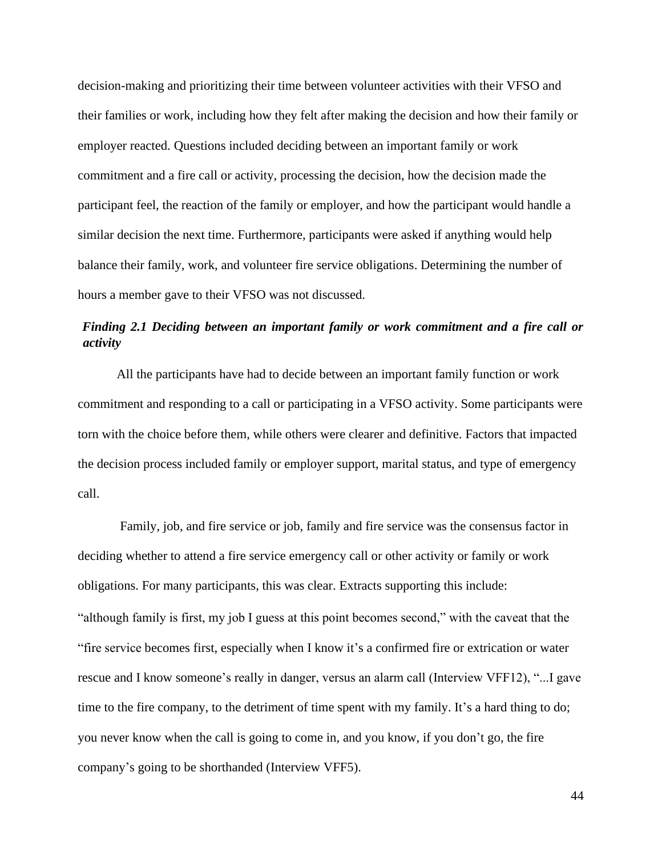decision-making and prioritizing their time between volunteer activities with their VFSO and their families or work, including how they felt after making the decision and how their family or employer reacted. Questions included deciding between an important family or work commitment and a fire call or activity, processing the decision, how the decision made the participant feel, the reaction of the family or employer, and how the participant would handle a similar decision the next time. Furthermore, participants were asked if anything would help balance their family, work, and volunteer fire service obligations. Determining the number of hours a member gave to their VFSO was not discussed.

# *Finding 2.1 Deciding between an important family or work commitment and a fire call or activity*

All the participants have had to decide between an important family function or work commitment and responding to a call or participating in a VFSO activity. Some participants were torn with the choice before them, while others were clearer and definitive. Factors that impacted the decision process included family or employer support, marital status, and type of emergency call.

Family, job, and fire service or job, family and fire service was the consensus factor in deciding whether to attend a fire service emergency call or other activity or family or work obligations. For many participants, this was clear. Extracts supporting this include: "although family is first, my job I guess at this point becomes second," with the caveat that the "fire service becomes first, especially when I know it's a confirmed fire or extrication or water rescue and I know someone's really in danger, versus an alarm call (Interview VFF12), "...I gave time to the fire company, to the detriment of time spent with my family. It's a hard thing to do; you never know when the call is going to come in, and you know, if you don't go, the fire company's going to be shorthanded (Interview VFF5).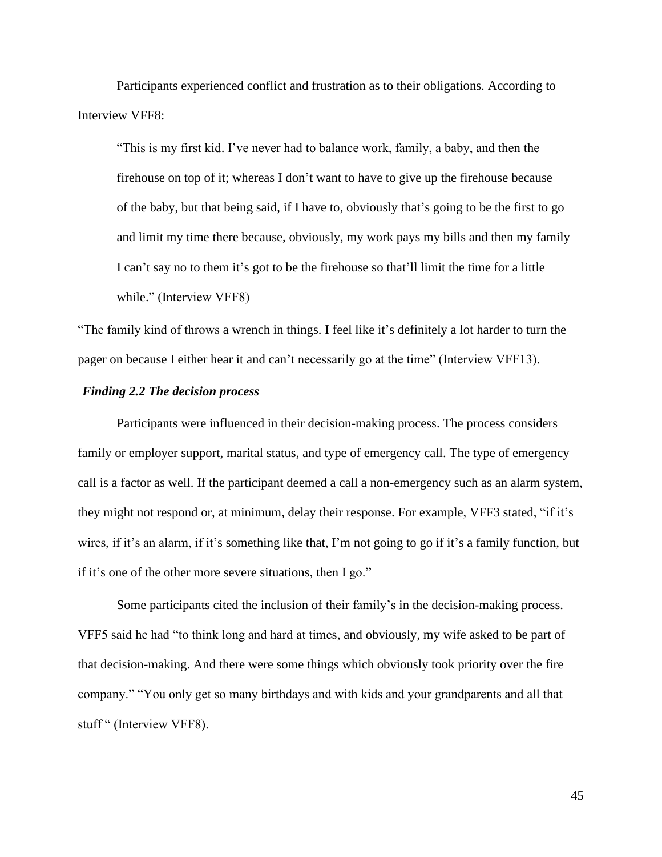Participants experienced conflict and frustration as to their obligations. According to Interview VFF8:

"This is my first kid. I've never had to balance work, family, a baby, and then the firehouse on top of it; whereas I don't want to have to give up the firehouse because of the baby, but that being said, if I have to, obviously that's going to be the first to go and limit my time there because, obviously, my work pays my bills and then my family I can't say no to them it's got to be the firehouse so that'll limit the time for a little while." (Interview VFF8)

"The family kind of throws a wrench in things. I feel like it's definitely a lot harder to turn the pager on because I either hear it and can't necessarily go at the time" (Interview VFF13).

## *Finding 2.2 The decision process*

Participants were influenced in their decision-making process. The process considers family or employer support, marital status, and type of emergency call. The type of emergency call is a factor as well. If the participant deemed a call a non-emergency such as an alarm system, they might not respond or, at minimum, delay their response. For example, VFF3 stated, "if it's wires, if it's an alarm, if it's something like that, I'm not going to go if it's a family function, but if it's one of the other more severe situations, then I go."

Some participants cited the inclusion of their family's in the decision-making process. VFF5 said he had "to think long and hard at times, and obviously, my wife asked to be part of that decision-making. And there were some things which obviously took priority over the fire company." "You only get so many birthdays and with kids and your grandparents and all that stuff " (Interview VFF8).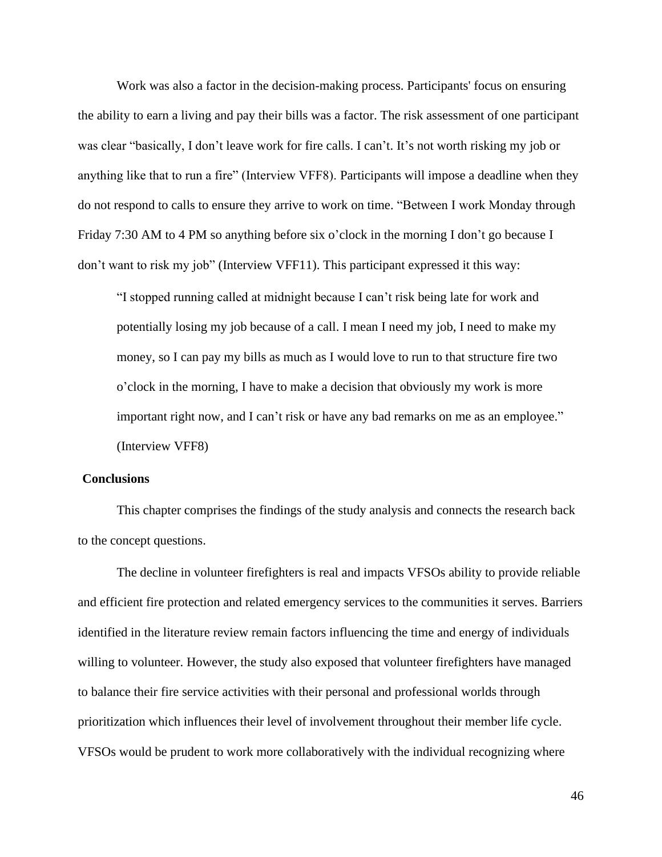Work was also a factor in the decision-making process. Participants' focus on ensuring the ability to earn a living and pay their bills was a factor. The risk assessment of one participant was clear "basically, I don't leave work for fire calls. I can't. It's not worth risking my job or anything like that to run a fire" (Interview VFF8). Participants will impose a deadline when they do not respond to calls to ensure they arrive to work on time. "Between I work Monday through Friday 7:30 AM to 4 PM so anything before six o'clock in the morning I don't go because I don't want to risk my job" (Interview VFF11). This participant expressed it this way:

"I stopped running called at midnight because I can't risk being late for work and potentially losing my job because of a call. I mean I need my job, I need to make my money, so I can pay my bills as much as I would love to run to that structure fire two o'clock in the morning, I have to make a decision that obviously my work is more important right now, and I can't risk or have any bad remarks on me as an employee." (Interview VFF8)

## **Conclusions**

This chapter comprises the findings of the study analysis and connects the research back to the concept questions.

The decline in volunteer firefighters is real and impacts VFSOs ability to provide reliable and efficient fire protection and related emergency services to the communities it serves. Barriers identified in the literature review remain factors influencing the time and energy of individuals willing to volunteer. However, the study also exposed that volunteer firefighters have managed to balance their fire service activities with their personal and professional worlds through prioritization which influences their level of involvement throughout their member life cycle. VFSOs would be prudent to work more collaboratively with the individual recognizing where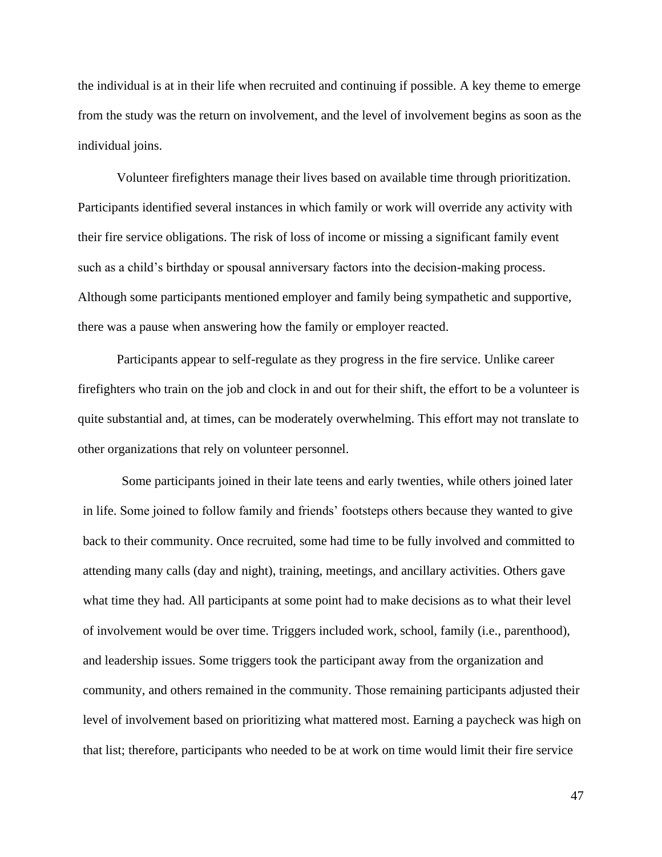the individual is at in their life when recruited and continuing if possible. A key theme to emerge from the study was the return on involvement, and the level of involvement begins as soon as the individual joins.

Volunteer firefighters manage their lives based on available time through prioritization. Participants identified several instances in which family or work will override any activity with their fire service obligations. The risk of loss of income or missing a significant family event such as a child's birthday or spousal anniversary factors into the decision-making process. Although some participants mentioned employer and family being sympathetic and supportive, there was a pause when answering how the family or employer reacted.

Participants appear to self-regulate as they progress in the fire service. Unlike career firefighters who train on the job and clock in and out for their shift, the effort to be a volunteer is quite substantial and, at times, can be moderately overwhelming. This effort may not translate to other organizations that rely on volunteer personnel.

Some participants joined in their late teens and early twenties, while others joined later in life. Some joined to follow family and friends' footsteps others because they wanted to give back to their community. Once recruited, some had time to be fully involved and committed to attending many calls (day and night), training, meetings, and ancillary activities. Others gave what time they had. All participants at some point had to make decisions as to what their level of involvement would be over time. Triggers included work, school, family (i.e., parenthood), and leadership issues. Some triggers took the participant away from the organization and community, and others remained in the community. Those remaining participants adjusted their level of involvement based on prioritizing what mattered most. Earning a paycheck was high on that list; therefore, participants who needed to be at work on time would limit their fire service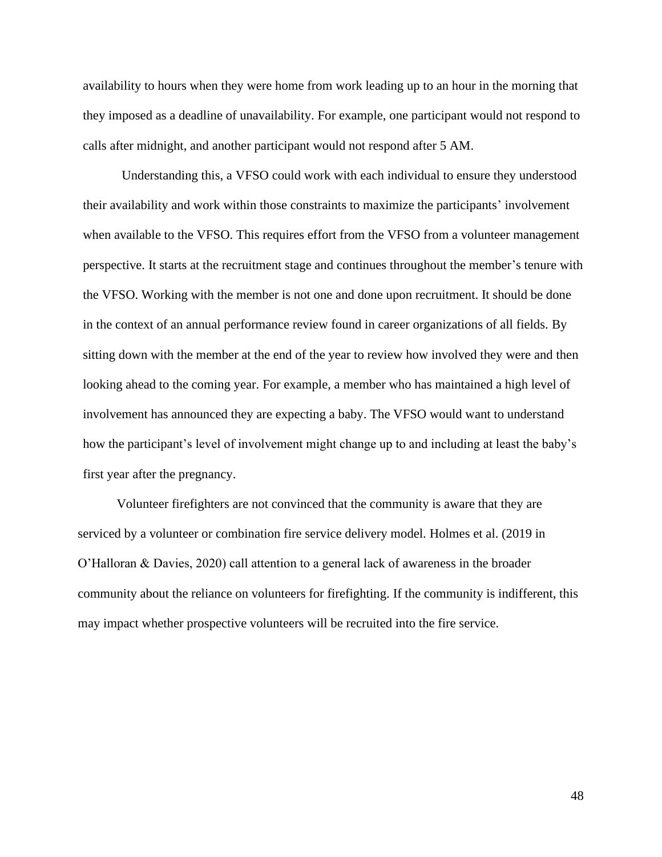availability to hours when they were home from work leading up to an hour in the morning that they imposed as a deadline of unavailability. For example, one participant would not respond to calls after midnight, and another participant would not respond after 5 AM.

Understanding this, a VFSO could work with each individual to ensure they understood their availability and work within those constraints to maximize the participants' involvement when available to the VFSO. This requires effort from the VFSO from a volunteer management perspective. It starts at the recruitment stage and continues throughout the member's tenure with the VFSO. Working with the member is not one and done upon recruitment. It should be done in the context of an annual performance review found in career organizations of all fields. By sitting down with the member at the end of the year to review how involved they were and then looking ahead to the coming year. For example, a member who has maintained a high level of involvement has announced they are expecting a baby. The VFSO would want to understand how the participant's level of involvement might change up to and including at least the baby's first year after the pregnancy.

Volunteer firefighters are not convinced that the community is aware that they are serviced by a volunteer or combination fire service delivery model. Holmes et al. (2019 in O'Halloran & Davies, 2020) call attention to a general lack of awareness in the broader community about the reliance on volunteers for firefighting. If the community is indifferent, this may impact whether prospective volunteers will be recruited into the fire service.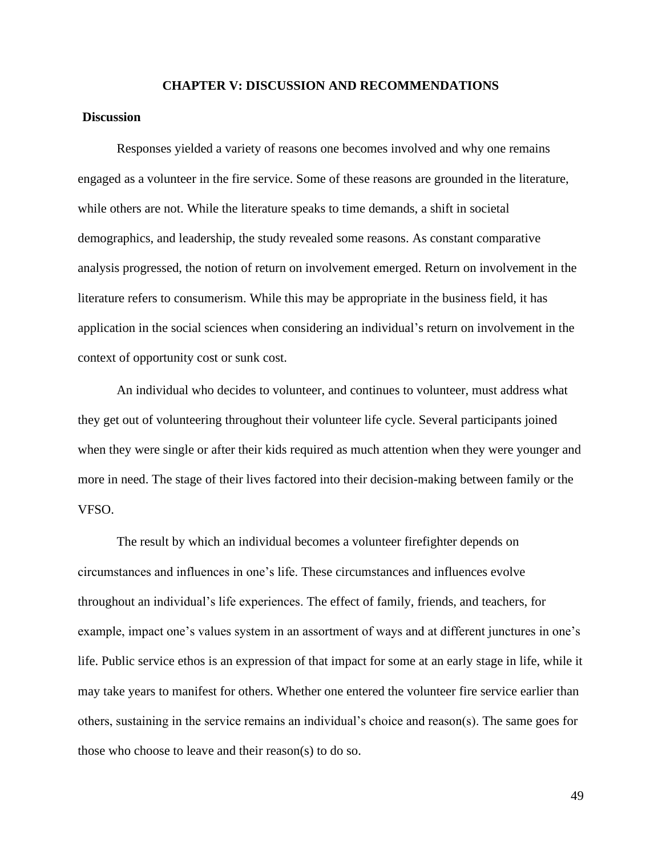## **CHAPTER V: DISCUSSION AND RECOMMENDATIONS**

#### **Discussion**

Responses yielded a variety of reasons one becomes involved and why one remains engaged as a volunteer in the fire service. Some of these reasons are grounded in the literature, while others are not. While the literature speaks to time demands, a shift in societal demographics, and leadership, the study revealed some reasons. As constant comparative analysis progressed, the notion of return on involvement emerged. Return on involvement in the literature refers to consumerism. While this may be appropriate in the business field, it has application in the social sciences when considering an individual's return on involvement in the context of opportunity cost or sunk cost.

An individual who decides to volunteer, and continues to volunteer, must address what they get out of volunteering throughout their volunteer life cycle. Several participants joined when they were single or after their kids required as much attention when they were younger and more in need. The stage of their lives factored into their decision-making between family or the VFSO.

The result by which an individual becomes a volunteer firefighter depends on circumstances and influences in one's life. These circumstances and influences evolve throughout an individual's life experiences. The effect of family, friends, and teachers, for example, impact one's values system in an assortment of ways and at different junctures in one's life. Public service ethos is an expression of that impact for some at an early stage in life, while it may take years to manifest for others. Whether one entered the volunteer fire service earlier than others, sustaining in the service remains an individual's choice and reason(s). The same goes for those who choose to leave and their reason(s) to do so.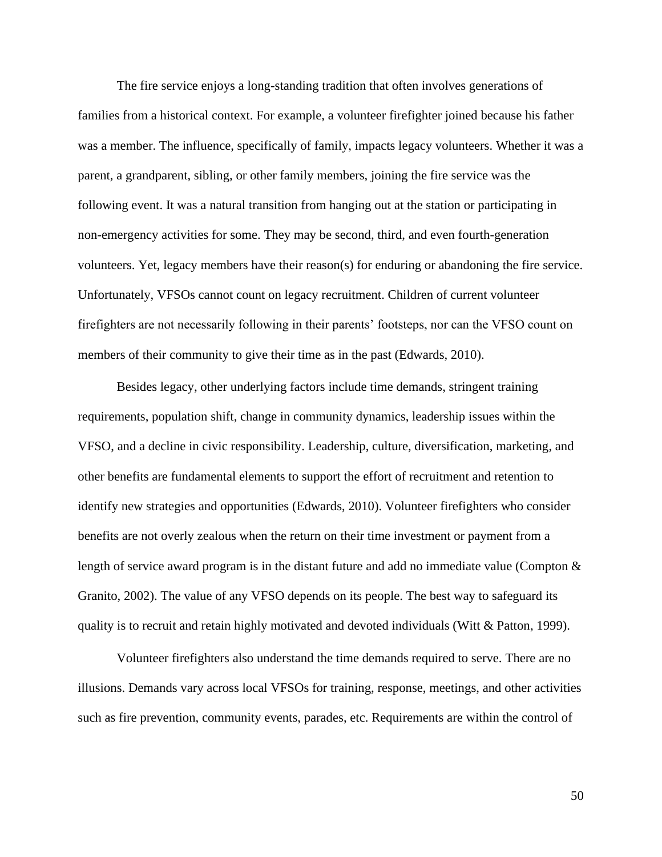The fire service enjoys a long-standing tradition that often involves generations of families from a historical context. For example, a volunteer firefighter joined because his father was a member. The influence, specifically of family, impacts legacy volunteers. Whether it was a parent, a grandparent, sibling, or other family members, joining the fire service was the following event. It was a natural transition from hanging out at the station or participating in non-emergency activities for some. They may be second, third, and even fourth-generation volunteers. Yet, legacy members have their reason(s) for enduring or abandoning the fire service. Unfortunately, VFSOs cannot count on legacy recruitment. Children of current volunteer firefighters are not necessarily following in their parents' footsteps, nor can the VFSO count on members of their community to give their time as in the past (Edwards, 2010).

Besides legacy, other underlying factors include time demands, stringent training requirements, population shift, change in community dynamics, leadership issues within the VFSO, and a decline in civic responsibility. Leadership, culture, diversification, marketing, and other benefits are fundamental elements to support the effort of recruitment and retention to identify new strategies and opportunities (Edwards, 2010). Volunteer firefighters who consider benefits are not overly zealous when the return on their time investment or payment from a length of service award program is in the distant future and add no immediate value (Compton  $\&$ Granito, 2002). The value of any VFSO depends on its people. The best way to safeguard its quality is to recruit and retain highly motivated and devoted individuals (Witt & Patton, 1999).

Volunteer firefighters also understand the time demands required to serve. There are no illusions. Demands vary across local VFSOs for training, response, meetings, and other activities such as fire prevention, community events, parades, etc. Requirements are within the control of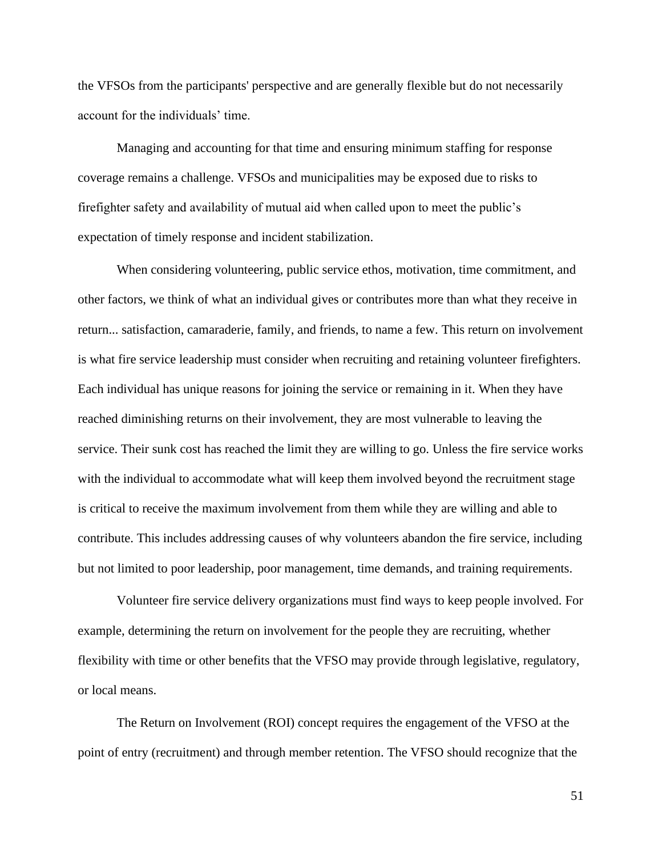the VFSOs from the participants' perspective and are generally flexible but do not necessarily account for the individuals' time.

Managing and accounting for that time and ensuring minimum staffing for response coverage remains a challenge. VFSOs and municipalities may be exposed due to risks to firefighter safety and availability of mutual aid when called upon to meet the public's expectation of timely response and incident stabilization.

When considering volunteering, public service ethos, motivation, time commitment, and other factors, we think of what an individual gives or contributes more than what they receive in return... satisfaction, camaraderie, family, and friends, to name a few. This return on involvement is what fire service leadership must consider when recruiting and retaining volunteer firefighters. Each individual has unique reasons for joining the service or remaining in it. When they have reached diminishing returns on their involvement, they are most vulnerable to leaving the service. Their sunk cost has reached the limit they are willing to go. Unless the fire service works with the individual to accommodate what will keep them involved beyond the recruitment stage is critical to receive the maximum involvement from them while they are willing and able to contribute. This includes addressing causes of why volunteers abandon the fire service, including but not limited to poor leadership, poor management, time demands, and training requirements.

Volunteer fire service delivery organizations must find ways to keep people involved. For example, determining the return on involvement for the people they are recruiting, whether flexibility with time or other benefits that the VFSO may provide through legislative, regulatory, or local means.

The Return on Involvement (ROI) concept requires the engagement of the VFSO at the point of entry (recruitment) and through member retention. The VFSO should recognize that the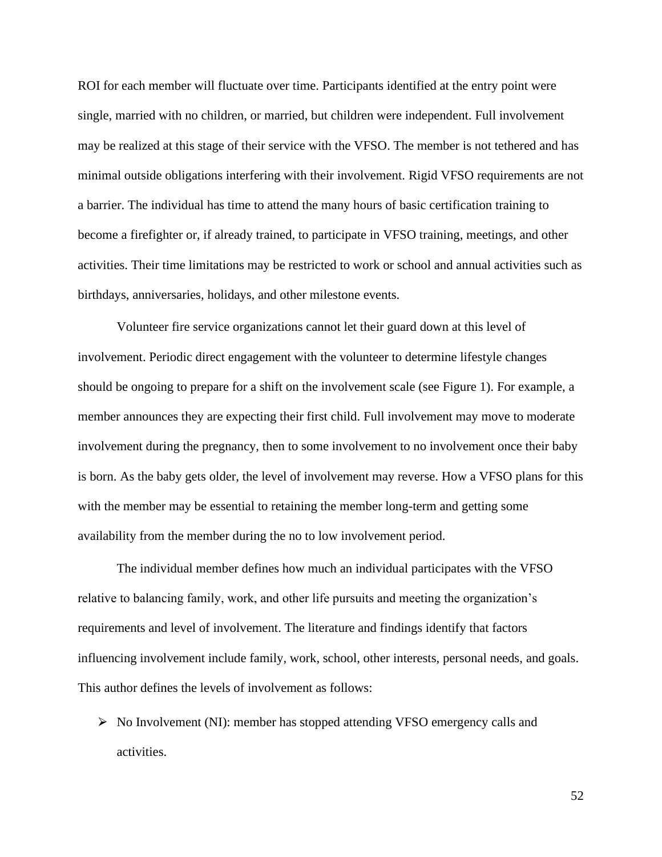ROI for each member will fluctuate over time. Participants identified at the entry point were single, married with no children, or married, but children were independent. Full involvement may be realized at this stage of their service with the VFSO. The member is not tethered and has minimal outside obligations interfering with their involvement. Rigid VFSO requirements are not a barrier. The individual has time to attend the many hours of basic certification training to become a firefighter or, if already trained, to participate in VFSO training, meetings, and other activities. Their time limitations may be restricted to work or school and annual activities such as birthdays, anniversaries, holidays, and other milestone events.

Volunteer fire service organizations cannot let their guard down at this level of involvement. Periodic direct engagement with the volunteer to determine lifestyle changes should be ongoing to prepare for a shift on the involvement scale (see Figure 1). For example, a member announces they are expecting their first child. Full involvement may move to moderate involvement during the pregnancy, then to some involvement to no involvement once their baby is born. As the baby gets older, the level of involvement may reverse. How a VFSO plans for this with the member may be essential to retaining the member long-term and getting some availability from the member during the no to low involvement period.

The individual member defines how much an individual participates with the VFSO relative to balancing family, work, and other life pursuits and meeting the organization's requirements and level of involvement. The literature and findings identify that factors influencing involvement include family, work, school, other interests, personal needs, and goals. This author defines the levels of involvement as follows:

 $\triangleright$  No Involvement (NI): member has stopped attending VFSO emergency calls and activities.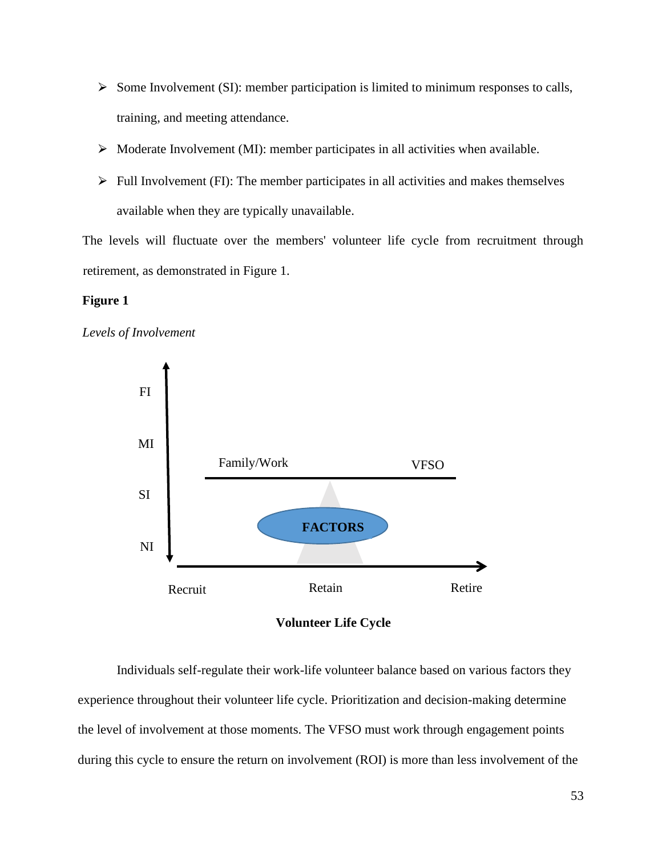- $\triangleright$  Some Involvement (SI): member participation is limited to minimum responses to calls, training, and meeting attendance.
- $\triangleright$  Moderate Involvement (MI): member participates in all activities when available.
- $\triangleright$  Full Involvement (FI): The member participates in all activities and makes themselves available when they are typically unavailable.

The levels will fluctuate over the members' volunteer life cycle from recruitment through retirement, as demonstrated in Figure 1.

## **Figure 1**





**Volunteer Life Cycle**

Individuals self-regulate their work-life volunteer balance based on various factors they experience throughout their volunteer life cycle. Prioritization and decision-making determine the level of involvement at those moments. The VFSO must work through engagement points during this cycle to ensure the return on involvement (ROI) is more than less involvement of the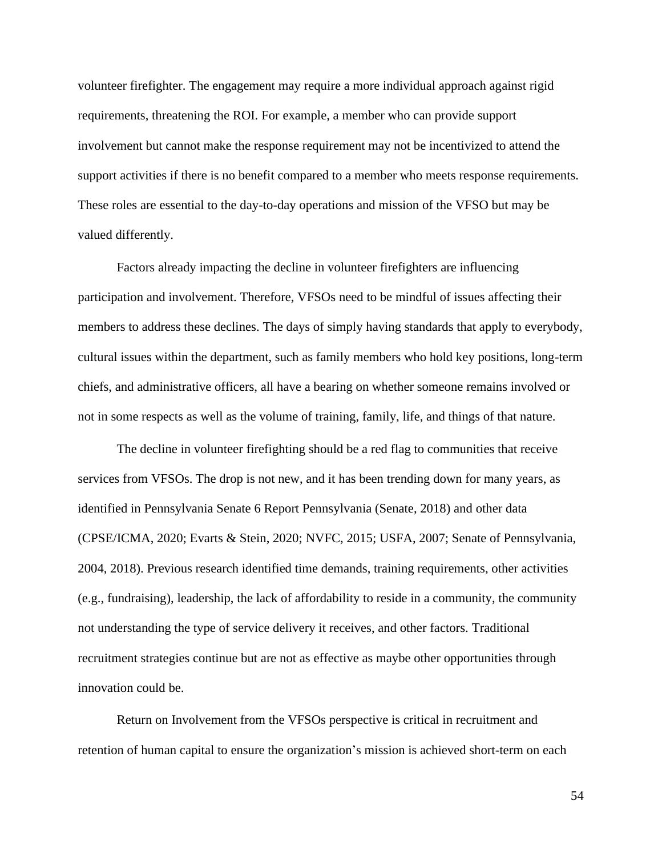volunteer firefighter. The engagement may require a more individual approach against rigid requirements, threatening the ROI. For example, a member who can provide support involvement but cannot make the response requirement may not be incentivized to attend the support activities if there is no benefit compared to a member who meets response requirements. These roles are essential to the day-to-day operations and mission of the VFSO but may be valued differently.

Factors already impacting the decline in volunteer firefighters are influencing participation and involvement. Therefore, VFSOs need to be mindful of issues affecting their members to address these declines. The days of simply having standards that apply to everybody, cultural issues within the department, such as family members who hold key positions, long-term chiefs, and administrative officers, all have a bearing on whether someone remains involved or not in some respects as well as the volume of training, family, life, and things of that nature.

The decline in volunteer firefighting should be a red flag to communities that receive services from VFSOs. The drop is not new, and it has been trending down for many years, as identified in Pennsylvania Senate 6 Report Pennsylvania (Senate, 2018) and other data (CPSE/ICMA, 2020; Evarts & Stein, 2020; NVFC, 2015; USFA, 2007; Senate of Pennsylvania, 2004, 2018). Previous research identified time demands, training requirements, other activities (e.g., fundraising), leadership, the lack of affordability to reside in a community, the community not understanding the type of service delivery it receives, and other factors. Traditional recruitment strategies continue but are not as effective as maybe other opportunities through innovation could be.

Return on Involvement from the VFSOs perspective is critical in recruitment and retention of human capital to ensure the organization's mission is achieved short-term on each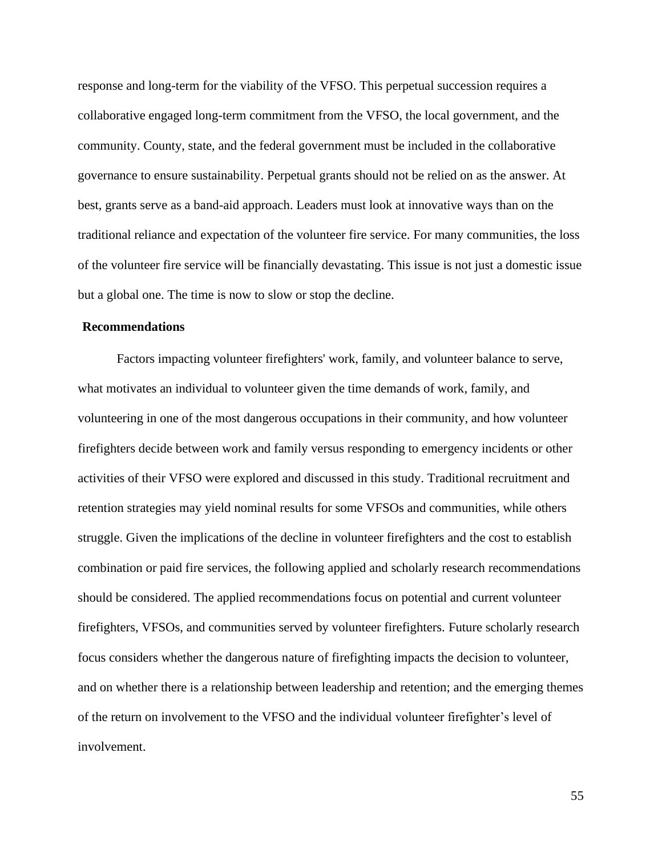response and long-term for the viability of the VFSO. This perpetual succession requires a collaborative engaged long-term commitment from the VFSO, the local government, and the community. County, state, and the federal government must be included in the collaborative governance to ensure sustainability. Perpetual grants should not be relied on as the answer. At best, grants serve as a band-aid approach. Leaders must look at innovative ways than on the traditional reliance and expectation of the volunteer fire service. For many communities, the loss of the volunteer fire service will be financially devastating. This issue is not just a domestic issue but a global one. The time is now to slow or stop the decline.

#### **Recommendations**

Factors impacting volunteer firefighters' work, family, and volunteer balance to serve, what motivates an individual to volunteer given the time demands of work, family, and volunteering in one of the most dangerous occupations in their community, and how volunteer firefighters decide between work and family versus responding to emergency incidents or other activities of their VFSO were explored and discussed in this study. Traditional recruitment and retention strategies may yield nominal results for some VFSOs and communities, while others struggle. Given the implications of the decline in volunteer firefighters and the cost to establish combination or paid fire services, the following applied and scholarly research recommendations should be considered. The applied recommendations focus on potential and current volunteer firefighters, VFSOs, and communities served by volunteer firefighters. Future scholarly research focus considers whether the dangerous nature of firefighting impacts the decision to volunteer, and on whether there is a relationship between leadership and retention; and the emerging themes of the return on involvement to the VFSO and the individual volunteer firefighter's level of involvement.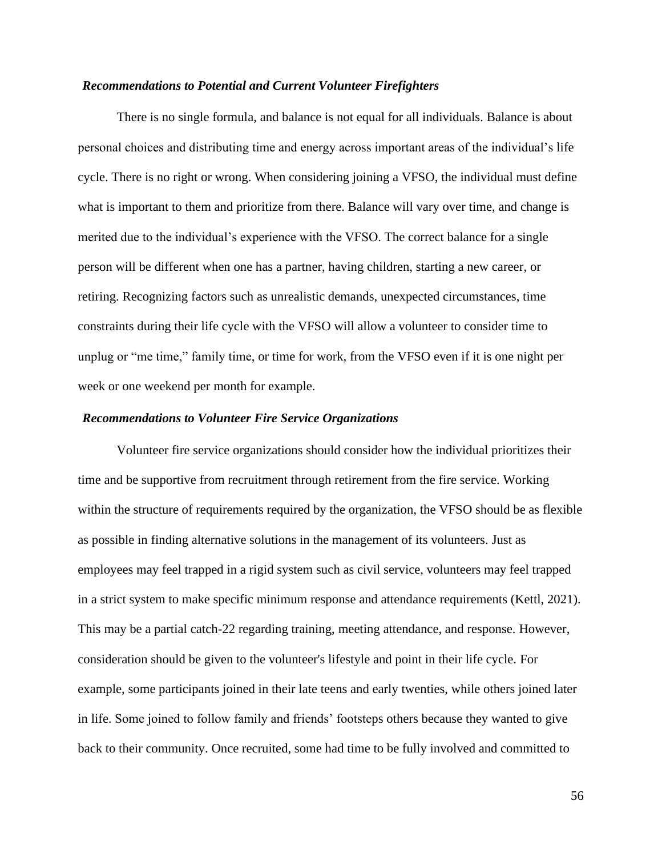## *Recommendations to Potential and Current Volunteer Firefighters*

There is no single formula, and balance is not equal for all individuals. Balance is about personal choices and distributing time and energy across important areas of the individual's life cycle. There is no right or wrong. When considering joining a VFSO, the individual must define what is important to them and prioritize from there. Balance will vary over time, and change is merited due to the individual's experience with the VFSO. The correct balance for a single person will be different when one has a partner, having children, starting a new career, or retiring. Recognizing factors such as unrealistic demands, unexpected circumstances, time constraints during their life cycle with the VFSO will allow a volunteer to consider time to unplug or "me time," family time, or time for work, from the VFSO even if it is one night per week or one weekend per month for example.

#### *Recommendations to Volunteer Fire Service Organizations*

Volunteer fire service organizations should consider how the individual prioritizes their time and be supportive from recruitment through retirement from the fire service. Working within the structure of requirements required by the organization, the VFSO should be as flexible as possible in finding alternative solutions in the management of its volunteers. Just as employees may feel trapped in a rigid system such as civil service, volunteers may feel trapped in a strict system to make specific minimum response and attendance requirements (Kettl, 2021). This may be a partial catch-22 regarding training, meeting attendance, and response. However, consideration should be given to the volunteer's lifestyle and point in their life cycle. For example, some participants joined in their late teens and early twenties, while others joined later in life. Some joined to follow family and friends' footsteps others because they wanted to give back to their community. Once recruited, some had time to be fully involved and committed to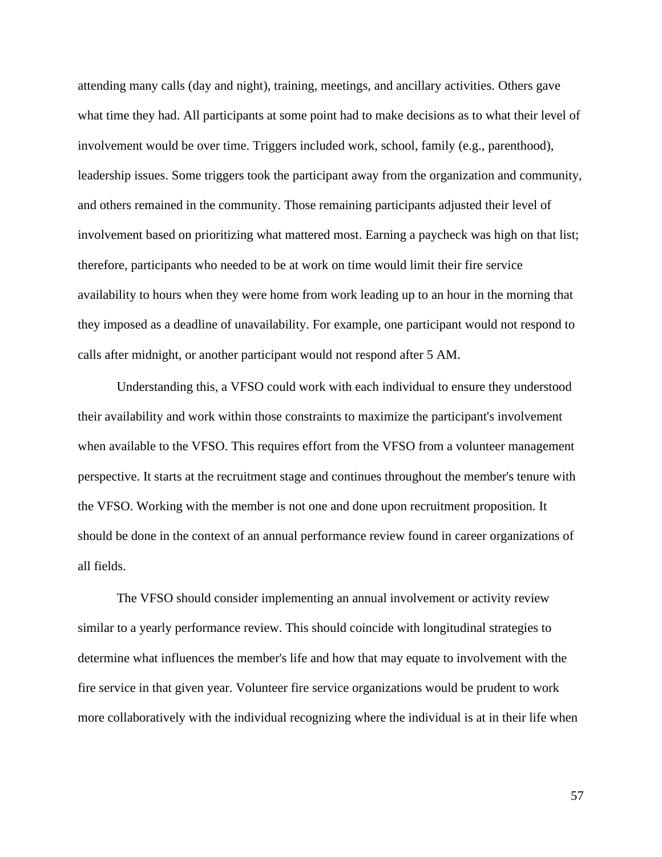attending many calls (day and night), training, meetings, and ancillary activities. Others gave what time they had. All participants at some point had to make decisions as to what their level of involvement would be over time. Triggers included work, school, family (e.g., parenthood), leadership issues. Some triggers took the participant away from the organization and community, and others remained in the community. Those remaining participants adjusted their level of involvement based on prioritizing what mattered most. Earning a paycheck was high on that list; therefore, participants who needed to be at work on time would limit their fire service availability to hours when they were home from work leading up to an hour in the morning that they imposed as a deadline of unavailability. For example, one participant would not respond to calls after midnight, or another participant would not respond after 5 AM.

Understanding this, a VFSO could work with each individual to ensure they understood their availability and work within those constraints to maximize the participant's involvement when available to the VFSO. This requires effort from the VFSO from a volunteer management perspective. It starts at the recruitment stage and continues throughout the member's tenure with the VFSO. Working with the member is not one and done upon recruitment proposition. It should be done in the context of an annual performance review found in career organizations of all fields.

The VFSO should consider implementing an annual involvement or activity review similar to a yearly performance review. This should coincide with longitudinal strategies to determine what influences the member's life and how that may equate to involvement with the fire service in that given year. Volunteer fire service organizations would be prudent to work more collaboratively with the individual recognizing where the individual is at in their life when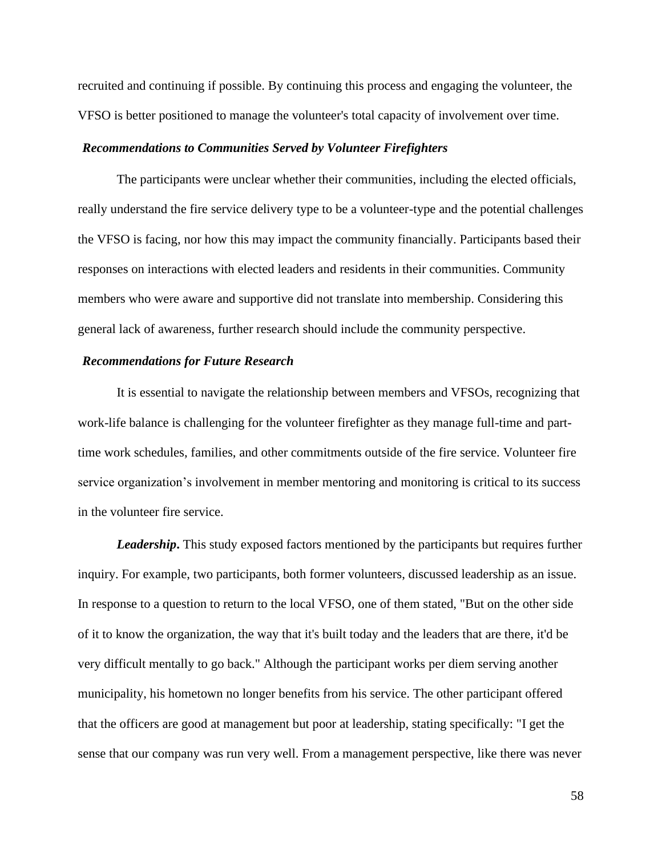recruited and continuing if possible. By continuing this process and engaging the volunteer, the VFSO is better positioned to manage the volunteer's total capacity of involvement over time.

#### *Recommendations to Communities Served by Volunteer Firefighters*

The participants were unclear whether their communities, including the elected officials, really understand the fire service delivery type to be a volunteer-type and the potential challenges the VFSO is facing, nor how this may impact the community financially. Participants based their responses on interactions with elected leaders and residents in their communities. Community members who were aware and supportive did not translate into membership. Considering this general lack of awareness, further research should include the community perspective.

#### *Recommendations for Future Research*

It is essential to navigate the relationship between members and VFSOs, recognizing that work-life balance is challenging for the volunteer firefighter as they manage full-time and parttime work schedules, families, and other commitments outside of the fire service. Volunteer fire service organization's involvement in member mentoring and monitoring is critical to its success in the volunteer fire service.

*Leadership***.** This study exposed factors mentioned by the participants but requires further inquiry. For example, two participants, both former volunteers, discussed leadership as an issue. In response to a question to return to the local VFSO, one of them stated, "But on the other side of it to know the organization, the way that it's built today and the leaders that are there, it'd be very difficult mentally to go back." Although the participant works per diem serving another municipality, his hometown no longer benefits from his service. The other participant offered that the officers are good at management but poor at leadership, stating specifically: "I get the sense that our company was run very well. From a management perspective, like there was never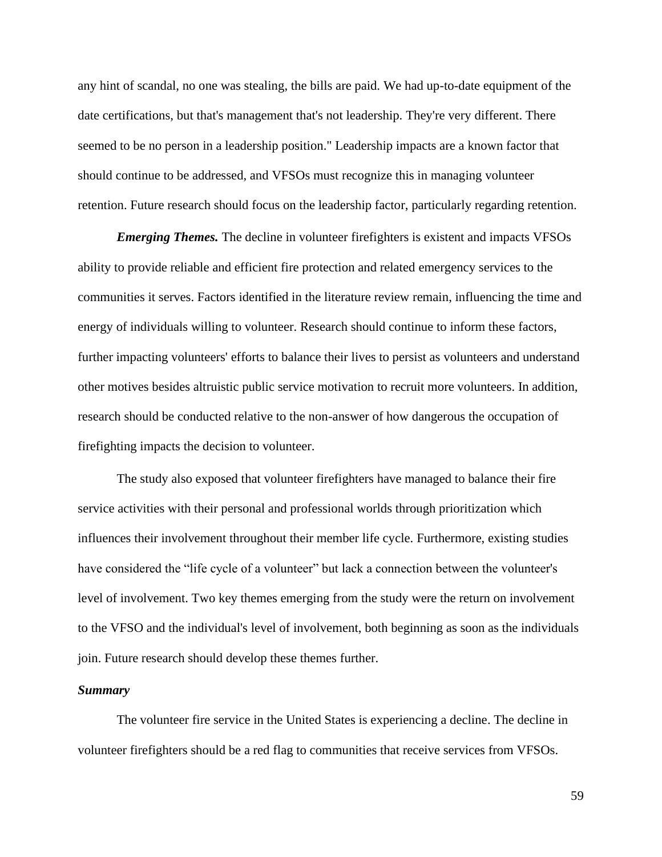any hint of scandal, no one was stealing, the bills are paid. We had up-to-date equipment of the date certifications, but that's management that's not leadership. They're very different. There seemed to be no person in a leadership position." Leadership impacts are a known factor that should continue to be addressed, and VFSOs must recognize this in managing volunteer retention. Future research should focus on the leadership factor, particularly regarding retention.

*Emerging Themes.* The decline in volunteer firefighters is existent and impacts VFSOs ability to provide reliable and efficient fire protection and related emergency services to the communities it serves. Factors identified in the literature review remain, influencing the time and energy of individuals willing to volunteer. Research should continue to inform these factors, further impacting volunteers' efforts to balance their lives to persist as volunteers and understand other motives besides altruistic public service motivation to recruit more volunteers. In addition, research should be conducted relative to the non-answer of how dangerous the occupation of firefighting impacts the decision to volunteer.

The study also exposed that volunteer firefighters have managed to balance their fire service activities with their personal and professional worlds through prioritization which influences their involvement throughout their member life cycle. Furthermore, existing studies have considered the "life cycle of a volunteer" but lack a connection between the volunteer's level of involvement. Two key themes emerging from the study were the return on involvement to the VFSO and the individual's level of involvement, both beginning as soon as the individuals join. Future research should develop these themes further.

## *Summary*

The volunteer fire service in the United States is experiencing a decline. The decline in volunteer firefighters should be a red flag to communities that receive services from VFSOs.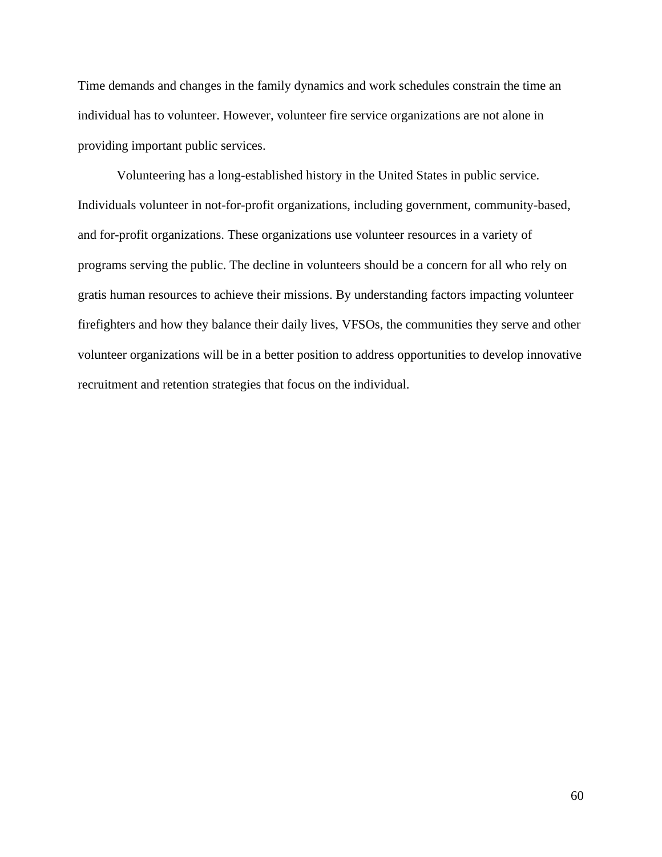Time demands and changes in the family dynamics and work schedules constrain the time an individual has to volunteer. However, volunteer fire service organizations are not alone in providing important public services.

Volunteering has a long-established history in the United States in public service. Individuals volunteer in not-for-profit organizations, including government, community-based, and for-profit organizations. These organizations use volunteer resources in a variety of programs serving the public. The decline in volunteers should be a concern for all who rely on gratis human resources to achieve their missions. By understanding factors impacting volunteer firefighters and how they balance their daily lives, VFSOs, the communities they serve and other volunteer organizations will be in a better position to address opportunities to develop innovative recruitment and retention strategies that focus on the individual.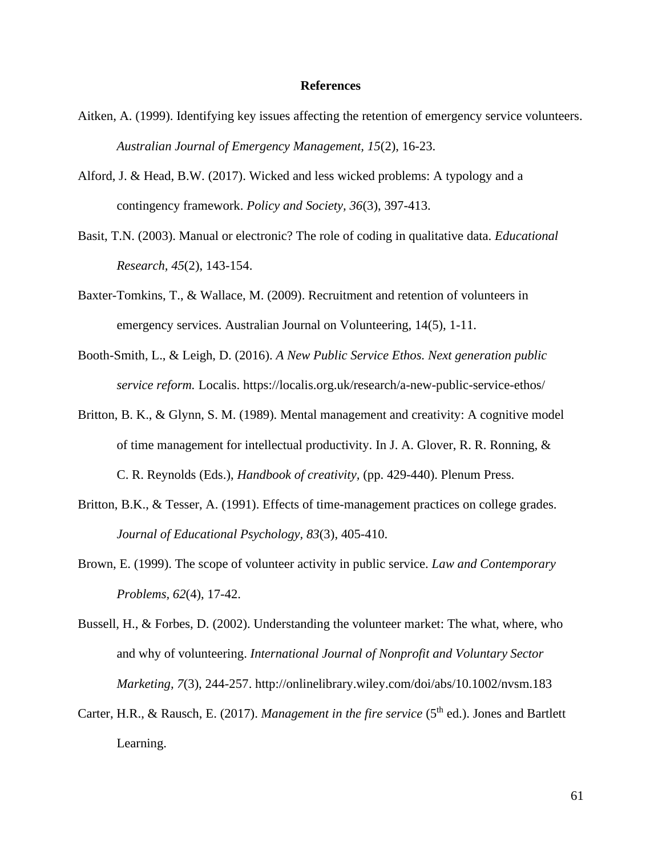#### **References**

- Aitken, A. (1999). Identifying key issues affecting the retention of emergency service volunteers. *Australian Journal of Emergency Management, 15*(2), 16-23.
- Alford, J. & Head, B.W. (2017). Wicked and less wicked problems: A typology and a contingency framework. *Policy and Society, 36*(3), 397-413.
- Basit, T.N. (2003). Manual or electronic? The role of coding in qualitative data. *Educational Research, 45*(2), 143-154.
- Baxter-Tomkins, T., & Wallace, M. (2009). Recruitment and retention of volunteers in emergency services. Australian Journal on Volunteering, 14(5), 1-11.
- Booth-Smith, L., & Leigh, D. (2016). *A New Public Service Ethos. Next generation public service reform.* Localis. https://localis.org.uk/research/a-new-public-service-ethos/
- Britton, B. K., & Glynn, S. M. (1989). Mental management and creativity: A cognitive model of time management for intellectual productivity. In J. A. Glover, R. R. Ronning, & C. R. Reynolds (Eds.), *Handbook of creativity,* (pp. 429-440). Plenum Press.
- Britton, B.K., & Tesser, A. (1991). Effects of time-management practices on college grades. *Journal of Educational Psychology, 83*(3), 405-410.
- Brown, E. (1999). The scope of volunteer activity in public service. *Law and Contemporary Problems, 62*(4), 17-42.
- Bussell, H., & Forbes, D. (2002). Understanding the volunteer market: The what, where, who and why of volunteering. *International Journal of Nonprofit and Voluntary Sector Marketing, 7*(3), 244-257. http://onlinelibrary.wiley.com/doi/abs/10.1002/nvsm.183
- Carter, H.R., & Rausch, E. (2017). *Management in the fire service* (5<sup>th</sup> ed.). Jones and Bartlett Learning.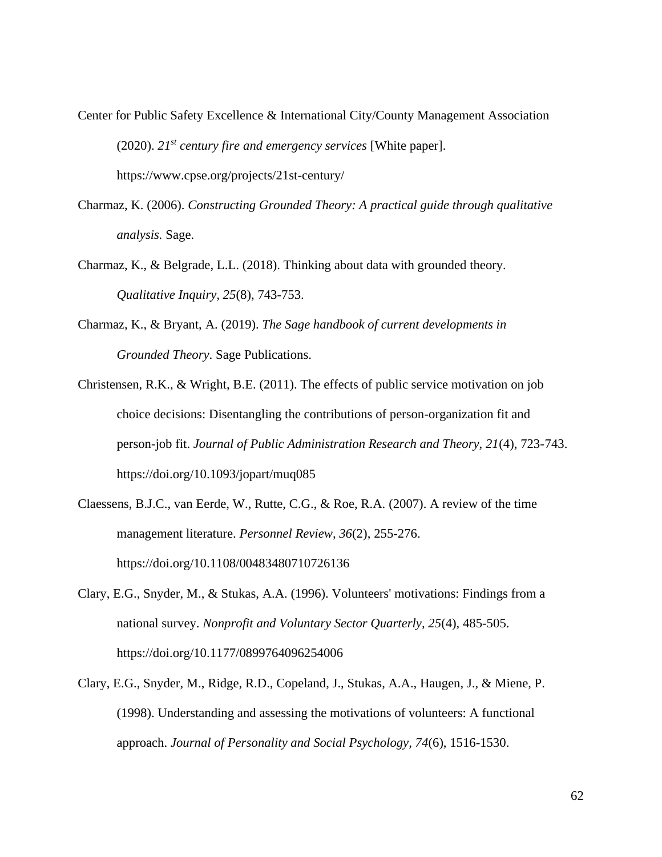- Center for Public Safety Excellence & International City/County Management Association (2020). *21st century fire and emergency services* [White paper]. https://www.cpse.org/projects/21st-century/
- Charmaz, K. (2006). *Constructing Grounded Theory: A practical guide through qualitative analysis.* Sage.
- Charmaz, K., & Belgrade, L.L. (2018). Thinking about data with grounded theory. *Qualitative Inquiry, 25*(8), 743-753.
- Charmaz, K., & Bryant, A. (2019). *The Sage handbook of current developments in Grounded Theory*. Sage Publications.
- Christensen, R.K., & Wright, B.E. (2011). The effects of public service motivation on job choice decisions: Disentangling the contributions of person-organization fit and person-job fit. *Journal of Public Administration Research and Theory, 21*(4), 723-743. https://doi.org/10.1093/jopart/muq085
- Claessens, B.J.C., van Eerde, W., Rutte, C.G., & Roe, R.A. (2007). A review of the time management literature. *Personnel Review, 36*(2), 255-276. https://doi.org/10.1108/00483480710726136
- Clary, E.G., Snyder, M., & Stukas, A.A. (1996). Volunteers' motivations: Findings from a national survey. *Nonprofit and Voluntary Sector Quarterly, 25*(4), 485-505. https://doi.org/10.1177/0899764096254006
- Clary, E.G., Snyder, M., Ridge, R.D., Copeland, J., Stukas, A.A., Haugen, J., & Miene, P. (1998). Understanding and assessing the motivations of volunteers: A functional approach. *Journal of Personality and Social Psychology, 74*(6), 1516-1530.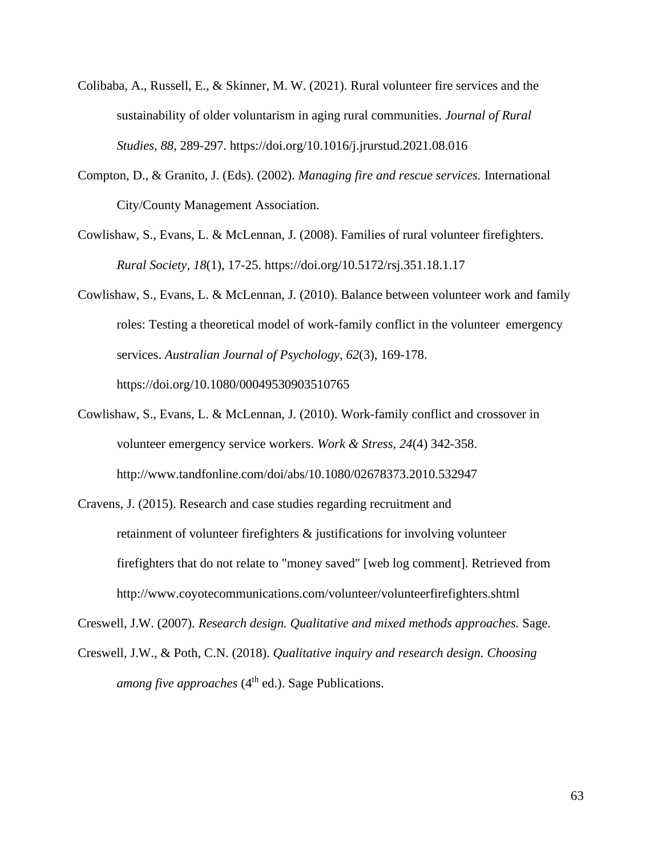- Colibaba, A., Russell, E., & Skinner, M. W. (2021). Rural volunteer fire services and the sustainability of older voluntarism in aging rural communities. *Journal of Rural Studies, 88*, 289-297. https://doi.org/10.1016/j.jrurstud.2021.08.016
- Compton, D., & Granito, J. (Eds). (2002). *Managing fire and rescue services.* International City/County Management Association.
- Cowlishaw, S., Evans, L. & McLennan, J. (2008). Families of rural volunteer firefighters. *Rural Society, 18*(1), 17-25. https://doi.org/10.5172/rsj.351.18.1.17
- Cowlishaw, S., Evans, L. & McLennan, J. (2010). Balance between volunteer work and family roles: Testing a theoretical model of work-family conflict in the volunteer emergency services. *Australian Journal of Psychology, 62*(3), 169-178. https://doi.org/10.1080/00049530903510765
- Cowlishaw, S., Evans, L. & McLennan, J. (2010). Work-family conflict and crossover in volunteer emergency service workers. *Work & Stress, 24*(4) 342-358. http://www.tandfonline.com/doi/abs/10.1080/02678373.2010.532947
- Cravens, J. (2015). Research and case studies regarding recruitment and retainment of volunteer firefighters & justifications for involving volunteer firefighters that do not relate to "money saved" [web log comment]. Retrieved from http://www.coyotecommunications.com/volunteer/volunteerfirefighters.shtml

Creswell, J.W. (2007). *Research design. Qualitative and mixed methods approaches.* Sage.

Creswell, J.W., & Poth, C.N. (2018). *Qualitative inquiry and research design. Choosing among five approaches* (4<sup>th</sup> ed.). Sage Publications.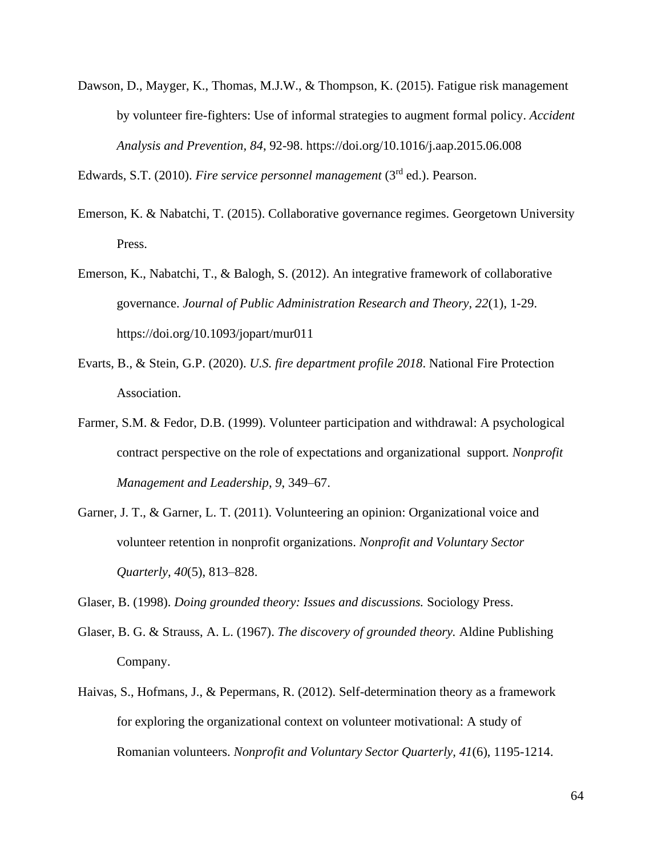Dawson, D., Mayger, K., Thomas, M.J.W., & Thompson, K. (2015). Fatigue risk management by volunteer fire-fighters: Use of informal strategies to augment formal policy. *Accident Analysis and Prevention, 84*, 92-98. https://doi.org/10.1016/j.aap.2015.06.008

Edwards, S.T. (2010). *Fire service personnel management* (3rd ed.). Pearson.

- Emerson, K. & Nabatchi, T. (2015). Collaborative governance regimes. Georgetown University Press.
- Emerson, K., Nabatchi, T., & Balogh, S. (2012). An integrative framework of collaborative governance. *Journal of Public Administration Research and Theory, 22*(1), 1-29. https://doi.org/10.1093/jopart/mur011
- Evarts, B., & Stein, G.P. (2020). *U.S. fire department profile 2018*. National Fire Protection Association.
- Farmer, S.M. & Fedor, D.B. (1999). Volunteer participation and withdrawal: A psychological contract perspective on the role of expectations and organizational support*. Nonprofit Management and Leadership*, *9*, 349–67.
- Garner, J. T., & Garner, L. T. (2011). Volunteering an opinion: Organizational voice and volunteer retention in nonprofit organizations. *Nonprofit and Voluntary Sector Quarterly, 40*(5), 813–828.

Glaser, B. (1998). *Doing grounded theory: Issues and discussions.* Sociology Press.

- Glaser, B. G. & Strauss, A. L. (1967). *The discovery of grounded theory.* Aldine Publishing Company.
- Haivas, S., Hofmans, J., & Pepermans, R. (2012). Self-determination theory as a framework for exploring the organizational context on volunteer motivational: A study of Romanian volunteers. *Nonprofit and Voluntary Sector Quarterly, 41*(6), 1195-1214.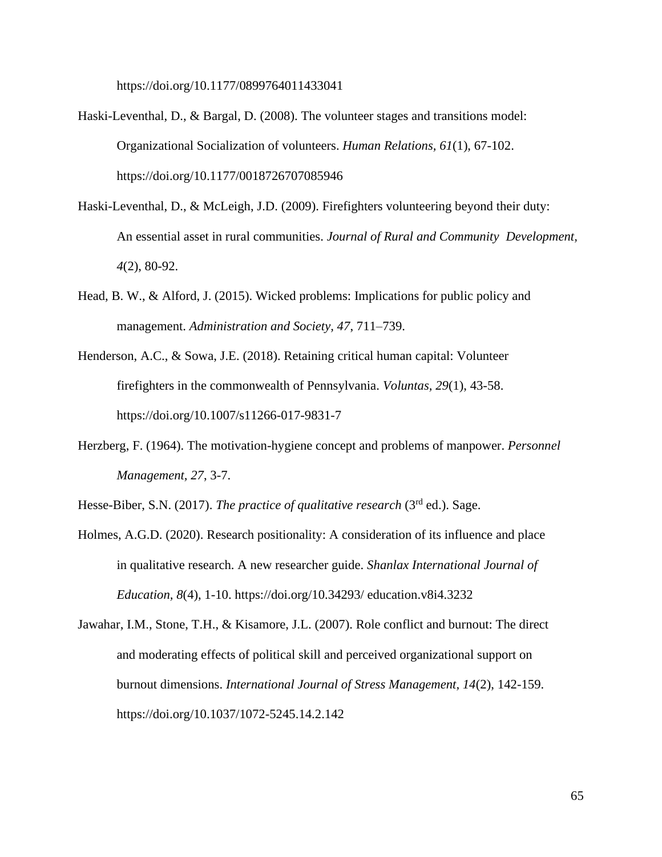https://doi.org/10.1177/0899764011433041

- Haski-Leventhal, D., & Bargal, D. (2008). The volunteer stages and transitions model: Organizational Socialization of volunteers. *Human Relations, 61*(1), 67-102. https://doi.org/10.1177/0018726707085946
- Haski-Leventhal, D., & McLeigh, J.D. (2009). Firefighters volunteering beyond their duty: An essential asset in rural communities. *Journal of Rural and Community Development, 4*(2), 80-92.
- Head, B. W., & Alford, J. (2015). Wicked problems: Implications for public policy and management. *Administration and Society, 47*, 711–739.
- Henderson, A.C., & Sowa, J.E. (2018). Retaining critical human capital: Volunteer firefighters in the commonwealth of Pennsylvania. *Voluntas, 29*(1), 43-58. https://doi.org/10.1007/s11266-017-9831-7
- Herzberg, F. (1964). The motivation-hygiene concept and problems of manpower. *Personnel Management, 27*, 3-7.
- Hesse-Biber, S.N. (2017). *The practice of qualitative research* (3rd ed.). Sage.
- Holmes, A.G.D. (2020). Research positionality: A consideration of its influence and place in qualitative research. A new researcher guide. *Shanlax International Journal of Education, 8*(4), 1-10. https://doi.org/10.34293/ education.v8i4.3232
- Jawahar, I.M., Stone, T.H., & Kisamore, J.L. (2007). Role conflict and burnout: The direct and moderating effects of political skill and perceived organizational support on burnout dimensions. *International Journal of Stress Management, 14*(2), 142-159. https://doi.org/10.1037/1072-5245.14.2.142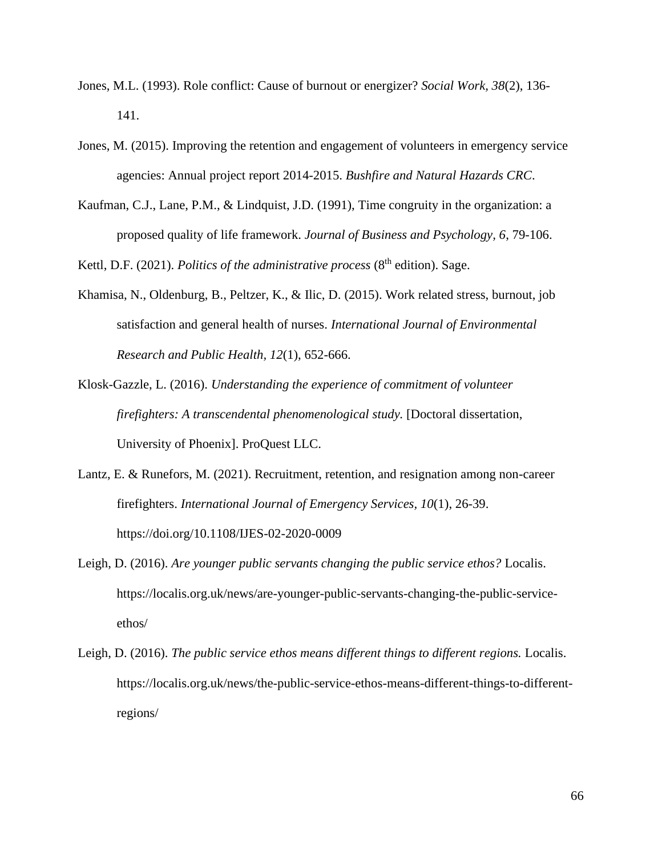- Jones, M.L. (1993). Role conflict: Cause of burnout or energizer? *Social Work, 38*(2), 136- 141.
- Jones, M. (2015). Improving the retention and engagement of volunteers in emergency service agencies: Annual project report 2014-2015. *Bushfire and Natural Hazards CRC*.
- Kaufman, C.J., Lane, P.M., & Lindquist, J.D. (1991), Time congruity in the organization: a proposed quality of life framework. *Journal of Business and Psychology, 6*, 79-106.

Kettl, D.F. (2021). *Politics of the administrative process* (8<sup>th</sup> edition). Sage.

- Khamisa, N., Oldenburg, B., Peltzer, K., & Ilic, D. (2015). Work related stress, burnout, job satisfaction and general health of nurses. *International Journal of Environmental Research and Public Health, 12*(1), 652-666.
- Klosk-Gazzle, L. (2016). *Understanding the experience of commitment of volunteer firefighters: A transcendental phenomenological study.* [Doctoral dissertation, University of Phoenix]. ProQuest LLC.
- Lantz, E. & Runefors, M. (2021). Recruitment, retention, and resignation among non-career firefighters. *International Journal of Emergency Services, 10*(1), 26-39. https://doi.org/10.1108/IJES-02-2020-0009
- Leigh, D. (2016). *Are younger public servants changing the public service ethos?* Localis. [https://localis.org.uk/news/are-younger-public-servants-changing-the-public-service](about:blank)[et](about:blank)hos/
- Leigh, D. (2016). *The public service ethos means different things to different regions.* Localis. [https://localis.org.uk/news/the-public-service-ethos-means-different-things-to-different](about:blank)[re](about:blank)gions/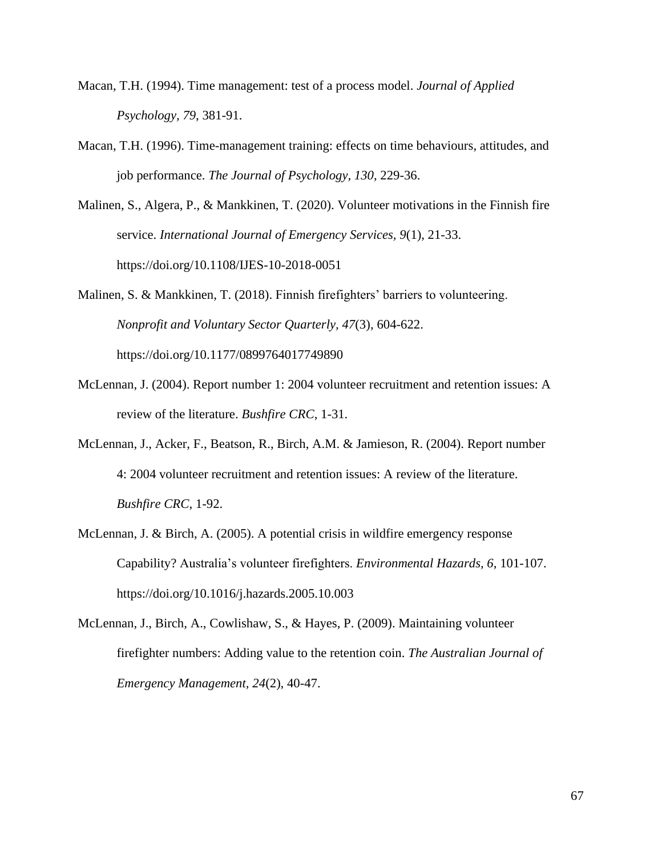- Macan, T.H. (1994). Time management: test of a process model. *Journal of Applied Psychology, 79*, 381-91.
- Macan, T.H. (1996). Time-management training: effects on time behaviours, attitudes, and job performance. *The Journal of Psychology, 130*, 229-36.
- Malinen, S., Algera, P., & Mankkinen, T. (2020). Volunteer motivations in the Finnish fire service. *International Journal of Emergency Services, 9*(1), 21-33. https://doi.org/10.1108/IJES-10-2018-0051

Malinen, S. & Mankkinen, T. (2018). Finnish firefighters' barriers to volunteering. *Nonprofit and Voluntary Sector Quarterly, 47*(3), 604-622. https://doi.org/10.1177/0899764017749890

- McLennan, J. (2004). Report number 1: 2004 volunteer recruitment and retention issues: A review of the literature. *Bushfire CRC*, 1-31.
- McLennan, J., Acker, F., Beatson, R., Birch, A.M. & Jamieson, R. (2004). Report number 4: 2004 volunteer recruitment and retention issues: A review of the literature. *Bushfire CRC*, 1-92.
- McLennan, J. & Birch, A. (2005). A potential crisis in wildfire emergency response Capability? Australia's volunteer firefighters. *Environmental Hazards, 6*, 101-107. https://doi.org/10.1016/j.hazards.2005.10.003
- McLennan, J., Birch, A., Cowlishaw, S., & Hayes, P. (2009). Maintaining volunteer firefighter numbers: Adding value to the retention coin. *The Australian Journal of Emergency Management, 24*(2), 40-47.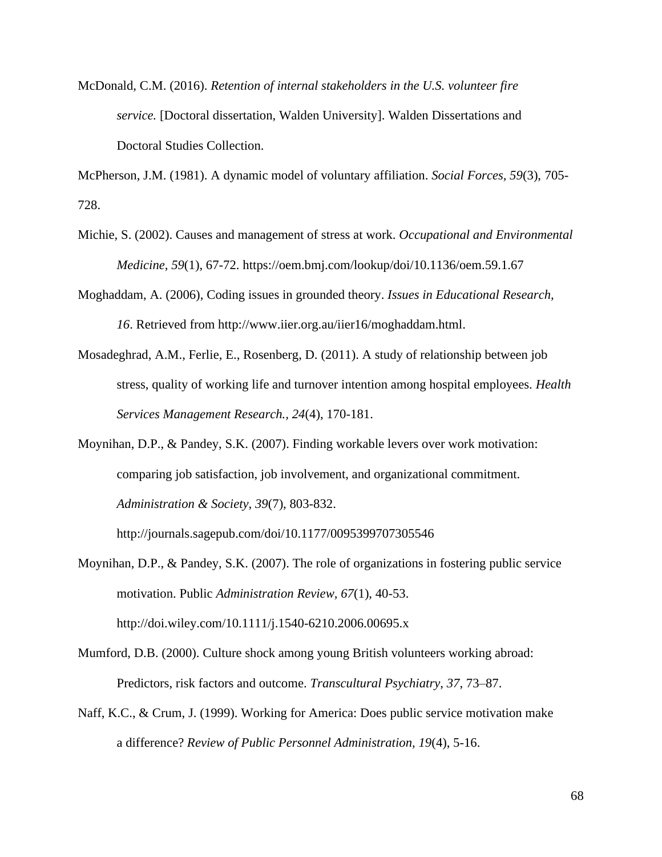McDonald, C.M. (2016). *Retention of internal stakeholders in the U.S. volunteer fire service.* [Doctoral dissertation, Walden University]. Walden Dissertations and Doctoral Studies Collection.

McPherson, J.M. (1981). A dynamic model of voluntary affiliation. *Social Forces, 59*(3), 705- 728.

- Michie, S. (2002). Causes and management of stress at work. *Occupational and Environmental Medicine, 59*(1), 67-72. https://oem.bmj.com/lookup/doi/10.1136/oem.59.1.67
- Moghaddam, A. (2006), Coding issues in grounded theory. *Issues in Educational Research, 16*. Retrieved from http://www.iier.org.au/iier16/moghaddam.html.
- Mosadeghrad, A.M., Ferlie, E., Rosenberg, D. (2011). A study of relationship between job stress, quality of working life and turnover intention among hospital employees. *Health Services Management Research., 24*(4), 170-181.
- Moynihan, D.P., & Pandey, S.K. (2007). Finding workable levers over work motivation: comparing job satisfaction, job involvement, and organizational commitment. *Administration & Society, 39*(7), 803-832.

http://journals.sagepub.com/doi/10.1177/0095399707305546

- Moynihan, D.P., & Pandey, S.K. (2007). The role of organizations in fostering public service motivation. Public *Administration Review, 67*(1), 40-53. http://doi.wiley.com/10.1111/j.1540-6210.2006.00695.x
- Mumford, D.B. (2000). Culture shock among young British volunteers working abroad: Predictors, risk factors and outcome. *Transcultural Psychiatry*, *37*, 73–87.
- Naff, K.C., & Crum, J. (1999). Working for America: Does public service motivation make a difference? *Review of Public Personnel Administration, 19*(4), 5-16.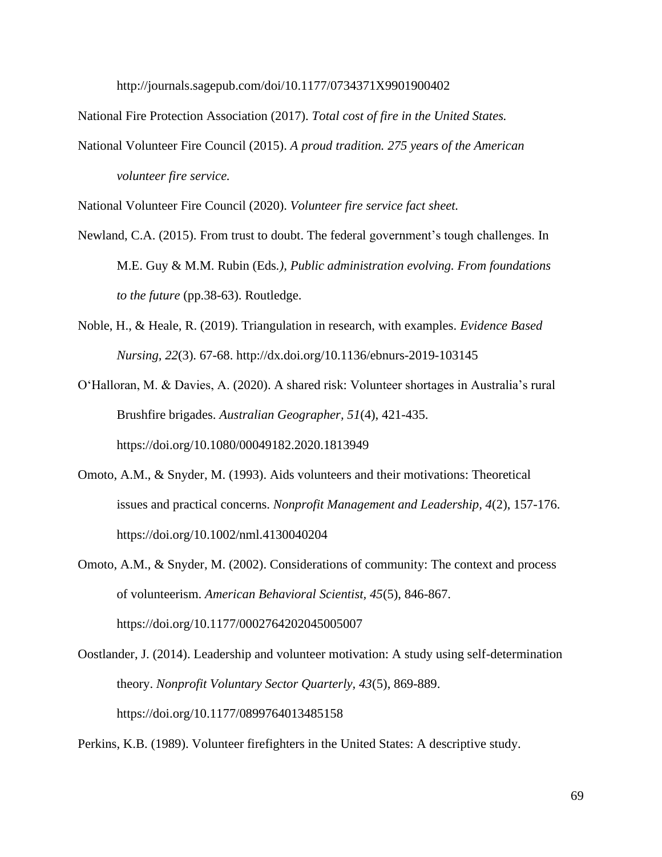http://journals.sagepub.com/doi/10.1177/0734371X9901900402

National Fire Protection Association (2017). *Total cost of fire in the United States.*

National Volunteer Fire Council (2015). *A proud tradition. 275 years of the American volunteer fire service.*

National Volunteer Fire Council (2020). *Volunteer fire service fact sheet.*

- Newland, C.A. (2015). From trust to doubt. The federal government's tough challenges. In M.E. Guy & M.M. Rubin (Eds*.), Public administration evolving. From foundations to the future* (pp.38-63). Routledge.
- Noble, H., & Heale, R. (2019). Triangulation in research, with examples. *Evidence Based Nursing, 22*(3). 67-68. http://dx.doi.org/10.1136/ebnurs-2019-103145
- O'Halloran, M. & Davies, A. (2020). A shared risk: Volunteer shortages in Australia's rural Brushfire brigades. *Australian Geographer, 51*(4), 421-435. https://doi.org/10.1080/00049182.2020.1813949
- Omoto, A.M., & Snyder, M. (1993). Aids volunteers and their motivations: Theoretical issues and practical concerns. *Nonprofit Management and Leadership, 4*(2), 157-176. https://doi.org/10.1002/nml.4130040204

Omoto, A.M., & Snyder, M. (2002). Considerations of community: The context and process of volunteerism. *American Behavioral Scientist, 45*(5), 846-867. https://doi.org/10.1177/0002764202045005007

Oostlander, J. (2014). Leadership and volunteer motivation: A study using self-determination theory. *Nonprofit Voluntary Sector Quarterly, 43*(5), 869-889. https://doi.org/10.1177/0899764013485158

Perkins, K.B. (1989). Volunteer firefighters in the United States: A descriptive study.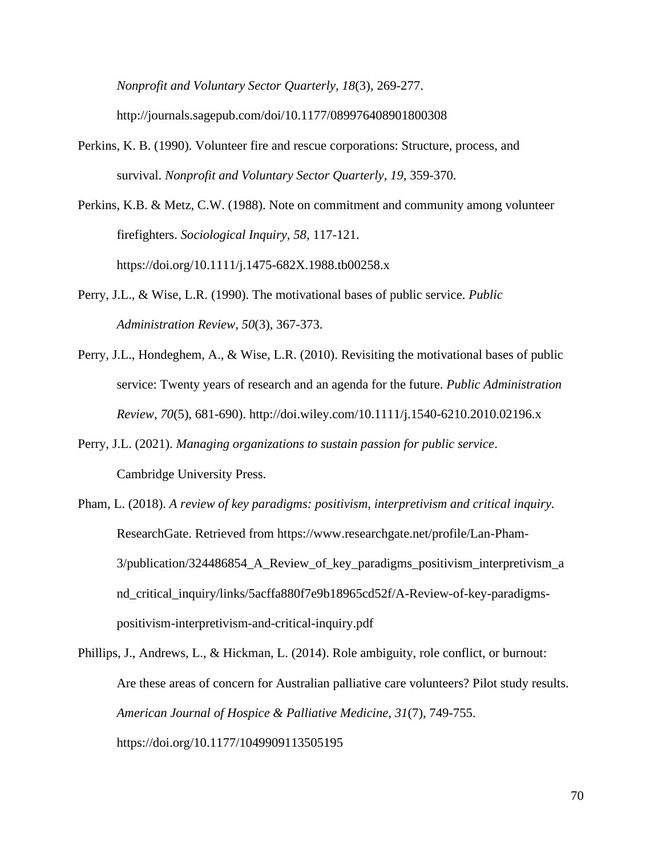*Nonprofit and Voluntary Sector Quarterly, 18*(3), 269-277. http://journals.sagepub.com/doi/10.1177/089976408901800308

- Perkins, K. B. (1990). Volunteer fire and rescue corporations: Structure, process, and survival. *Nonprofit and Voluntary Sector Quarterly*, *19*, 359-370.
- Perkins, K.B. & Metz, C.W. (1988). Note on commitment and community among volunteer firefighters. *Sociological Inquiry, 58*, 117-121. https://doi.org/10.1111/j.1475-682X.1988.tb00258.x
- Perry, J.L., & Wise, L.R. (1990). The motivational bases of public service. *Public Administration Review, 50*(3), 367-373.
- Perry, J.L., Hondeghem, A., & Wise, L.R. (2010). Revisiting the motivational bases of public service: Twenty years of research and an agenda for the future. *Public Administration Review, 70*(5), 681-690). http://doi.wiley.com/10.1111/j.1540-6210.2010.02196.x
- Perry, J.L. (2021). *Managing organizations to sustain passion for public service*. Cambridge University Press.
- Pham, L. (2018). *A review of key paradigms: positivism, interpretivism and critical inquiry.* ResearchGate. Retrieved from https://www.researchgate.net/profile/Lan-Pham-3/publication/324486854\_A\_Review\_of\_key\_paradigms\_positivism\_interpretivism\_a nd\_critical\_inquiry/links/5acffa880f7e9b18965cd52f/A-Review-of-key-paradigmspositivism-interpretivism-and-critical-inquiry.pdf
- Phillips, J., Andrews, L., & Hickman, L. (2014). Role ambiguity, role conflict, or burnout: Are these areas of concern for Australian palliative care volunteers? Pilot study results. *American Journal of Hospice & Palliative Medicine, 31*(7), 749-755. https://doi.org/10.1177/1049909113505195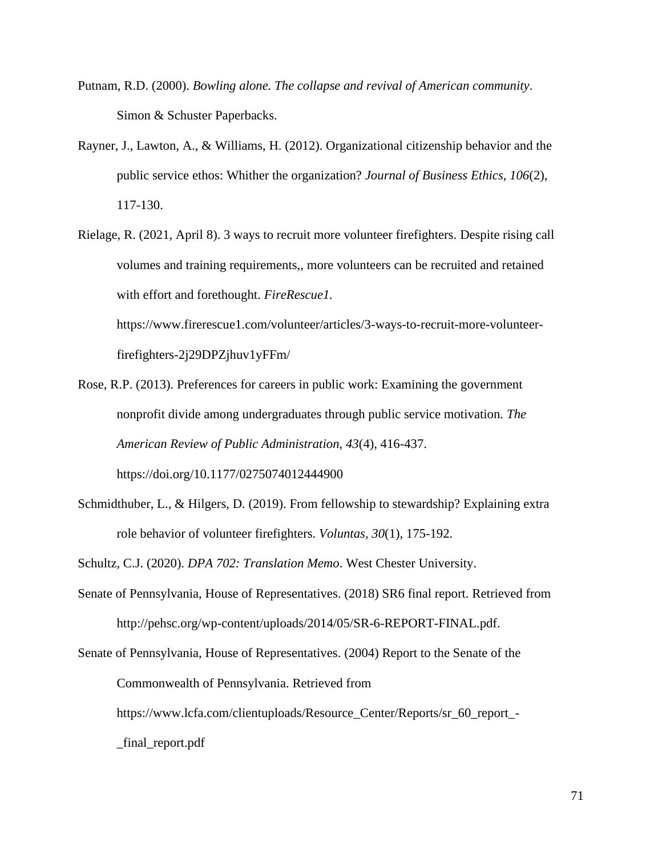- Putnam, R.D. (2000). *Bowling alone. The collapse and revival of American community*. Simon & Schuster Paperbacks.
- Rayner, J., Lawton, A., & Williams, H. (2012). Organizational citizenship behavior and the public service ethos: Whither the organization? *Journal of Business Ethics, 106*(2), 117-130.
- Rielage, R. (2021, April 8). 3 ways to recruit more volunteer firefighters. Despite rising call volumes and training requirements,, more volunteers can be recruited and retained with effort and forethought. *FireRescue1.*

https://www.firerescue1.com/volunteer/articles/3-ways-to-recruit-more-volunteerfirefighters-2j29DPZjhuv1yFFm/

- Rose, R.P. (2013). Preferences for careers in public work: Examining the government nonprofit divide among undergraduates through public service motivation. *The American Review of Public Administration, 43*(4), 416-437. https://doi.org/10.1177/0275074012444900
- Schmidthuber, L., & Hilgers, D. (2019). From fellowship to stewardship? Explaining extra role behavior of volunteer firefighters. *Voluntas, 30*(1), 175-192.

Schultz, C.J. (2020). *DPA 702: Translation Memo*. West Chester University.

Senate of Pennsylvania, House of Representatives. (2018) SR6 final report. Retrieved from http://pehsc.org/wp-content/uploads/2014/05/SR-6-REPORT-FINAL.pdf.

Senate of Pennsylvania, House of Representatives. (2004) Report to the Senate of the Commonwealth of Pennsylvania. Retrieved from https://www.lcfa.com/clientuploads/Resource\_Center/Reports/sr\_60\_report\_- \_final\_report.pdf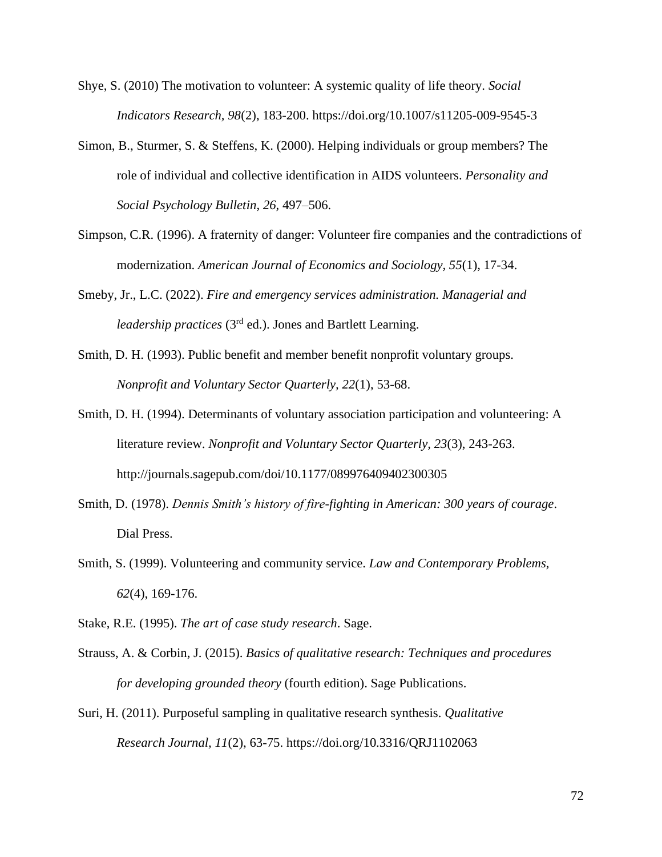- Shye, S. (2010) The motivation to volunteer: A systemic quality of life theory. *Social Indicators Research, 98*(2), 183-200. https://doi.org/10.1007/s11205-009-9545-3
- Simon, B., Sturmer, S. & Steffens, K. (2000). Helping individuals or group members? The role of individual and collective identification in AIDS volunteers. *Personality and Social Psychology Bulletin*, *26*, 497–506.
- Simpson, C.R. (1996). A fraternity of danger: Volunteer fire companies and the contradictions of modernization. *American Journal of Economics and Sociology, 55*(1), 17-34.
- Smeby, Jr., L.C. (2022). *Fire and emergency services administration. Managerial and leadership practices* (3rd ed.). Jones and Bartlett Learning.
- Smith, D. H. (1993). Public benefit and member benefit nonprofit voluntary groups. *Nonprofit and Voluntary Sector Quarterly, 22*(1), 53-68.
- Smith, D. H. (1994). Determinants of voluntary association participation and volunteering: A literature review. *Nonprofit and Voluntary Sector Quarterly, 23*(3), 243-263. http://journals.sagepub.com/doi/10.1177/089976409402300305
- Smith, D. (1978). *Dennis Smith's history of fire-fighting in American: 300 years of courage*. Dial Press.
- Smith, S. (1999). Volunteering and community service. *Law and Contemporary Problems, 62*(4), 169-176.
- Stake, R.E. (1995). *The art of case study research*. Sage.
- Strauss, A. & Corbin, J. (2015). *Basics of qualitative research: Techniques and procedures for developing grounded theory* (fourth edition). Sage Publications.
- Suri, H. (2011). Purposeful sampling in qualitative research synthesis. *Qualitative Research Journal, 11*(2), 63-75. https://doi.org/10.3316/QRJ1102063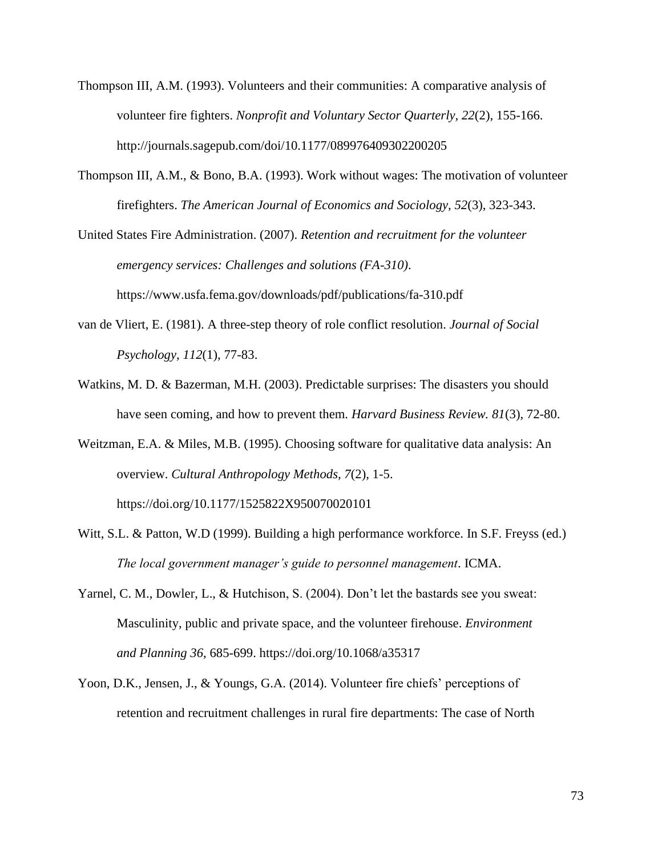- Thompson III, A.M. (1993). Volunteers and their communities: A comparative analysis of volunteer fire fighters. *Nonprofit and Voluntary Sector Quarterly, 22*(2), 155-166. http://journals.sagepub.com/doi/10.1177/089976409302200205
- Thompson III, A.M., & Bono, B.A. (1993). Work without wages: The motivation of volunteer firefighters. *The American Journal of Economics and Sociology, 52*(3), 323-343.

United States Fire Administration. (2007). *Retention and recruitment for the volunteer emergency services: Challenges and solutions (FA-310)*. https://www.usfa.fema.gov/downloads/pdf/publications/fa-310.pdf

- van de Vliert, E. (1981). A three-step theory of role conflict resolution. *Journal of Social Psychology, 112*(1), 77-83.
- Watkins, M. D. & Bazerman, M.H. (2003). Predictable surprises: The disasters you should have seen coming, and how to prevent them. *Harvard Business Review. 81*(3), 72-80.

Weitzman, E.A. & Miles, M.B. (1995). Choosing software for qualitative data analysis: An overview. *Cultural Anthropology Methods, 7*(2), 1-5. https://doi.org/10.1177/1525822X950070020101

- Witt, S.L. & Patton, W.D (1999). Building a high performance workforce. In S.F. Freyss (ed.) *The local government manager's guide to personnel management*. ICMA.
- Yarnel, C. M., Dowler, L., & Hutchison, S. (2004). Don't let the bastards see you sweat: Masculinity, public and private space, and the volunteer firehouse. *Environment and Planning 36*, 685-699. https://doi.org/10.1068/a35317
- Yoon, D.K., Jensen, J., & Youngs, G.A. (2014). Volunteer fire chiefs' perceptions of retention and recruitment challenges in rural fire departments: The case of North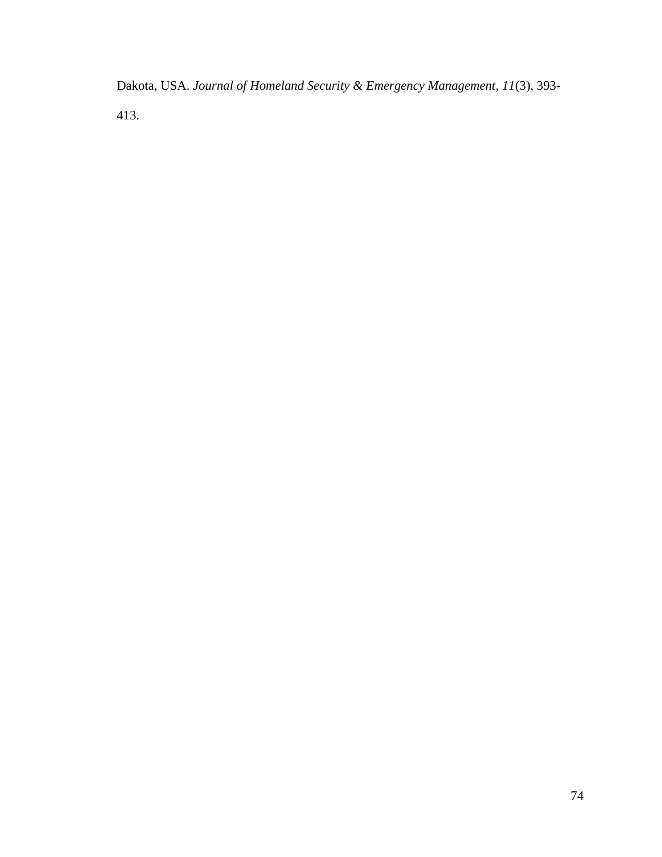Dakota, USA. *Journal of Homeland Security & Emergency Management, 11*(3), 393- 413.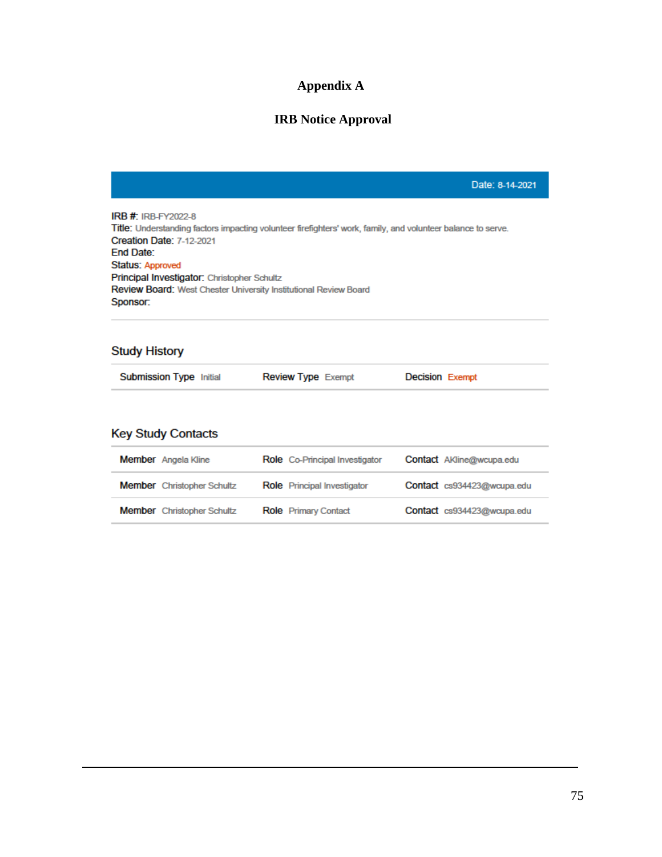# **Appendix A**

# **IRB Notice Approval**

|                                                                                                                                                                                                                                                                                                                                                             |                           | Date: 8-14-2021        |  |  |  |  |  |  |  |
|-------------------------------------------------------------------------------------------------------------------------------------------------------------------------------------------------------------------------------------------------------------------------------------------------------------------------------------------------------------|---------------------------|------------------------|--|--|--|--|--|--|--|
| <b>IRB #: IRB-FY2022-8</b><br>Title: Understanding factors impacting volunteer firefighters' work, family, and volunteer balance to serve.<br><b>Creation Date: 7-12-2021</b><br>End Date:<br>Status: Approved<br><b>Principal Investigator: Christopher Schultz</b><br><b>Review Board:</b> West Chester University Institutional Review Board<br>Sponsor: |                           |                        |  |  |  |  |  |  |  |
| <b>Study History</b>                                                                                                                                                                                                                                                                                                                                        |                           |                        |  |  |  |  |  |  |  |
| <b>Submission Type Initial</b>                                                                                                                                                                                                                                                                                                                              | <b>Review Type Exempt</b> | <b>Decision Exempt</b> |  |  |  |  |  |  |  |
| <b>Key Study Contacts</b>                                                                                                                                                                                                                                                                                                                                   |                           |                        |  |  |  |  |  |  |  |

| <b>Member</b> Angela Kline        | <b>Role</b> Co-Principal Investigator | <b>Contact</b> AKline@wcupa.edu |
|-----------------------------------|---------------------------------------|---------------------------------|
| <b>Member</b> Christopher Schultz | <b>Role</b> Principal Investigator    | Contact cs934423@wcupa.edu      |
| <b>Member</b> Christopher Schultz | <b>Role</b> Primary Contact           | Contact cs934423@wcupa.edu      |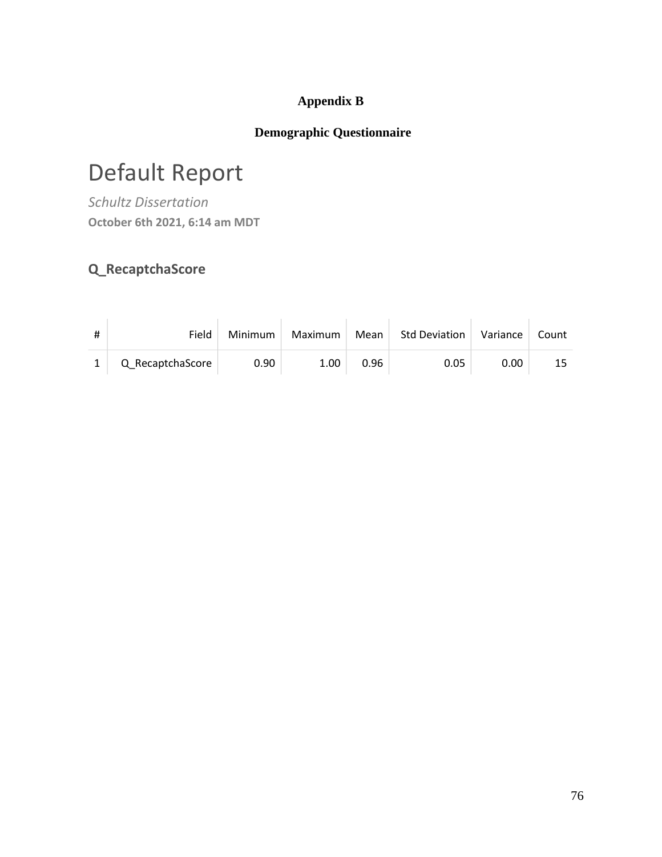## **Appendix B**

## **Demographic Questionnaire**

# Default Report

*Schultz Dissertation* **October 6th 2021, 6:14 am MDT**

# **Q\_RecaptchaScore**

| # | Field            | Minimum | Maximum | Mean | <b>Std Deviation</b> | Variance | Count |
|---|------------------|---------|---------|------|----------------------|----------|-------|
|   | Q_RecaptchaScore | 0.90    | 1.00    | 0.96 | 0.05                 | 0.00     | 15    |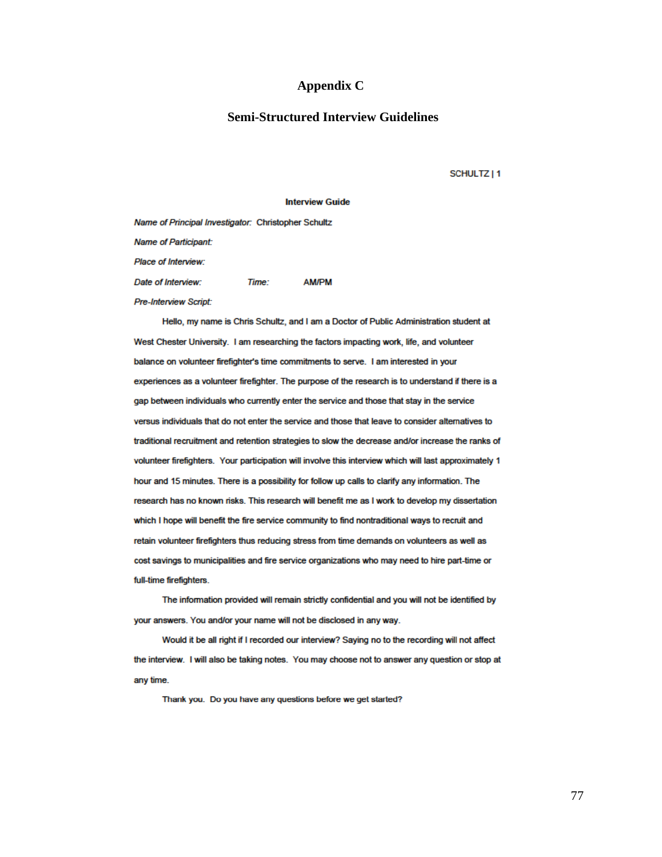#### **Appendix C**

#### **Semi-Structured Interview Guidelines**

SCHULTZ | 1

#### **Interview Guide**

Name of Principal Investigator: Christopher Schultz **Name of Participant:** Place of Interview: Date of Interview: Time: **AM/PM** Pre-Interview Script:

Hello, my name is Chris Schultz, and I am a Doctor of Public Administration student at West Chester University. I am researching the factors impacting work, life, and volunteer balance on volunteer firefighter's time commitments to serve. I am interested in your experiences as a volunteer firefighter. The purpose of the research is to understand if there is a gap between individuals who currently enter the service and those that stay in the service versus individuals that do not enter the service and those that leave to consider alternatives to traditional recruitment and retention strategies to slow the decrease and/or increase the ranks of volunteer firefighters. Your participation will involve this interview which will last approximately 1 hour and 15 minutes. There is a possibility for follow up calls to clarify any information. The research has no known risks. This research will benefit me as I work to develop my dissertation which I hope will benefit the fire service community to find nontraditional ways to recruit and retain volunteer firefighters thus reducing stress from time demands on volunteers as well as cost savings to municipalities and fire service organizations who may need to hire part-time or full-time firefighters.

The information provided will remain strictly confidential and you will not be identified by your answers. You and/or your name will not be disclosed in any way.

Would it be all right if I recorded our interview? Saying no to the recording will not affect the interview. I will also be taking notes. You may choose not to answer any question or stop at any time.

Thank you. Do you have any questions before we get started?